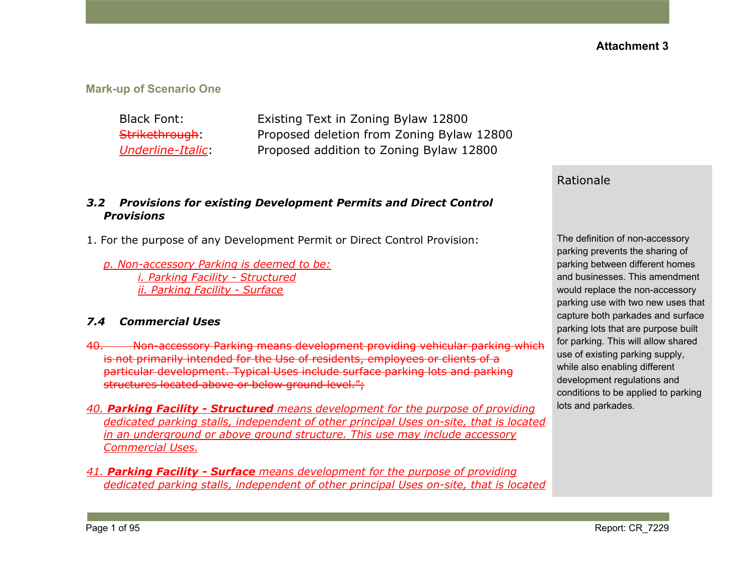#### **Mark-up of Scenario One**

Black Font: Existing Text in Zoning Bylaw 12800 Strikethrough: Proposed deletion from Zoning Bylaw 12800 *Underline-Italic*: Proposed addition to Zoning Bylaw 12800

#### *3.2 Provisions for existing Development Permits and Direct Control Provisions*

- 1. For the purpose of any Development Permit or Direct Control Provision:
	- *p. Non-accessory Parking is deemed to be: i. Parking Facility - Structured ii. Parking Facility - Surface*

#### *7.4 Commercial Uses*

- 40. Non-accessory Parking means development providing vehicular parking which is not primarily intended for the Use of residents, employees or clients of a particular development. Typical Uses include surface parking lots and parking structures located above or below ground level.";
- *40. Parking Facility - Structured means development for the purpose of providing dedicated parking stalls, independent of other principal Uses on-site, that is located in an underground or above ground structure. This use may include accessory Commercial Uses.*
- *41. Parking Facility - Surface means development for the purpose of providing dedicated parking stalls, independent of other principal Uses on-site, that is located*

#### Rationale

The definition of non-accessory parking prevents the sharing of parking between different homes and businesses. This amendment would replace the non-accessory parking use with two new uses that capture both parkades and surface parking lots that are purpose built for parking. This will allow shared use of existing parking supply, while also enabling different development regulations and conditions to be applied to parking lots and parkades.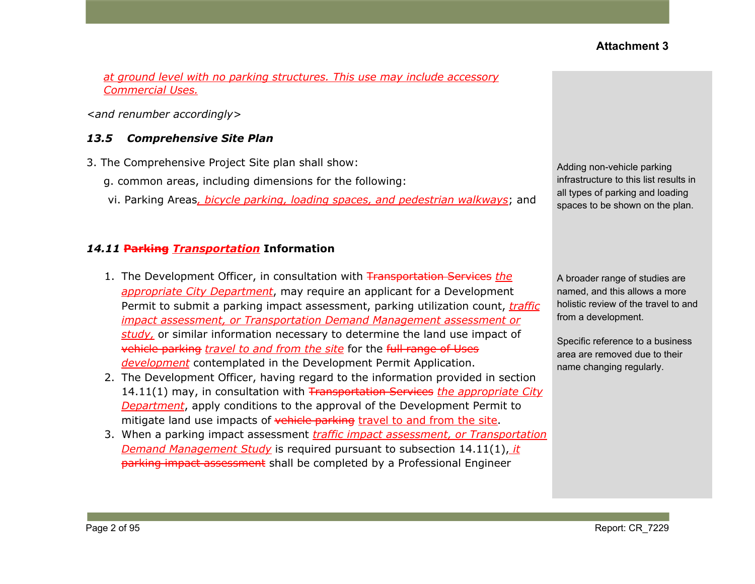*at ground level with no parking structures. This use may include accessory Commercial Uses.*

*<and renumber accordingly>*

#### *13.5 Comprehensive Site Plan*

- 3. The Comprehensive Project Site plan shall show:
	- g. common areas, including dimensions for the following:
	- vi. Parking Areas*, bicycle parking, loading spaces, and pedestrian walkways*; and

#### *14.11* **Parking** *Transportation* **Information**

- 1. The Development Officer, in consultation with Transportation Services *the appropriate City Department*, may require an applicant for a Development Permit to submit a parking impact assessment, parking utilization count, *traffic impact assessment, or Transportation Demand Management assessment or study,* or similar information necessary to determine the land use impact of vehicle parking *travel to and from the site* for the full range of Uses *development* contemplated in the Development Permit Application.
- 2. The Development Officer, having regard to the information provided in section 14.11(1) may, in consultation with Transportation Services *the appropriate City Department*, apply conditions to the approval of the Development Permit to mitigate land use impacts of vehicle parking travel to and from the site.
- 3. When a parking impact assessment *traffic impact assessment, or Transportation Demand Management Study* is required pursuant to subsection 14.11(1), *it* parking impact assessment shall be completed by a Professional Engineer

Adding non-vehicle parking infrastructure to this list results in all types of parking and loading spaces to be shown on the plan.

A broader range of studies are named, and this allows a more holistic review of the travel to and from a development.

Specific reference to a business area are removed due to their name changing regularly.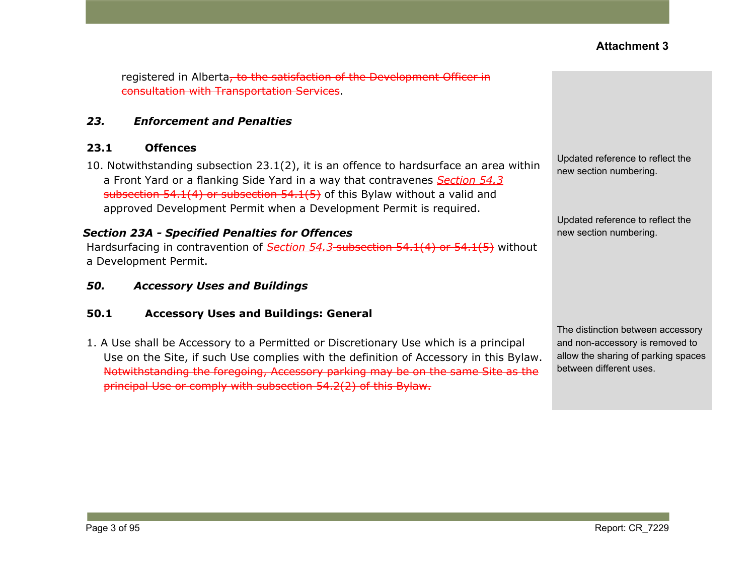registered in Alberta, to the satisfaction of the Development Officer in consultation with Transportation Services.

#### *23. Enforcement and Penalties*

#### **23.1 Offences**

10. Notwithstanding subsection 23.1(2), it is an offence to hardsurface an area within a Front Yard or a flanking Side Yard in a way that contravenes *Section 54.3* subsection 54.1(4) or subsection 54.1(5) of this Bylaw without a valid and approved Development Permit when a Development Permit is required.

#### *Section 23A - Specified Penalties for Offences*

Hardsurfacing in contravention of *Section 54.3* subsection 54.1(4) or 54.1(5) without a Development Permit.

*50. Accessory Uses and Buildings*

#### **50.1 Accessory Uses and Buildings: General**

1. A Use shall be Accessory to a Permitted or Discretionary Use which is a principal Use on the Site, if such Use complies with the definition of Accessory in this Bylaw. Notwithstanding the foregoing, Accessory parking may be on the same Site as the principal Use or comply with [subsection](https://webdocs.edmonton.ca/InfraPlan/zoningbylaw/ZoningBylaw/Part1/Development/54_2_Required_Off-street_Vehicular_Accessory_Parking.htm) 54.2(2) of this Bylaw.

Updated reference to reflect the new section numbering.

Updated reference to reflect the new section numbering.

The distinction between accessory and non-accessory is removed to allow the sharing of parking spaces between different uses.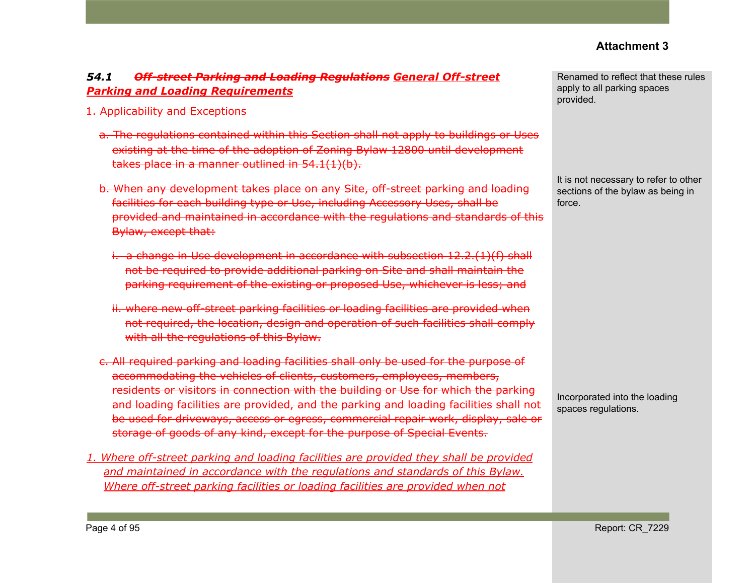### *54.1 Off-street Parking and Loading Regulations General Off-street Parking and Loading Requirements*

- 1. Applicability and Exceptions
	- a. The regulations contained within this Section shall not apply to buildings or Uses existing at the time of the adoption of Zoning Bylaw 12800 until development takes place in a manner outlined in 54.1(1)(b).
	- b. When any development takes place on any Site, off-street parking and loading facilities for each building type or Use, including Accessory Uses, shall be provided and maintained in accordance with the regulations and standards of this Bylaw, except that:
		- i. a change in Use development in accordance with subsection 12.2.(1)(f) shall not be required to provide additional parking on Site and shall maintain the parking requirement of the existing or proposed Use, whichever is less; and
		- ii. where new off-street parking facilities or loading facilities are provided when not required, the location, design and operation of such facilities shall comply with all the regulations of this Bylaw.
	- c. All required parking and loading facilities shall only be used for the purpose of accommodating the vehicles of clients, customers, employees, members, residents or visitors in connection with the building or Use for which the parking and loading facilities are provided, and the parking and loading facilities shall not be used for driveways, access or egress, commercial repair work, display, sale or storage of goods of any kind, except for the purpose of Special Events.
- *1. Where off-street parking and loading facilities are provided they shall be provided and maintained in accordance with the regulations and standards of this Bylaw. Where off-street parking facilities or loading facilities are provided when not*

Renamed to reflect that these rules apply to all parking spaces provided.

It is not necessary to refer to other sections of the bylaw as being in force.

Incorporated into the loading spaces regulations.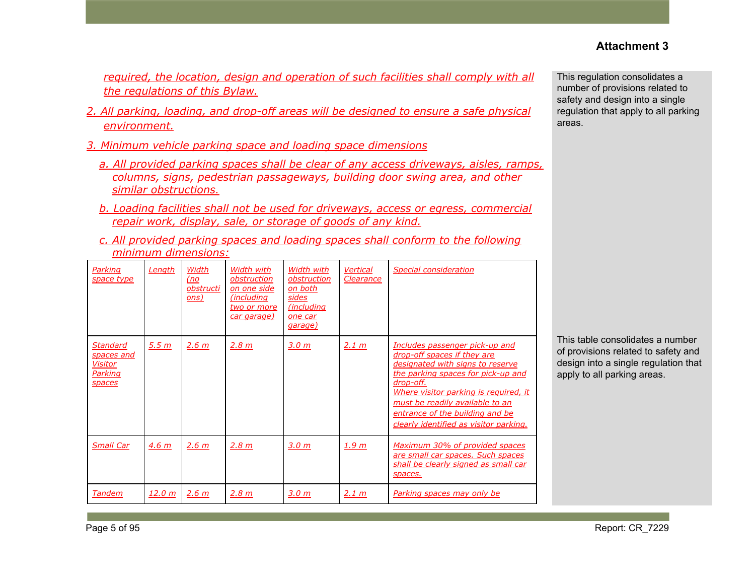*required, the location, design and operation of such facilities shall comply with all the regulations of this Bylaw.*

- *2. All parking, loading, and drop-off areas will be designed to ensure a safe physical environment.*
- *3. Minimum vehicle parking space and loading space dimensions*
	- *a. All provided parking spaces shall be clear of any access driveways, aisles, ramps, columns, signs, pedestrian passageways, building door swing area, and other similar obstructions.*
	- *b. Loading facilities shall not be used for driveways, access or egress, commercial repair work, display, sale, or storage of goods of any kind.*
	- *c. All provided parking spaces and loading spaces shall conform to the following minimum dimensions:*

| Parking<br>space type                                  | Length            | Width<br>(no)<br>obstructi<br>ons) | Width with<br>obstruction<br>on one side<br><i>(including)</i><br>two or more<br>car garage) | Width with<br>obstruction<br>on both<br>sides<br><i>(including)</i><br>one car<br>garage) | <b>Vertical</b><br>Clearance | <b>Special consideration</b>                                                                                                                                                                                                                                                                                  |
|--------------------------------------------------------|-------------------|------------------------------------|----------------------------------------------------------------------------------------------|-------------------------------------------------------------------------------------------|------------------------------|---------------------------------------------------------------------------------------------------------------------------------------------------------------------------------------------------------------------------------------------------------------------------------------------------------------|
| Standard<br>spaces and<br>Visitor<br>Parking<br>spaces | 5.5 <sub>m</sub>  | 2.6 m                              | 2.8 m                                                                                        | 3.0 <sub>m</sub>                                                                          | 2.1 m                        | Includes passenger pick-up and<br>drop-off spaces if they are<br>designated with signs to reserve<br>the parking spaces for pick-up and<br>drop-off.<br>Where visitor parking is required, it<br>must be readily available to an<br>entrance of the building and be<br>clearly identified as visitor parking. |
| <b>Small Car</b>                                       | 4.6 <sub>m</sub>  | 2.6 <sub>m</sub>                   | 2.8 m                                                                                        | 3.0 m                                                                                     | 1.9 m                        | Maximum 30% of provided spaces<br>are small car spaces. Such spaces<br>shall be clearly signed as small car<br>spaces.                                                                                                                                                                                        |
| Tandem                                                 | 12.0 <sub>m</sub> | 2.6 <sub>m</sub>                   | 2.8 m                                                                                        | 3.0 <sub>m</sub>                                                                          | 2.1 m                        | Parking spaces may only be                                                                                                                                                                                                                                                                                    |

This regulation consolidates a number of provisions related to safety and design into a single regulation that apply to all parking areas.

This table consolidates a number of provisions related to safety and design into a single regulation that apply to all parking areas.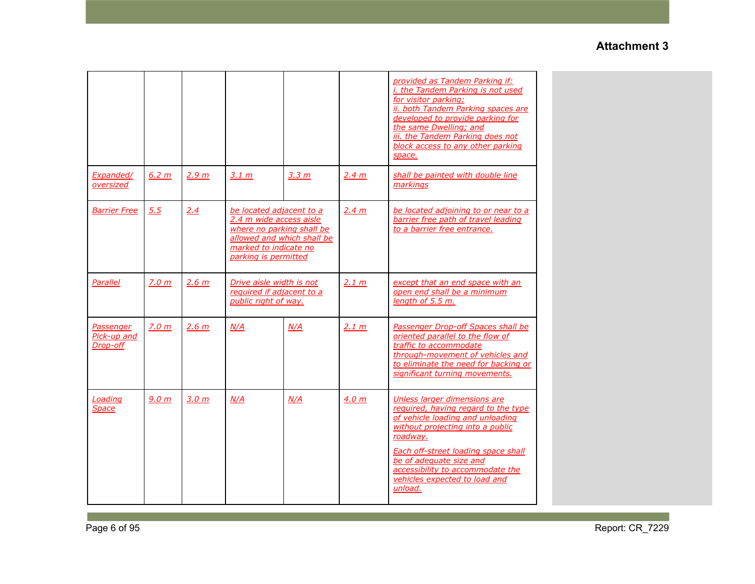|                                      |                  |                  |                                                                                                                                                                 |       |       | provided as Tandem Parking if:<br><i>i. the Tandem Parking is not used</i><br>for visitor parking;<br>ii. both Tandem Parking spaces are<br>developed to provide parking for<br>the same Dwelling; and<br>iii. the Tandem Parking does not<br>block access to any other parking<br>space.                 |
|--------------------------------------|------------------|------------------|-----------------------------------------------------------------------------------------------------------------------------------------------------------------|-------|-------|-----------------------------------------------------------------------------------------------------------------------------------------------------------------------------------------------------------------------------------------------------------------------------------------------------------|
| Expanded/<br>oversized               | 6.2 m            | 2.9 m            | 3.1 m                                                                                                                                                           | 3.3 m | 2.4 m | shall be painted with double line<br>markings                                                                                                                                                                                                                                                             |
| Barrier Free                         | 5.5              | 2.4              | be located adjacent to a<br>2.4 m wide access aisle<br>where no parking shall be<br>allowed and which shall be<br>marked to indicate no<br>parking is permitted |       | 2.4 m | be located adjoining to or near to a<br>barrier free path of travel leading<br>to a barrier free entrance.                                                                                                                                                                                                |
| Parallel                             | 7.0 <sub>m</sub> | 2.6 <sub>m</sub> | Drive aisle width is not<br>required if adjacent to a<br>public right of way.                                                                                   |       | 2.1 m | except that an end space with an<br>open end shall be a minimum<br>length of 5.5 m.                                                                                                                                                                                                                       |
| Passenger<br>Pick-up and<br>Drop-off | 7.0 <sub>m</sub> | 2.6 m            | N/A<br>N/A                                                                                                                                                      |       | 2.1 m | Passenger Drop-off Spaces shall be<br>oriented parallel to the flow of<br>traffic to accommodate<br>through-movement of vehicles and<br>to eliminate the need for backing or<br>significant turning movements.                                                                                            |
| Loading<br>Space                     | 9.0 <sub>m</sub> | 3.0 <sub>m</sub> | N/A                                                                                                                                                             | N/A   | 4.0 m | Unless larger dimensions are<br>required, having regard to the type<br>of vehicle loading and unloading<br>without projecting into a public<br>roadway.<br>Each off-street loading space shall<br>be of adequate size and<br>accessibility to accommodate the<br>vehicles expected to load and<br>unload. |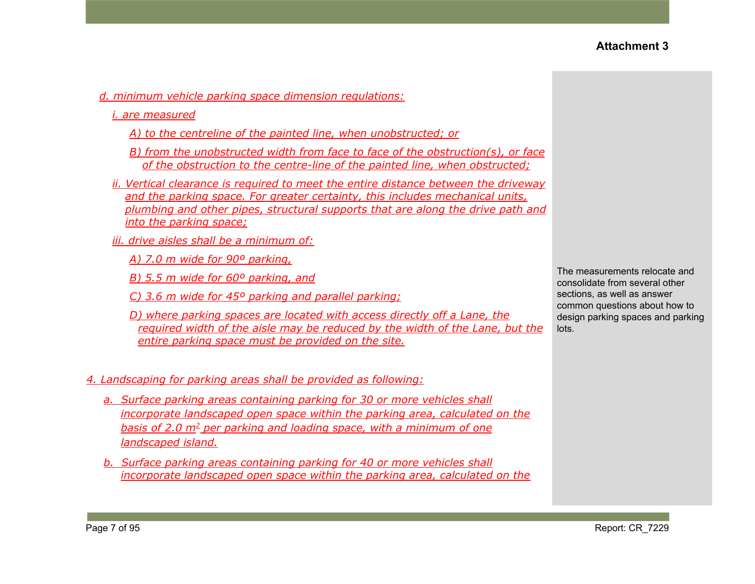- *d. minimum vehicle parking space dimension regulations:*
	- *i. are measured*
		- *A) to the centreline of the painted line, when unobstructed; or*
		- *B) from the unobstructed width from face to face of the obstruction(s), or face of the obstruction to the centre-line of the painted line, when obstructed;*
	- *ii. Vertical clearance is required to meet the entire distance between the driveway and the parking space. For greater certainty, this includes mechanical units, plumbing and other pipes, structural supports that are along the drive path and into the parking space;*
	- *iii. drive aisles shall be a minimum of:*
		- *A) 7.0 m wide for 90º parking,*
		- *B) 5.5 m wide for 60º parking, and*
		- *C) 3.6 m wide for 45º parking and parallel parking;*
		- *D) where parking spaces are located with access directly off a Lane, the required width of the aisle may be reduced by the width of the Lane, but the entire parking space must be provided on the site.*

#### *4. Landscaping for parking areas shall be provided as following:*

- *a. Surface parking areas containing parking for 30 or more vehicles shall incorporate landscaped open space within the parking area, calculated on the basis of 2.0 m<sup>2</sup> per parking and loading space, with a minimum of one landscaped island.*
- *b. Surface parking areas containing parking for 40 or more vehicles shall incorporate landscaped open space within the parking area, calculated on the*

The measurements relocate and consolidate from several other sections, as well as answer common questions about how to design parking spaces and parking lots.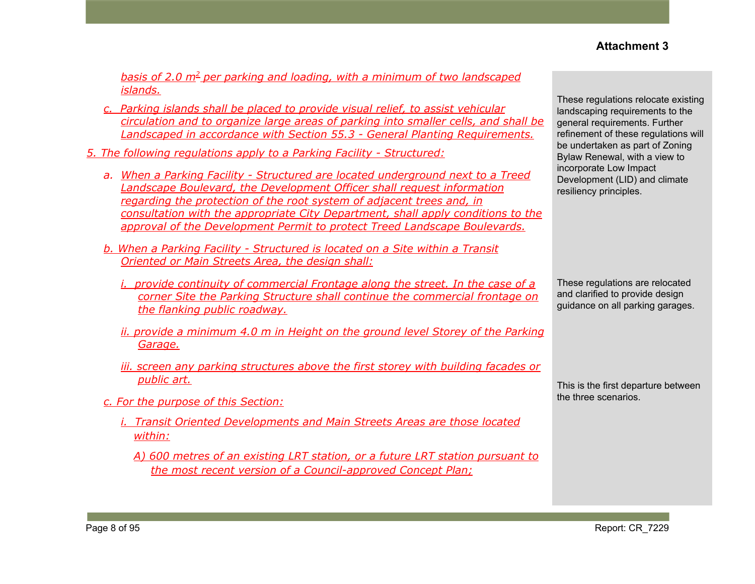*basis of 2.0 m<sup>2</sup> per parking and loading, with a minimum of two landscaped islands.*

- *c. Parking islands shall be placed to provide visual relief, to assist vehicular circulation and to organize large areas of parking into smaller cells, and shall be Landscaped in accordance with Section 55.3 - General Planting Requirements.*
- *5. The following regulations apply to a Parking Facility - Structured:*
	- *a. When a Parking Facility - Structured are located underground next to a Treed Landscape Boulevard, the Development Officer shall request information regarding the protection of the root system of adjacent trees and, in consultation with the appropriate City Department, shall apply conditions to the approval of the Development Permit to protect Treed Landscape Boulevards.*
	- *b. When a Parking Facility - Structured is located on a Site within a Transit Oriented or Main Streets Area, the design shall:*
		- *i. provide continuity of commercial Frontage along the street. In the case of a corner Site the Parking Structure shall continue the commercial frontage on the flanking public roadway.*
		- *ii. provide a minimum 4.0 m in Height on the ground level Storey of the Parking Garage.*
		- *iii. screen any parking structures above the first storey with building facades or public art.*
	- *c. For the purpose of this Section:*
		- *i. Transit Oriented Developments and Main Streets Areas are those located within:*
			- *A) 600 metres of an existing LRT station, or a future LRT station pursuant to the most recent version of a Council-approved Concept Plan;*

These regulations relocate existing landscaping requirements to the general requirements. Further refinement of these regulations will be undertaken as part of Zoning Bylaw Renewal, with a view to incorporate Low Impact Development (LID) and climate resiliency principles.

These regulations are relocated and clarified to provide design guidance on all parking garages.

This is the first departure between the three scenarios.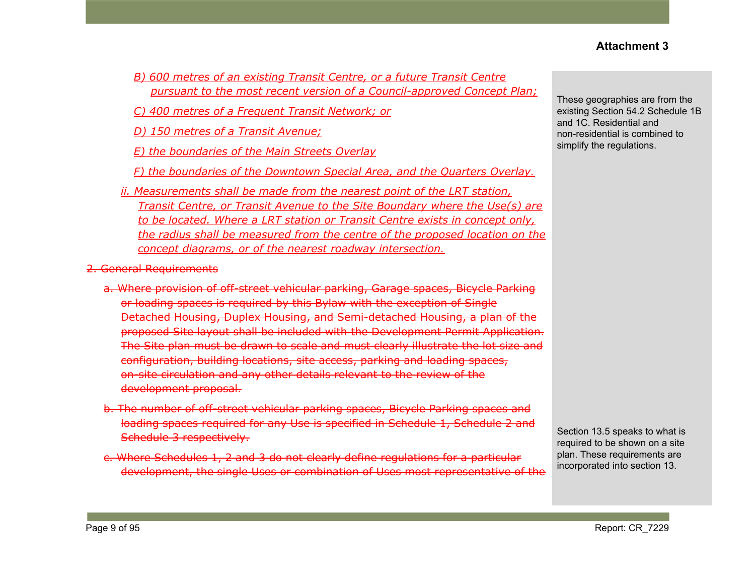- *B) 600 metres of an existing Transit Centre, or a future Transit Centre pursuant to the most recent version of a Council-approved Concept Plan;*
- *C) 400 metres of a Frequent Transit Network; or*
- *D) 150 metres of a Transit Avenue;*
- *E) the boundaries of the Main Streets Overlay*
- *F) the boundaries of the Downtown Special Area, and the Quarters Overlay.*
- *ii. Measurements shall be made from the nearest point of the LRT station, Transit Centre, or Transit Avenue to the Site Boundary where the Use(s) are to be located. Where a LRT station or Transit Centre exists in concept only, the radius shall be measured from the centre of the proposed location on the concept diagrams, or of the nearest roadway intersection.*
- 2. General Requirements
	- a. Where provision of off-street vehicular parking, Garage spaces, Bicycle Parking or loading spaces is required by this Bylaw with the exception of Single Detached Housing, Duplex Housing, and Semi-detached Housing, a plan of the proposed Site layout shall be included with the Development Permit Application. The Site plan must be drawn to scale and must clearly illustrate the lot size and configuration, building locations, site access, parking and loading spaces, on-site circulation and any other details relevant to the review of the development proposal.
	- b. The number of off-street vehicular parking spaces, Bicycle Parking spaces and loading spaces required for any Use is specified in Schedule 1, Schedule 2 and Schedule 3 respectively.
	- c. Where Schedules 1, 2 and 3 do not clearly define regulations for a particular development, the single Uses or combination of Uses most representative of the

These geographies are from the existing Section 54.2 Schedule 1B and 1C. Residential and non-residential is combined to simplify the regulations.

Section 13.5 speaks to what is required to be shown on a site plan. These requirements are incorporated into section 13.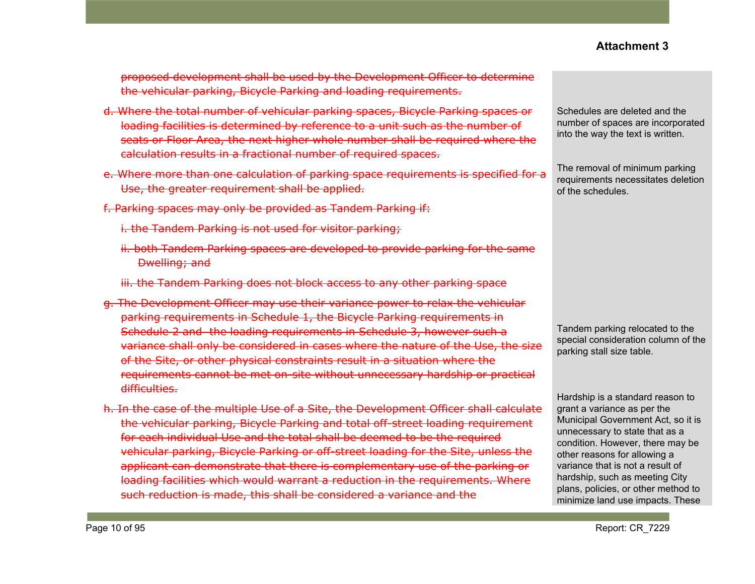proposed development shall be used by the Development Officer to determine the vehicular parking, Bicycle Parking and loading requirements.

- d. Where the total number of vehicular parking spaces, Bicycle Parking spaces or loading facilities is determined by reference to a unit such as the number of seats or Floor Area, the next higher whole number shall be required where the calculation results in a fractional number of required spaces.
- e. Where more than one calculation of parking space requirements is specified for a Use, the greater requirement shall be applied.
- f. Parking spaces may only be provided as Tandem Parking if:
	- i. the Tandem Parking is not used for visitor parking;
	- ii. both Tandem Parking spaces are developed to provide parking for the same Dwelling; and
	- iii. the Tandem Parking does not block access to any other parking space
- g. The Development Officer may use their variance power to relax the vehicular parking requirements in Schedule 1, the Bicycle Parking requirements in Schedule 2 and the loading requirements in Schedule 3, however such a variance shall only be considered in cases where the nature of the Use, the size of the Site, or other physical constraints result in a situation where the requirements cannot be met on-site without unnecessary hardship or practical difficulties.
- h. In the case of the multiple Use of a Site, the Development Officer shall calculate the vehicular parking, Bicycle Parking and total off-street loading requirement for each individual Use and the total shall be deemed to be the required vehicular parking, Bicycle Parking or off-street loading for the Site, unless the applicant can demonstrate that there is complementary use of the parking or loading facilities which would warrant a reduction in the requirements. Where such reduction is made, this shall be considered a variance and the

Schedules are deleted and the number of spaces are incorporated into the way the text is written.

The removal of minimum parking requirements necessitates deletion of the schedules.

Tandem parking relocated to the special consideration column of the parking stall size table.

Hardship is a standard reason to grant a variance as per the Municipal Government Act, so it is unnecessary to state that as a condition. However, there may be other reasons for allowing a variance that is not a result of hardship, such as meeting City plans, policies, or other method to minimize land use impacts. These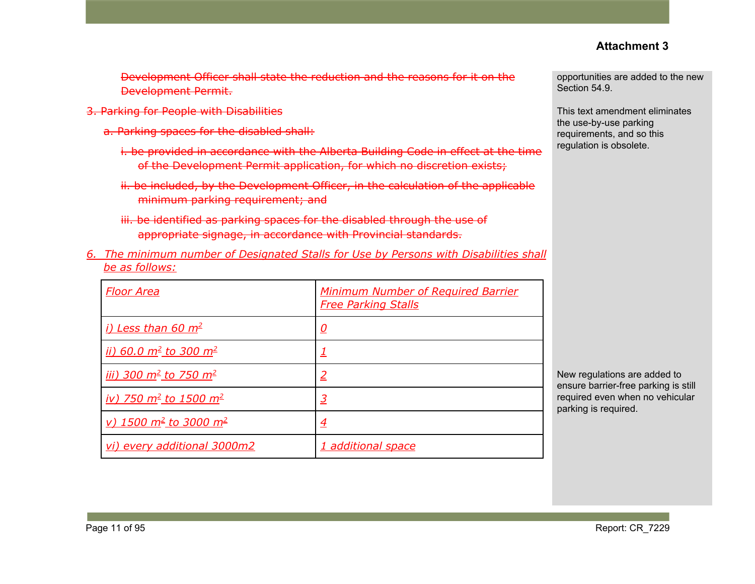Development Officer shall state the reduction and the reasons for it on the Development Permit.

- 3. Parking for People with Disabilities
	- a. Parking spaces for the disabled shall:
		- i. be provided in accordance with the Alberta Building Code in effect at the time of the Development Permit application, for which no discretion exists;
		- ii. be included, by the Development Officer, in the calculation of the applicable minimum parking requirement; and
		- iii. be identified as parking spaces for the disabled through the use of appropriate signage, in accordance with Provincial standards.
- *6. The minimum number of Designated Stalls for Use by Persons with Disabilities shall be as follows:*

| <u>Floor Area</u>                                  | <b>Minimum Number of Required Barrier</b><br><b>Free Parking Stalls</b> |
|----------------------------------------------------|-------------------------------------------------------------------------|
| <u>i) Less than 60 m<sup>2</sup></u>               | <u>0</u>                                                                |
| <u>ii) 60.0 m<sup>2</sup> to 300 m<sup>2</sup></u> |                                                                         |
| <u>iii) 300 m<sup>2</sup> to 750 m<sup>2</sup></u> | 2                                                                       |
| <u>iv) 750 m<sup>2</sup> to 1500 m<sup>2</sup></u> | 3                                                                       |
| <u>v) 1500 m<sup>2</sup> to 3000 m<sup>2</sup></u> | $\overline{4}$                                                          |
| vi) every additional 3000m2                        | 1 additional space                                                      |

opportunities are added to the new Section 54.9.

This text amendment eliminates the use-by-use parking requirements, and so this regulation is obsolete.

New regulations are added to ensure barrier-free parking is still required even when no vehicular parking is required.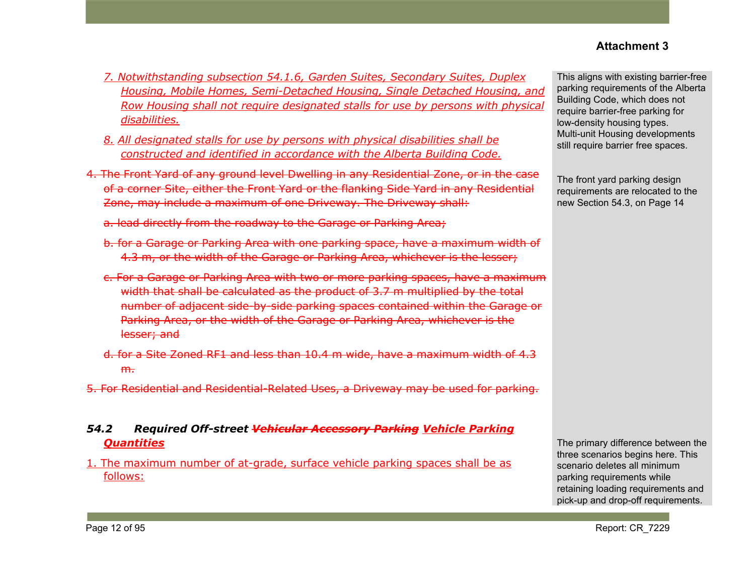- *7. Notwithstanding subsection 54.1.6, Garden Suites, Secondary Suites, Duplex Housing, Mobile Homes, Semi-Detached Housing, Single Detached Housing, and Row Housing shall not require designated stalls for use by persons with physical disabilities.*
- *8. All designated stalls for use by persons with physical disabilities shall be constructed and identified in accordance with the Alberta Building Code.*
- 4. The Front Yard of any ground level Dwelling in any Residential Zone, or in the case of a corner Site, either the Front Yard or the flanking Side Yard in any Residential Zone, may include a maximum of one Driveway. The Driveway shall:
	- a. lead directly from the roadway to the Garage or Parking Area;
	- b. for a Garage or Parking Area with one parking space, have a maximum width of 4.3 m, or the width of the Garage or Parking Area, whichever is the lesser;
	- c. For a Garage or Parking Area with two or more parking spaces, have a maximum width that shall be calculated as the product of 3.7 m multiplied by the total number of adjacent side-by-side parking spaces contained within the Garage or Parking Area, or the width of the Garage or Parking Area, whichever is the lesser; and
	- d. for a Site Zoned RF1 and less than 10.4 m wide, have a maximum width of 4.3  $m<sub>1</sub>$
- 5. For Residential and Residential-Related Uses, a Driveway may be used for parking.

#### *54.2 Required Off-street Vehicular Accessory Parking Vehicle Parking Quantities*

1. The maximum number of at-grade, surface vehicle parking spaces shall be as follows:

This aligns with existing barrier-free parking requirements of the Alberta Building Code, which does not require barrier-free parking for low-density housing types. Multi-unit Housing developments still require barrier free spaces.

The front yard parking design requirements are relocated to the new Section 54.3, on Page 14

The primary difference between the three scenarios begins here. This scenario deletes all minimum parking requirements while retaining loading requirements and pick-up and drop-off requirements.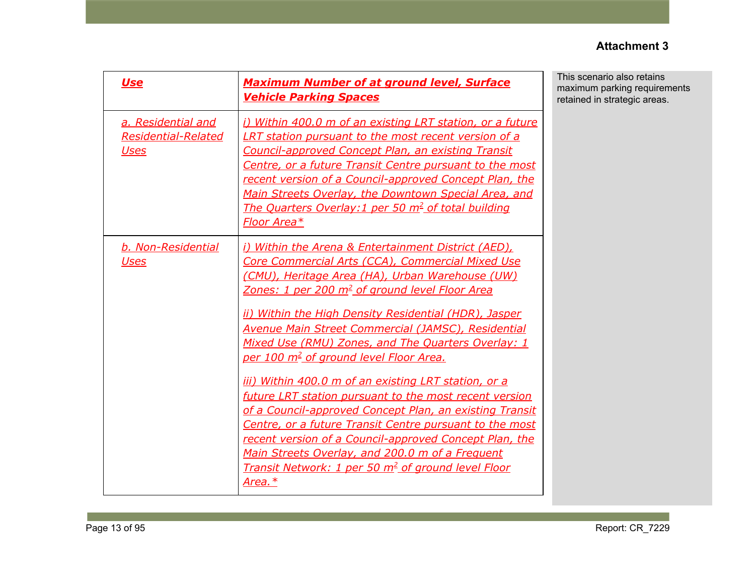| <b>Use</b>                                                      | <b>Maximum Number of at ground level, Surface</b><br><b>Vehicle Parking Spaces</b>                                                                                                                                                                                                                                                                                                                                                                                                                                                                                                                                                                                                                                                                                                                                                                                                                             | This scenario also retains<br>maximum parking requirements<br>retained in strategic areas. |
|-----------------------------------------------------------------|----------------------------------------------------------------------------------------------------------------------------------------------------------------------------------------------------------------------------------------------------------------------------------------------------------------------------------------------------------------------------------------------------------------------------------------------------------------------------------------------------------------------------------------------------------------------------------------------------------------------------------------------------------------------------------------------------------------------------------------------------------------------------------------------------------------------------------------------------------------------------------------------------------------|--------------------------------------------------------------------------------------------|
| a. Residential and<br><b>Residential-Related</b><br><b>Uses</b> | i) Within 400.0 m of an existing LRT station, or a future<br><b>LRT station pursuant to the most recent version of a</b><br><b>Council-approved Concept Plan, an existing Transit</b><br>Centre, or a future Transit Centre pursuant to the most<br>recent version of a Council-approved Concept Plan, the<br>Main Streets Overlay, the Downtown Special Area, and<br>The Quarters Overlay: 1 per 50 m <sup>2</sup> of total building<br>Floor Area*                                                                                                                                                                                                                                                                                                                                                                                                                                                           |                                                                                            |
| b. Non-Residential<br><b>Uses</b>                               | i) Within the Arena & Entertainment District (AED),<br>Core Commercial Arts (CCA), Commercial Mixed Use<br>(CMU), Heritage Area (HA), Urban Warehouse (UW)<br><u>Zones: 1 per 200 m<sup>2</sup> of ground level Floor Area</u><br>ii) Within the High Density Residential (HDR), Jasper<br><b>Avenue Main Street Commercial (JAMSC), Residential</b><br>Mixed Use (RMU) Zones, and The Quarters Overlay: 1<br>per 100 m <sup>2</sup> of ground level Floor Area.<br><u>iii) Within 400.0 m of an existing LRT station, or a</u><br>future LRT station pursuant to the most recent version<br>of a Council-approved Concept Plan, an existing Transit<br>Centre, or a future Transit Centre pursuant to the most<br>recent version of a Council-approved Concept Plan, the<br>Main Streets Overlay, and 200.0 m of a Frequent<br><b>Transit Network: 1 per 50 m<sup>2</sup> of ground level Floor</b><br>Area.* |                                                                                            |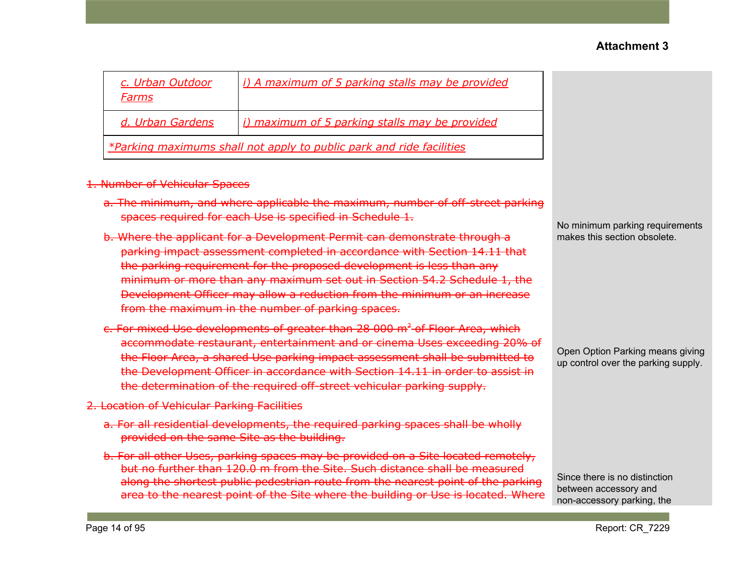| c. Urban Outdoor<br>Farms                                            | i) A maximum of 5 parking stalls may be provided |  |  |
|----------------------------------------------------------------------|--------------------------------------------------|--|--|
| d. Urban Gardens                                                     | i) maximum of 5 parking stalls may be provided   |  |  |
| *Parking maximums shall not apply to public park and ride facilities |                                                  |  |  |

#### 1. Number of Vehicular Spaces

- a. The minimum, and where applicable the maximum, number of off-street parking spaces required for each Use is specified in Schedule 1.
- b. Where the applicant for a Development Permit can demonstrate through a parking impact assessment completed in accordance with Section 14.11 that the parking requirement for the proposed development is less than any minimum or more than any maximum set out in Section 54.2 Schedule 1, the Development Officer may allow a reduction from the minimum or an increase from the maximum in the number of parking spaces.
- c. For mixed Use developments of greater than 28 000 m<sup>2</sup> of Floor Area, which accommodate restaurant, entertainment and or cinema Uses exceeding 20% of the Floor Area, a shared Use parking impact assessment shall be submitted to the Development Officer in accordance with Section 14.11 in order to assist in the determination of the required off-street vehicular parking supply.
- 2. Location of Vehicular Parking Facilities
	- a. For all residential developments, the required parking spaces shall be wholly provided on the same Site as the building.
	- b. For all other Uses, parking spaces may be provided on a Site located remotely, but no further than 120.0 m from the Site. Such distance shall be measured along the shortest public pedestrian route from the nearest point of the parking area to the nearest point of the Site where the building or Use is located. Where

No minimum parking requirements makes this section obsolete.

Open Option Parking means giving up control over the parking supply.

Since there is no distinction between accessory and non-accessory parking, the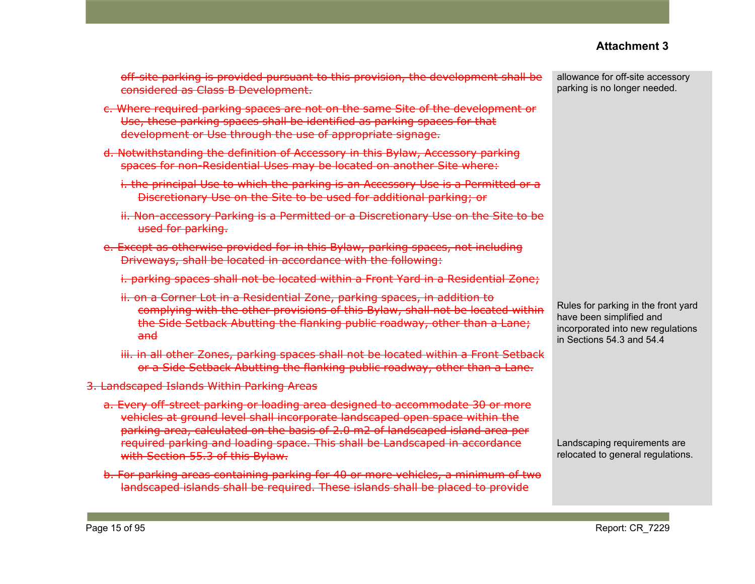off-site parking is provided pursuant to this provision, the development shall be considered as Class B Development.

- c. Where required parking spaces are not on the same Site of the development or Use, these parking spaces shall be identified as parking spaces for that development or Use through the use of appropriate signage.
- d. Notwithstanding the definition of Accessory in this Bylaw, Accessory parking spaces for non-Residential Uses may be located on another Site where:
	- i. the principal Use to which the parking is an Accessory Use is a Permitted or a Discretionary Use on the Site to be used for additional parking; or
	- ii. Non-accessory Parking is a Permitted or a Discretionary Use on the Site to be used for parking.
- e. Except as otherwise provided for in this Bylaw, parking spaces, not including Driveways, shall be located in accordance with the following:
	- i. parking spaces shall not be located within a Front Yard in a Residential Zone;
	- ii. on a Corner Lot in a Residential Zone, parking spaces, in addition to complying with the other provisions of this Bylaw, shall not be located within the Side Setback Abutting the flanking public roadway, other than a Lane; and
	- iii. in all other Zones, parking spaces shall not be located within a Front Setback or a Side Setback Abutting the flanking public roadway, other than a Lane.
- 3. Landscaped Islands Within Parking Areas
	- a. Every off-street parking or loading area designed to accommodate 30 or more vehicles at ground level shall incorporate landscaped open space within the parking area, calculated on the basis of 2.0 m2 of landscaped island area per required parking and loading space. This shall be Landscaped in accordance with Section 55.3 of this Bylaw.
	- b. For parking areas containing parking for 40 or more vehicles, a minimum of two landscaped islands shall be required. These islands shall be placed to provide

allowance for off-site accessory parking is no longer needed.

Rules for parking in the front yard have been simplified and incorporated into new regulations in Sections 54.3 and 54.4

Landscaping requirements are relocated to general regulations.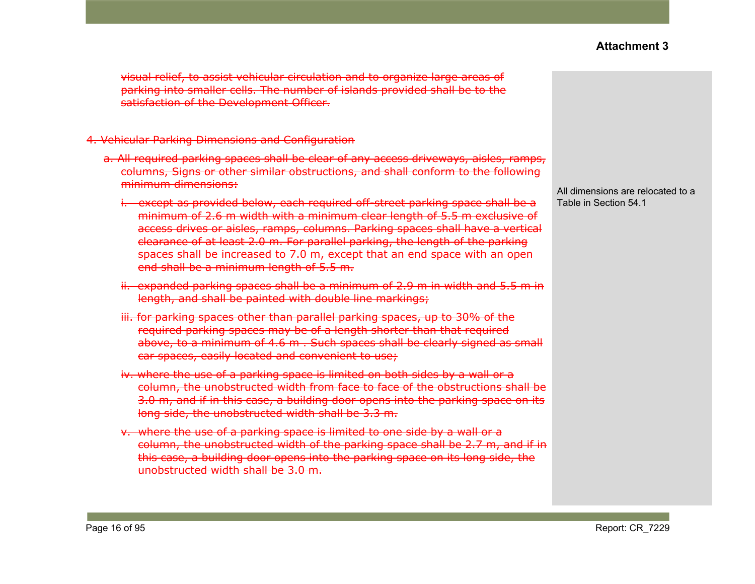visual relief, to assist vehicular circulation and to organize large areas of parking into smaller cells. The number of islands provided shall be to the satisfaction of the Development Officer.

#### 4. Vehicular Parking Dimensions and Configuration

- a. All required parking spaces shall be clear of any access driveways, aisles, ramps, columns, Signs or other similar obstructions, and shall conform to the following minimum dimensions:
	- i. except as provided below, each required off-street parking space shall be a minimum of 2.6 m width with a minimum clear length of 5.5 m exclusive of access drives or aisles, ramps, columns. Parking spaces shall have a vertical clearance of at least 2.0 m. For parallel parking, the length of the parking spaces shall be increased to 7.0 m, except that an end space with an open end shall be a minimum length of 5.5 m.
	- ii. expanded parking spaces shall be a minimum of 2.9 m in width and 5.5 m in length, and shall be painted with double line markings;
	- iii. for parking spaces other than parallel parking spaces, up to 30% of the required parking spaces may be of a length shorter than that required above, to a minimum of 4.6 m . Such spaces shall be clearly signed as small car spaces, easily located and convenient to use;
	- iv. where the use of a parking space is limited on both sides by a wall or a column, the unobstructed width from face to face of the obstructions shall be 3.0 m, and if in this case, a building door opens into the parking space on its long side, the unobstructed width shall be 3.3 m.
	- v. where the use of a parking space is limited to one side by a wall or a column, the unobstructed width of the parking space shall be 2.7 m, and if in this case, a building door opens into the parking space on its long side, the unobstructed width shall be 3.0 m.

All dimensions are relocated to a Table in Section 54.1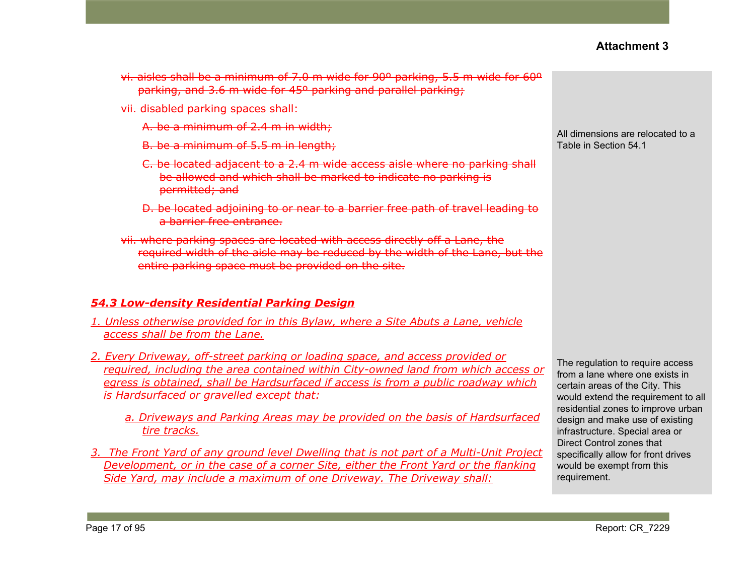- vi. aisles shall be a minimum of 7.0 m wide for 90º parking, 5.5 m wide for 60º parking, and 3.6 m wide for 45º parking and parallel parking;
- vii. disabled parking spaces shall:
	- A. be a minimum of 2.4 m in width;
	- B. be a minimum of 5.5 m in length;
	- C. be located adjacent to a 2.4 m wide access aisle where no parking shall be allowed and which shall be marked to indicate no parking is permitted; and
	- D. be located adjoining to or near to a barrier free path of travel leading to a barrier free entrance.
- vii. where parking spaces are located with access directly off a Lane, the required width of the aisle may be reduced by the width of the Lane, but the entire parking space must be provided on the site.

#### *54.3 Low-density Residential Parking Design*

- *1. Unless otherwise provided for in this Bylaw, where a Site Abuts a Lane, vehicle access shall be from the Lane.*
- *2. Every Driveway, off-street parking or loading space, and access provided or required, including the area contained within City-owned land from which access or egress is obtained, shall be Hardsurfaced if access is from a public roadway which is Hardsurfaced or gravelled except that:*
	- *a. Driveways and Parking Areas may be provided on the basis of Hardsurfaced tire tracks.*
- *3. The Front Yard of any ground level Dwelling that is not part of a Multi-Unit Project Development, or in the case of a corner Site, either the Front Yard or the flanking Side Yard, may include a maximum of one Driveway. The Driveway shall:*

All dimensions are relocated to a Table in Section 54.1

The regulation to require access from a lane where one exists in certain areas of the City. This would extend the requirement to all residential zones to improve urban design and make use of existing infrastructure. Special area or Direct Control zones that specifically allow for front drives would be exempt from this requirement.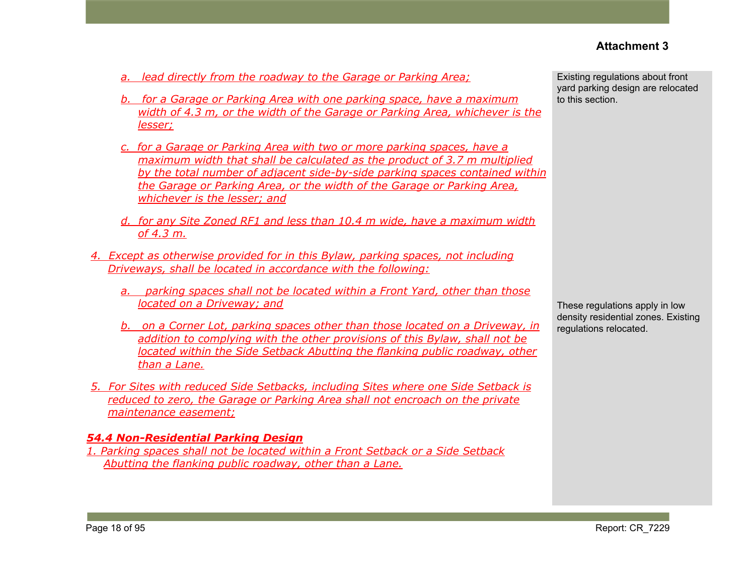- *a. lead directly from the roadway to the Garage or Parking Area;*
- *b. for a Garage or Parking Area with one parking space, have a maximum width of 4.3 m, or the width of the Garage or Parking Area, whichever is the lesser;*
- *c. for a Garage or Parking Area with two or more parking spaces, have a maximum width that shall be calculated as the product of 3.7 m multiplied by the total number of adjacent side-by-side parking spaces contained within the Garage or Parking Area, or the width of the Garage or Parking Area, whichever is the lesser; and*
- *d. for any Site Zoned RF1 and less than 10.4 m wide, have a maximum width of 4.3 m.*
- *4. Except as otherwise provided for in this Bylaw, parking spaces, not including Driveways, shall be located in accordance with the following:*
	- *a. parking spaces shall not be located within a Front Yard, other than those located on a Driveway; and*
	- *b. on a Corner Lot, parking spaces other than those located on a Driveway, in addition to complying with the other provisions of this Bylaw, shall not be located within the Side Setback Abutting the flanking public roadway, other than a Lane.*
- *5. For Sites with reduced Side Setbacks, including Sites where one Side Setback is reduced to zero, the Garage or Parking Area shall not encroach on the private maintenance easement;*

#### *54.4 Non-Residential Parking Design*

*1. Parking spaces shall not be located within a Front Setback or a Side Setback Abutting the flanking public roadway, other than a Lane.*

Existing regulations about front yard parking design are relocated to this section.

These regulations apply in low density residential zones. Existing regulations relocated.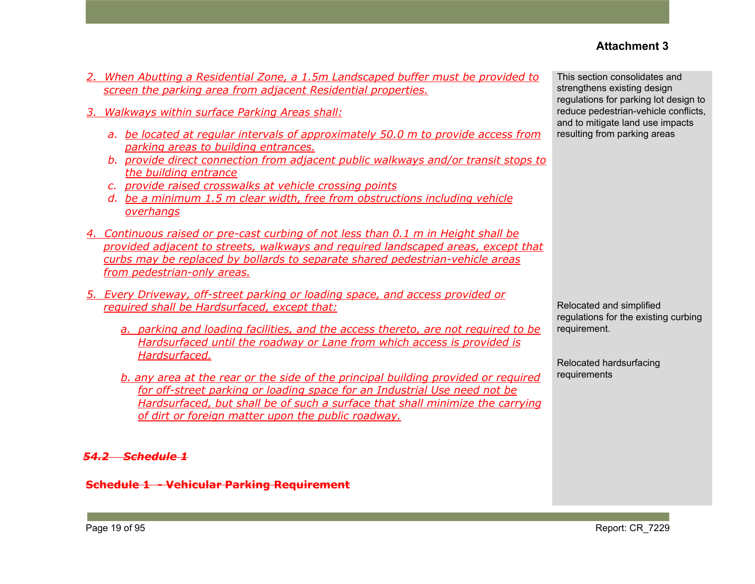- *2. When Abutting a Residential Zone, a 1.5m Landscaped buffer must be provided to screen the parking area from adjacent Residential properties.*
- *3. Walkways within surface Parking Areas shall:*
	- *a. be located at regular intervals of approximately 50.0 m to provide access from parking areas to building entrances.*
	- *b. provide direct connection from adjacent public walkways and/or transit stops to the building entrance*
	- *c. provide raised crosswalks at vehicle crossing points*
	- *d. be a minimum 1.5 m clear width, free from obstructions including vehicle overhangs*
- *4. Continuous raised or pre-cast curbing of not less than 0.1 m in Height shall be provided adjacent to streets, walkways and required landscaped areas, except that curbs may be replaced by bollards to separate shared pedestrian-vehicle areas from pedestrian-only areas.*
- *5. Every Driveway, off-street parking or loading space, and access provided or required shall be Hardsurfaced, except that:*
	- *a. parking and loading facilities, and the access thereto, are not required to be Hardsurfaced until the roadway or Lane from which access is provided is Hardsurfaced.*
	- *b. any area at the rear or the side of the principal building provided or required for off-street parking or loading space for an Industrial Use need not be Hardsurfaced, but shall be of such a surface that shall minimize the carrying of dirt or foreign matter upon the public roadway.*

#### *54.2 Schedule 1*

**Schedule 1 - Vehicular Parking Requirement**

This section consolidates and strengthens existing design regulations for parking lot design to reduce pedestrian-vehicle conflicts, and to mitigate land use impacts resulting from parking areas

Relocated and simplified regulations for the existing curbing requirement.

Relocated hardsurfacing requirements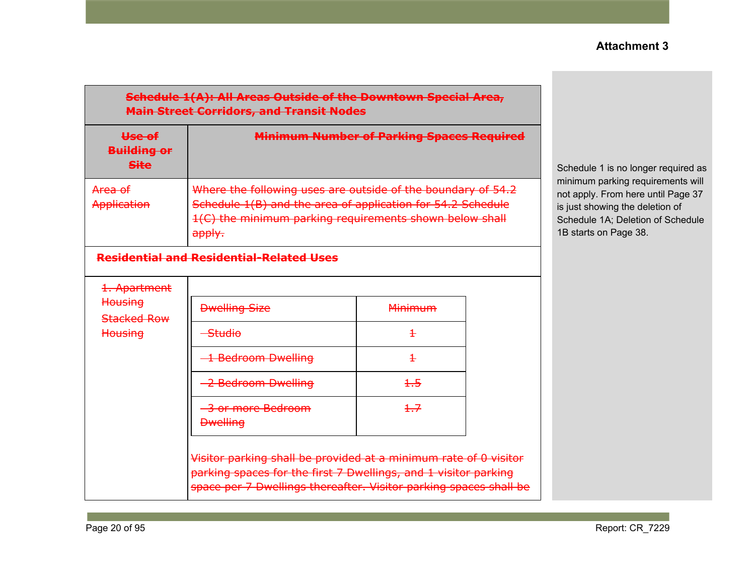#### **Schedule 1(A): All Areas Outside of the Downtown Special Area, Main Street Corridors, and Transit Nodes**

| Use of<br><b>Building or</b><br><b>Site</b> | <b>Minimum Number of Parking Spaces Required</b>                                                                                                                                              |
|---------------------------------------------|-----------------------------------------------------------------------------------------------------------------------------------------------------------------------------------------------|
| Area of<br><b>Application</b>               | Where the following uses are outside of the boundary of 54.2<br>Schedule 1(B) and the area of application for 54.2 Schedule<br>1(C) the minimum parking requirements shown below shall<br>2nn |

### **Residential and Residential-Related Uses**

| 1. Apartment                             |                                      |                |  |
|------------------------------------------|--------------------------------------|----------------|--|
| Housing<br>Stacked Row<br><b>Housing</b> | <b>Dwelling Size</b>                 | <b>Minimum</b> |  |
|                                          | Studio                               |                |  |
|                                          | 1 Bedroom Dwelling                   |                |  |
|                                          | 2 Bedroom Dwelling                   | $+5$           |  |
|                                          | 3 or more Bedroom<br><b>Dwelling</b> | 1.7            |  |

Visitor parking shall be provided at a minimum rate of 0 visitor parking spaces for the first 7 Dwellings, and 1 visitor parking space per 7 Dwellings thereafter. Visitor parking spaces shall be Schedule 1 is no longer required as minimum parking requirements will not apply. From here until Page 37 is just showing the deletion of Schedule 1A; Deletion of Schedule 1B starts on Page 38.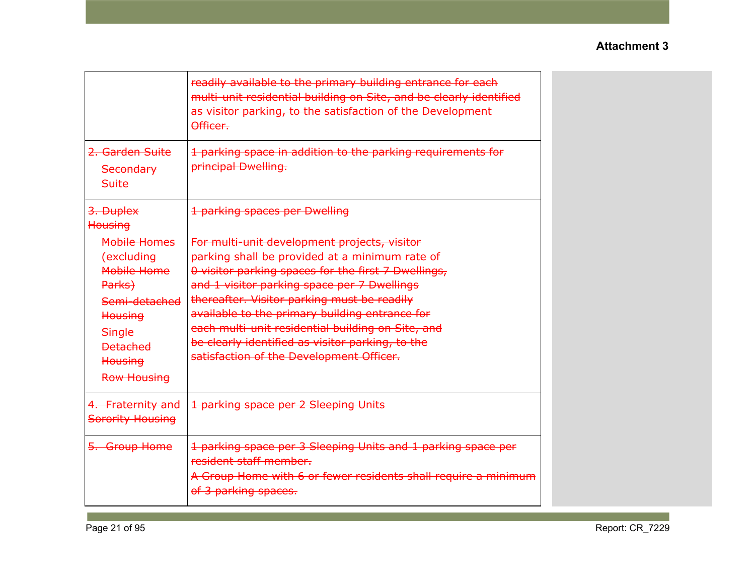|                                                                | readily available to the primary building entrance for each<br>multi-unit residential building on Site, and be clearly identified<br>as visitor parking, to the satisfaction of the Development<br>Officer. |
|----------------------------------------------------------------|-------------------------------------------------------------------------------------------------------------------------------------------------------------------------------------------------------------|
| <del>2. Garden Suite</del><br><b>Secondary</b><br><b>Suite</b> | 1 parking space in addition to the parking requirements for<br>principal Dwelling.                                                                                                                          |
| 3. Duplex<br>Housing                                           | 1 parking spaces per Dwelling                                                                                                                                                                               |
| Mobile Homes                                                   | For multi-unit development projects, visitor                                                                                                                                                                |
| <b>(excluding</b>                                              | parking shall be provided at a minimum rate of                                                                                                                                                              |
| Mobile Home                                                    | 0 visitor parking spaces for the first 7 Dwellings,                                                                                                                                                         |
| Parks)                                                         | and 1 visitor parking space per 7 Dwellings                                                                                                                                                                 |
| Semi-detached                                                  | thereafter. Visitor parking must be readily                                                                                                                                                                 |
| <b>Housing</b>                                                 | available to the primary building entrance for                                                                                                                                                              |
| <b>Single</b>                                                  | each multi-unit residential building on Site, and                                                                                                                                                           |
| <b>Detached</b>                                                | be clearly identified as visitor parking, to the                                                                                                                                                            |
| <b>Housing</b>                                                 | satisfaction of the Development Officer.                                                                                                                                                                    |
| <b>Row Housing</b>                                             |                                                                                                                                                                                                             |
| 4. Fraternity and<br><b>Sorority Housing</b>                   | 1 parking space per 2 Sleeping Units                                                                                                                                                                        |
| 5. Group Home                                                  | 1 parking space per 3 Sleeping Units and 1 parking space per<br>resident staff member.                                                                                                                      |
|                                                                | A Group Home with 6 or fewer residents shall require a minimum<br>of 3 parking spaces.                                                                                                                      |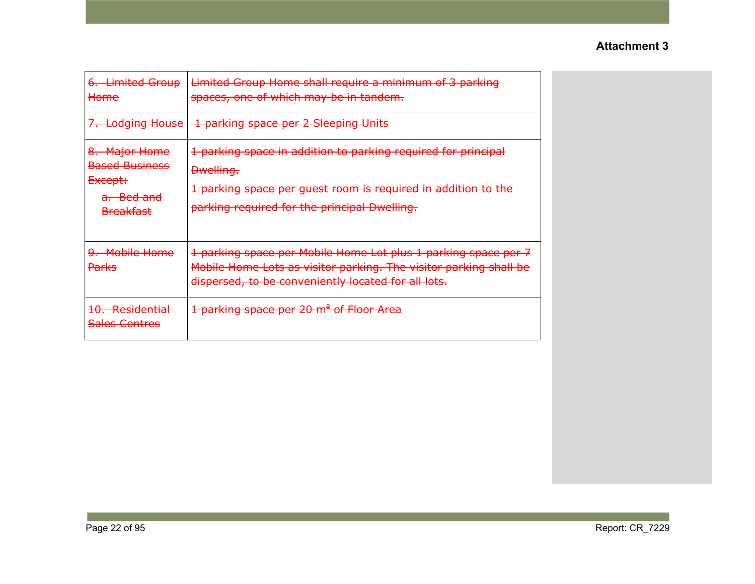| 6. Limited Group<br>Home                                                                       | Limited Group Home shall require a minimum of 3 parking<br>spaces, one of which may be in tandem.                                                                                                  |
|------------------------------------------------------------------------------------------------|----------------------------------------------------------------------------------------------------------------------------------------------------------------------------------------------------|
| 7. Lodging House                                                                               | 1 parking space per 2 Sleeping Units                                                                                                                                                               |
| 8. Major Home<br><b>Based Business</b><br><del>Except:</del><br>a. Bed and<br><b>Breakfast</b> | 1 parking space in addition to parking required for principal<br><b>Dwelling.</b><br>1 parking space per guest room is required in addition to the<br>parking required for the principal Dwelling. |
| 9. Mobile Home<br><b>Parks</b>                                                                 | 1 parking space per Mobile Home Lot plus 1 parking space per 7<br>Mobile Home Lots as visitor parking. The visitor parking shall be<br>dispersed, to be conveniently located for all lots.         |
| 10. Residential<br><b>Sales Centres</b>                                                        | 1 parking space per 20 m <sup>2</sup> of Floor Area                                                                                                                                                |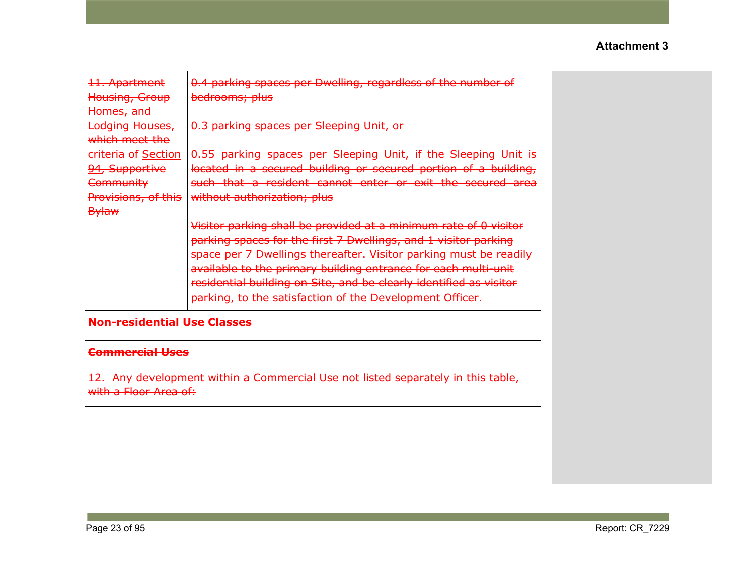| 11. Apartment<br>Housing, Group<br>Homes, and<br>Lodging Houses,                                          | 0.4 parking spaces per Dwelling, regardless of the number of<br>bedrooms; plus<br>0.3 parking spaces per Sleeping Unit, or                                                                                                                                                                                                                                                                                   |  |  |  |
|-----------------------------------------------------------------------------------------------------------|--------------------------------------------------------------------------------------------------------------------------------------------------------------------------------------------------------------------------------------------------------------------------------------------------------------------------------------------------------------------------------------------------------------|--|--|--|
| which meet the<br>criteria of Section<br>94, Supportive<br>Community<br>Provisions, of this               | 0.55 parking spaces per Sleeping Unit, if the Sleeping Unit is<br>located in a secured building or secured portion of a building,<br>such that a resident cannot enter or exit the secured area<br>without authorization; plus                                                                                                                                                                               |  |  |  |
| <b>Bylaw</b>                                                                                              | Visitor parking shall be provided at a minimum rate of 0 visitor<br>parking spaces for the first 7 Dwellings, and 1 visitor parking<br>space per 7 Dwellings thereafter. Visitor parking must be readily<br>available to the primary building entrance for each multi-unit<br>residential building on Site, and be clearly identified as visitor<br>parking, to the satisfaction of the Development Officer. |  |  |  |
| <b>Non-residential Use Classes</b>                                                                        |                                                                                                                                                                                                                                                                                                                                                                                                              |  |  |  |
| <b>Commercial Uses</b>                                                                                    |                                                                                                                                                                                                                                                                                                                                                                                                              |  |  |  |
| 12. Any development within a Commercial Use not listed separately in this table,<br>with a Floor Area of: |                                                                                                                                                                                                                                                                                                                                                                                                              |  |  |  |
|                                                                                                           |                                                                                                                                                                                                                                                                                                                                                                                                              |  |  |  |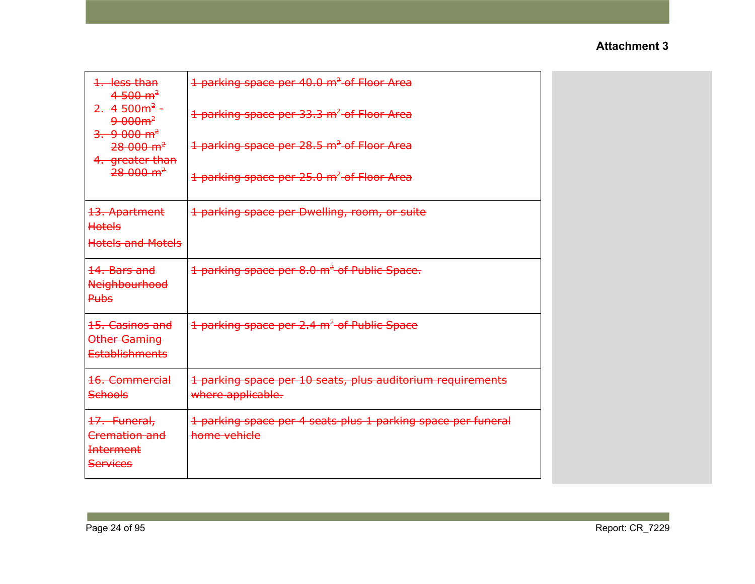| 1. less than<br>$4-500$ m <sup>2</sup><br>$2.4500m^2$<br>$9.000m^2$<br>3.900 m <sup>2</sup><br>$28000 \text{ m}^2$<br>4. greater than<br>$28000 \text{ m}^2$ | 1 parking space per 40.0 m <sup>2</sup> of Floor Area<br>1 parking space per 33.3 m <sup>2</sup> of Floor Area<br>1 parking space per 28.5 m <sup>2</sup> of Floor Area<br>1 parking space per 25.0 m <sup>2</sup> of Floor Area |  |
|--------------------------------------------------------------------------------------------------------------------------------------------------------------|----------------------------------------------------------------------------------------------------------------------------------------------------------------------------------------------------------------------------------|--|
| 13. Apartment<br><b>Hotels</b><br><b>Hotels and Motels</b>                                                                                                   | 1 parking space per Dwelling, room, or suite                                                                                                                                                                                     |  |
| 14. Bars and<br><b>Neighbourhood</b><br><b>Pubs</b>                                                                                                          | 1 parking space per 8.0 m <sup>2</sup> of Public Space.                                                                                                                                                                          |  |
| 15. Casinos and<br>Other Gaming<br><b>Establishments</b>                                                                                                     | 1 parking space per 2.4 m <sup>2</sup> of Public Space                                                                                                                                                                           |  |
| 16. Commercial<br><b>Schools</b>                                                                                                                             | 1 parking space per 10 seats, plus auditorium requirements<br>where applicable.                                                                                                                                                  |  |
| 17. Funeral,<br>Cremation and<br><b>Interment</b><br><b>Services</b>                                                                                         | 1 parking space per 4 seats plus 1 parking space per funeral<br>home vehicle                                                                                                                                                     |  |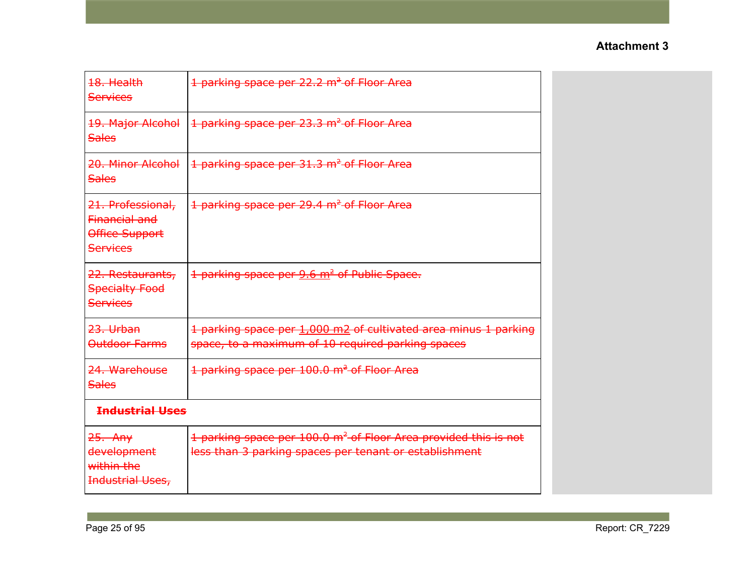| 18. Health<br><b>Services</b>                                              | 1 parking space per 22.2 m <sup>2</sup> of Floor Area                                                                                 |
|----------------------------------------------------------------------------|---------------------------------------------------------------------------------------------------------------------------------------|
| 19. Major Alcohol<br><b>Sales</b>                                          | 1 parking space per 23.3 m <sup>2</sup> of Floor Area                                                                                 |
| 20. Minor Alcohol<br><b>Sales</b>                                          | 1 parking space per 31.3 m <sup>2</sup> of Floor Area                                                                                 |
| 21. Professional,<br>Financial and<br>Office Support<br><b>Services</b>    | 1 parking space per 29.4 m <sup>2</sup> of Floor Area                                                                                 |
| 22. Restaurants,<br><b>Specialty Food</b><br>Services                      | 1 parking space per 9.6 m <sup>2</sup> of Public Space.                                                                               |
| <del>23. Urban</del><br>Outdoor Farms                                      | 1 parking space per 1,000 m2 of cultivated area minus 1 parking<br>space, to a maximum of 10 required parking spaces                  |
| 24. Warehouse<br><b>Sales</b>                                              | 1 parking space per 100.0 m <sup>2</sup> of Floor Area                                                                                |
| <b>Industrial Uses</b>                                                     |                                                                                                                                       |
| <del>25. Any</del><br>development<br>within the<br><b>Industrial Uses,</b> | 1 parking space per 100.0 m <sup>2</sup> of Floor Area provided this is not<br>less than 3 parking spaces per tenant or establishment |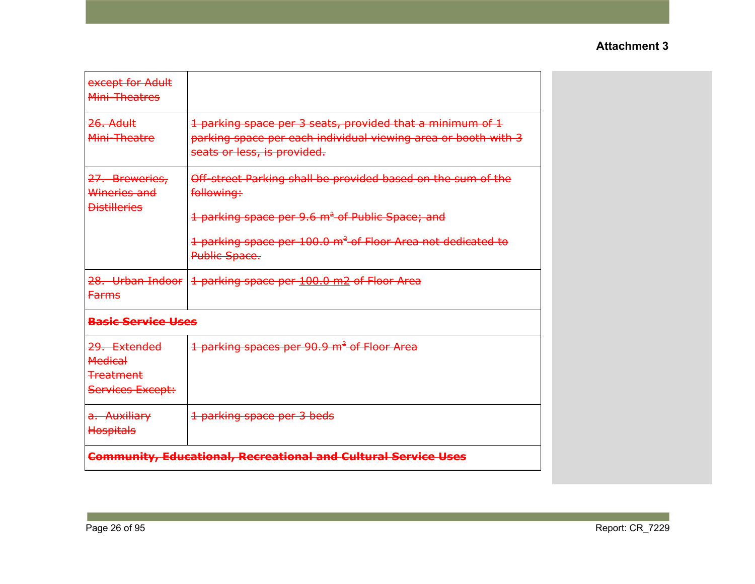| except for Adult<br>Mini-Theatres                                      |                                                                                                                                                                                                                                       |
|------------------------------------------------------------------------|---------------------------------------------------------------------------------------------------------------------------------------------------------------------------------------------------------------------------------------|
| 26. Adult<br>Mini-Theatre                                              | 1 parking space per 3 seats, provided that a minimum of 1<br>parking space per each individual viewing area or booth with 3<br>seats or less, is provided.                                                                            |
| 27. Breweries,<br>Wineries and<br><b>Distilleries</b>                  | Off-street Parking shall be provided based on the sum of the<br>following:<br>1 parking space per 9.6 m <sup>2</sup> of Public Space; and<br>1 parking space per 100.0 m <sup>2</sup> of Floor Area not dedicated to<br>Public Space. |
| 28. Urban Indoor<br><b>Farms</b>                                       | 1 parking space per 100.0 m2 of Floor Area                                                                                                                                                                                            |
| <b>Basic Service Uses</b>                                              |                                                                                                                                                                                                                                       |
| 29. Extended<br><b>Medical</b><br><b>Treatment</b><br>Services Except: | 1 parking spaces per 90.9 m <sup>2</sup> of Floor Area                                                                                                                                                                                |
| a. Auxiliary<br>Hospitals                                              | 1 parking space per 3 beds                                                                                                                                                                                                            |
|                                                                        | <b>Community, Educational, Recreational and Cultural Service Uses</b>                                                                                                                                                                 |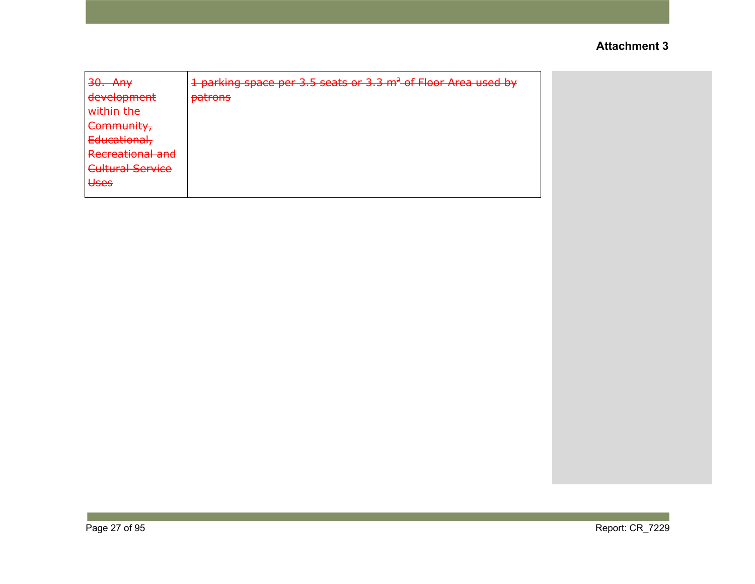| $20 \pm \sqrt{2}$<br><del>JU. AII</del>                | 1 parking space per 3.5 seats or 3.3 m <sup>2</sup> of Floor Area used by |
|--------------------------------------------------------|---------------------------------------------------------------------------|
| dovolonmont<br><del>acveiopment</del>                  | patrope<br>ранины                                                         |
| within the                                             |                                                                           |
| Community,                                             |                                                                           |
| Educational,                                           |                                                                           |
| <b>Docroptional and</b><br><del>Recreational and</del> |                                                                           |
| <b>Cultural Service</b>                                |                                                                           |
| عمعللا<br>$\overline{\mathbf{C}}$                      |                                                                           |
|                                                        |                                                                           |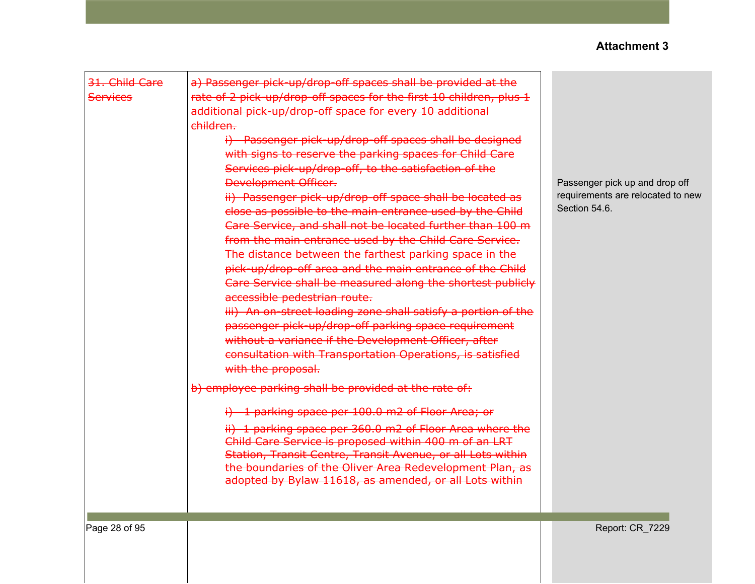| 31. Child Care<br><b>Services</b> | a) Passenger pick-up/drop-off spaces shall be provided at the<br>rate of 2 pick-up/drop-off spaces for the first 10 children, plus 1<br>additional pick-up/drop-off space for every 10 additional<br>children.<br>i) Passenger pick-up/drop-off spaces shall be designed<br>with signs to reserve the parking spaces for Child Care<br>Services pick-up/drop-off, to the satisfaction of the<br><b>Development Officer.</b><br>ii) Passenger pick-up/drop-off space shall be located as<br>close as possible to the main entrance used by the Child<br>Care Service, and shall not be located further than 100 m<br>from the main entrance used by the Child Care Service.<br>The distance between the farthest parking space in the<br>pick-up/drop-off area and the main entrance of the Child<br>Care Service shall be measured along the shortest publicly<br>accessible pedestrian route.<br>iii) An on-street loading zone shall satisfy a portion of the<br>passenger pick-up/drop-off parking space requirement<br>without a variance if the Development Officer, after<br>consultation with Transportation Operations, is satisfied<br>with the proposal.<br>b) employee parking shall be provided at the rate of:<br>i) 1 parking space per 100.0 m2 of Floor Area; or<br>ii) 1 parking space per 360.0 m2 of Floor Area where the<br>Child Care Service is proposed within 400 m of an LRT<br>Station, Transit Centre, Transit Avenue, or all Lots within<br>the boundaries of the Oliver Area Redevelopment Plan, as<br>adopted by Bylaw 11618, as amended, or all Lots within | Passenger pick up and drop off<br>requirements are relocated to new<br>Section 54.6. |
|-----------------------------------|--------------------------------------------------------------------------------------------------------------------------------------------------------------------------------------------------------------------------------------------------------------------------------------------------------------------------------------------------------------------------------------------------------------------------------------------------------------------------------------------------------------------------------------------------------------------------------------------------------------------------------------------------------------------------------------------------------------------------------------------------------------------------------------------------------------------------------------------------------------------------------------------------------------------------------------------------------------------------------------------------------------------------------------------------------------------------------------------------------------------------------------------------------------------------------------------------------------------------------------------------------------------------------------------------------------------------------------------------------------------------------------------------------------------------------------------------------------------------------------------------------------------------------------------------------------------------------------------|--------------------------------------------------------------------------------------|
| Page 28 of 95                     |                                                                                                                                                                                                                                                                                                                                                                                                                                                                                                                                                                                                                                                                                                                                                                                                                                                                                                                                                                                                                                                                                                                                                                                                                                                                                                                                                                                                                                                                                                                                                                                            | Report: CR_7229                                                                      |
|                                   |                                                                                                                                                                                                                                                                                                                                                                                                                                                                                                                                                                                                                                                                                                                                                                                                                                                                                                                                                                                                                                                                                                                                                                                                                                                                                                                                                                                                                                                                                                                                                                                            |                                                                                      |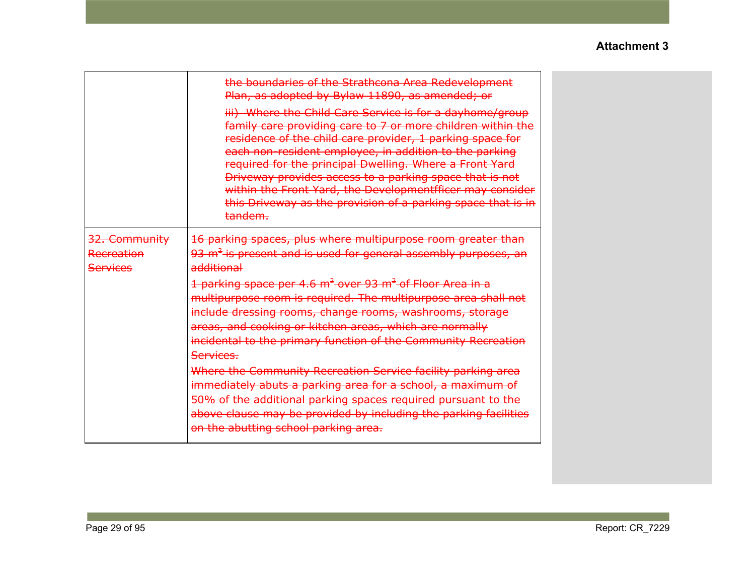|                                                | the boundaries of the Strathcona Area Redevelopment<br>Plan, as adopted by Bylaw 11890, as amended; or<br>iii) Where the Child Care Service is for a dayhome/group<br>family care providing care to 7 or more children within the<br>residence of the child care provider, 1 parking space for<br>each non-resident employee, in addition to the parking<br>required for the principal Dwelling. Where a Front Yard<br>Driveway provides access to a parking space that is not<br>within the Front Yard, the Developmentfficer may consider<br>this Driveway as the provision of a parking space that is in<br>tandem.                                                                                                                                                                                                          |
|------------------------------------------------|---------------------------------------------------------------------------------------------------------------------------------------------------------------------------------------------------------------------------------------------------------------------------------------------------------------------------------------------------------------------------------------------------------------------------------------------------------------------------------------------------------------------------------------------------------------------------------------------------------------------------------------------------------------------------------------------------------------------------------------------------------------------------------------------------------------------------------|
| 32. Community<br>Recreation<br><b>Services</b> | 16 parking spaces, plus where multipurpose room greater than<br>$93 \text{ m}^2$ is present and is used for general assembly purposes, an<br>additional<br>1 parking space per 4.6 m <sup>2</sup> over 93 m <sup>2</sup> of Floor Area in a<br>multipurpose room is required. The multipurpose area shall not<br>include dressing rooms, change rooms, washrooms, storage<br>areas, and cooking or kitchen areas, which are normally<br>incidental to the primary function of the Community Recreation<br>Services.<br>Where the Community Recreation Service facility parking area<br>immediately abuts a parking area for a school, a maximum of<br>50% of the additional parking spaces required pursuant to the<br>above clause may be provided by including the parking facilities<br>on the abutting school parking area. |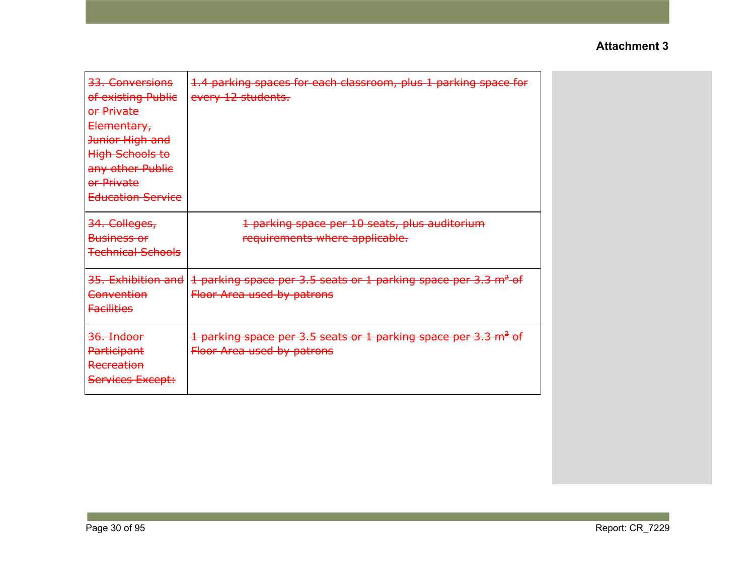| <del>33. Conversions</del><br>of existing Public<br>or Private<br>Elementary,<br>Junior High and<br>High Schools to<br>any other Public<br><del>or Private</del><br><b>Education Service</b> | 1.4 parking spaces for each classroom, plus 1 parking space for<br>every 12 students.                    |
|----------------------------------------------------------------------------------------------------------------------------------------------------------------------------------------------|----------------------------------------------------------------------------------------------------------|
| 34. Colleges,<br><b>Business or</b><br><del>Technical Schools</del>                                                                                                                          | 1 parking space per 10 seats, plus auditorium<br>requirements where applicable.                          |
| <del>35. Exhibition and</del><br><del>Convention</del><br><b>Facilities</b>                                                                                                                  | 1 parking space per 3.5 seats or 1 parking space per 3.3 m <sup>2</sup> of<br>Floor Area used by patrons |
| <del>36. Indoor</del><br><b>Participant</b><br>Recreation<br>Services Except:                                                                                                                | 1 parking space per 3.5 seats or 1 parking space per 3.3 m <sup>2</sup> of<br>Floor Area used by patrons |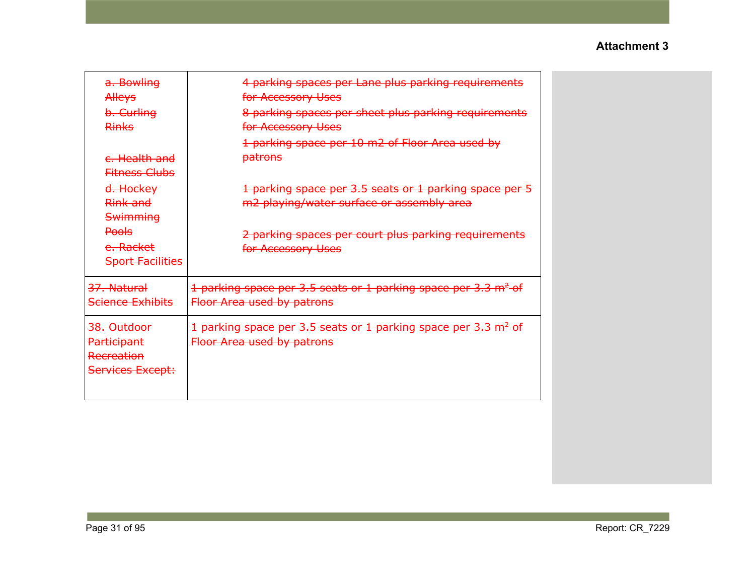| a. Bowling<br>Alleys<br>b. Curling<br><b>Rinks</b>                                                          | 4 parking spaces per Lane plus parking requirements<br>for Accessory Uses<br>8 parking spaces per sheet plus parking requirements<br>for Accessory Uses<br>1 parking space per 10 m2 of Floor Area used by |
|-------------------------------------------------------------------------------------------------------------|------------------------------------------------------------------------------------------------------------------------------------------------------------------------------------------------------------|
| <del>c. Health and</del><br><b>Fitness Clubs</b>                                                            | patrons                                                                                                                                                                                                    |
| <del>d. Hockey</del><br>Rink and<br><b>Swimming</b><br><b>Pools</b><br>e. Racket<br><b>Sport Facilities</b> | 1 parking space per 3.5 seats or 1 parking space per 5<br>m2 playing/water surface or assembly area<br>2 parking spaces per court plus parking requirements<br>for Accessory Uses                          |
| 37. Natural<br><b>Science Exhibits</b>                                                                      | 1 parking space per 3.5 seats or 1 parking space per 3.3 m <sup>2</sup> of<br>Floor Area used by patrons                                                                                                   |
| 38. Outdoor<br>Participant<br>Recreation<br>Services Except:                                                | 1 parking space per 3.5 seats or 1 parking space per 3.3 m <sup>2</sup> of<br>Floor Area used by patrons                                                                                                   |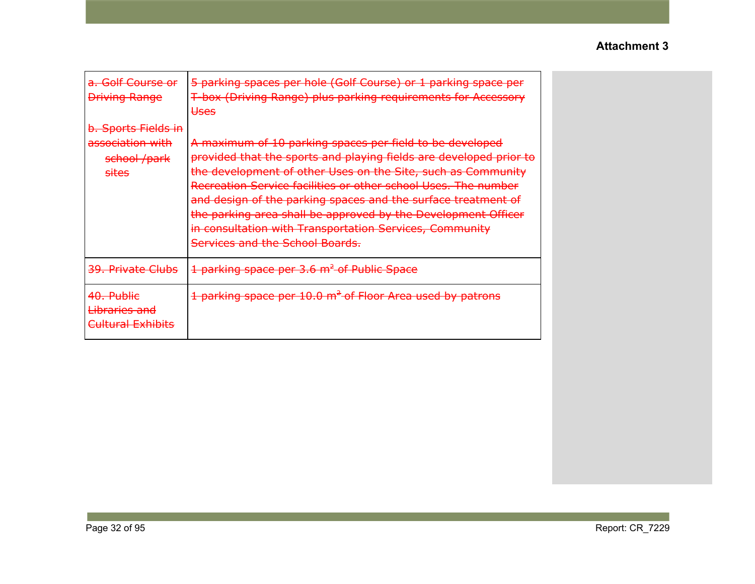| <del>a. Golf Course or</del><br><b>Driving Range</b>                                   | 5 parking spaces per hole (Golf Course) or 1 parking space per<br>T-box (Driving Range) plus parking requirements for Accessory<br><b>Uses</b>                                                                                                                                                                                                                                                                                                                                                   |
|----------------------------------------------------------------------------------------|--------------------------------------------------------------------------------------------------------------------------------------------------------------------------------------------------------------------------------------------------------------------------------------------------------------------------------------------------------------------------------------------------------------------------------------------------------------------------------------------------|
| <del>b. Sports Fields in</del><br>association with<br>school /park<br><del>sites</del> | A maximum of 10 parking spaces per field to be developed<br>provided that the sports and playing fields are developed prior to<br>the development of other Uses on the Site, such as Community<br>Recreation Service facilities or other school Uses. The number<br>and design of the parking spaces and the surface treatment of<br>the parking area shall be approved by the Development Officer<br>in consultation with Transportation Services, Community<br>Services and the School Boards. |
|                                                                                        |                                                                                                                                                                                                                                                                                                                                                                                                                                                                                                  |
| <del>39. Private Clubs</del>                                                           | 1 parking space per 3.6 m <sup>2</sup> of Public Space                                                                                                                                                                                                                                                                                                                                                                                                                                           |
| <del>40. Public</del><br><del>Libraries and</del><br><del>Cultural Exhibits</del>      | 1 parking space per 10.0 m <sup>2</sup> of Floor Area used by patrons                                                                                                                                                                                                                                                                                                                                                                                                                            |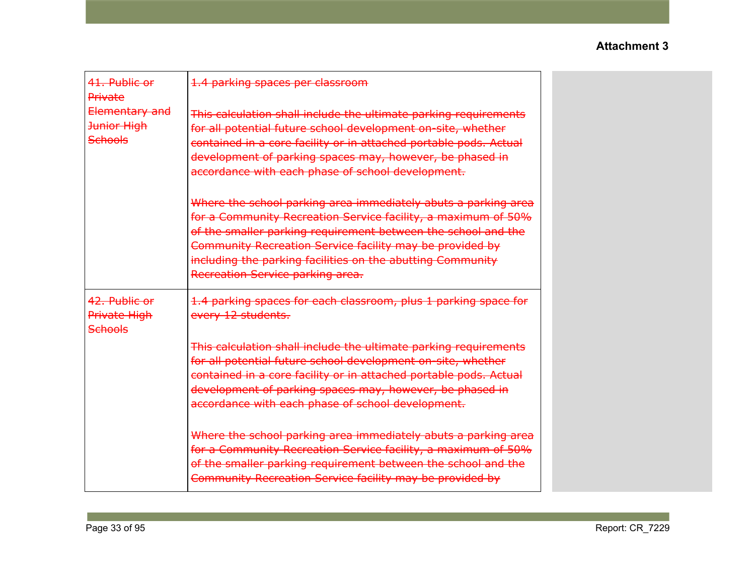| 41. Public or<br>Private                               | 1.4 parking spaces per classroom                                                                                                                                                                                                                                                                                                                               |  |
|--------------------------------------------------------|----------------------------------------------------------------------------------------------------------------------------------------------------------------------------------------------------------------------------------------------------------------------------------------------------------------------------------------------------------------|--|
| Elementary and<br><b>Junior High</b><br><b>Schools</b> | This calculation shall include the ultimate parking requirements<br>for all potential future school development on-site, whether<br>contained in a core facility or in attached portable pods. Actual<br>development of parking spaces may, however, be phased in<br>accordance with each phase of school development.                                         |  |
|                                                        | Where the school parking area immediately abuts a parking area<br>for a Community Recreation Service facility, a maximum of 50%<br>of the smaller parking requirement between the school and the<br>Community Recreation Service facility may be provided by<br>including the parking facilities on the abutting Community<br>Recreation Service parking area. |  |
| 42. Public or<br>Private High<br><b>Schools</b>        | 1.4 parking spaces for each classroom, plus 1 parking space for<br>every 12 students.                                                                                                                                                                                                                                                                          |  |
|                                                        | This calculation shall include the ultimate parking requirements<br>for all potential future school development on-site, whether<br>contained in a core facility or in attached portable pods. Actual<br>development of parking spaces may, however, be phased in<br>accordance with each phase of school development.                                         |  |
|                                                        | Where the school parking area immediately abuts a parking area<br>for a Community Recreation Service facility, a maximum of 50%<br>of the smaller parking requirement between the school and the<br>Community Recreation Service facility may be provided by                                                                                                   |  |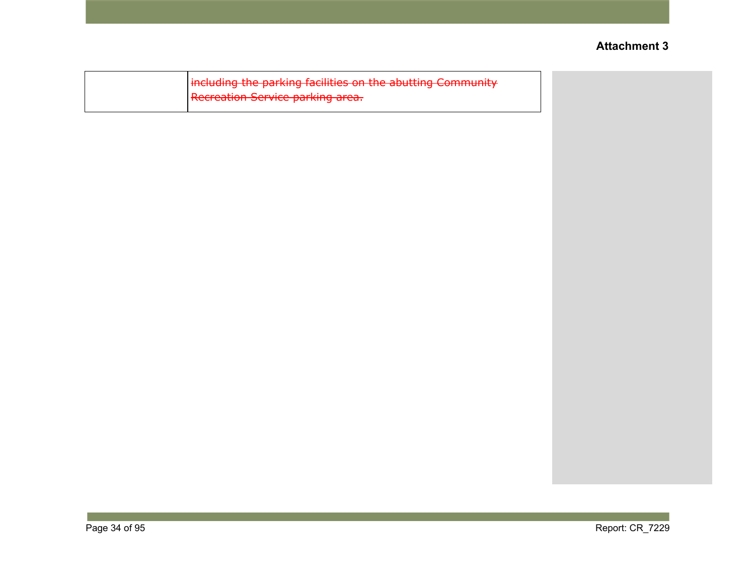| including the parking facilities on the abutting Community |  |
|------------------------------------------------------------|--|
| Recreation Service parking area.                           |  |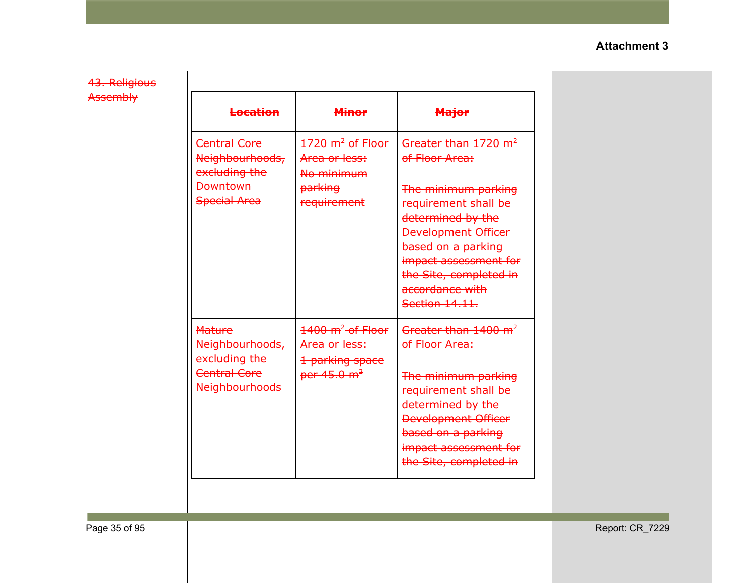| 43. Religious<br>Assembly |                                                                                                   |                                                                                              |                                                                                                                                                                                                                                                                    |                 |
|---------------------------|---------------------------------------------------------------------------------------------------|----------------------------------------------------------------------------------------------|--------------------------------------------------------------------------------------------------------------------------------------------------------------------------------------------------------------------------------------------------------------------|-----------------|
|                           | <b>Location</b>                                                                                   | <b>Minor</b>                                                                                 | <b>Major</b>                                                                                                                                                                                                                                                       |                 |
|                           | <b>Central Core</b><br>Neighbourhoods,<br>excluding the<br><b>Downtown</b><br><b>Special Area</b> | $1720 \text{ m}^2$ -of-Floor<br>Area or less:<br>No minimum<br><b>parking</b><br>requirement | Greater than 1720 m <sup>2</sup><br>of Floor Area:<br>The minimum parking<br>requirement shall be<br>determined by the<br><b>Development Officer</b><br>based on a parking<br>impact assessment for<br>the Site, completed in<br>accordance with<br>Section 14.11. |                 |
|                           | <b>Mature</b><br>Neighbourhoods,<br>excluding the<br><b>Central Core</b><br><b>Neighbourhoods</b> | $1400 \text{ m}^2$ of Floor<br>Area or less:<br>1 parking space<br>per $45.0 \text{ m}^2$    | Greater than 1400 m <sup>2</sup><br>of Floor Area:<br>The minimum parking<br>requirement shall be<br>determined by the<br><b>Development Officer</b><br>based on a parking<br>impact assessment for<br>the Site, completed in                                      |                 |
| Page 35 of 95             |                                                                                                   |                                                                                              |                                                                                                                                                                                                                                                                    | Report: CR_7229 |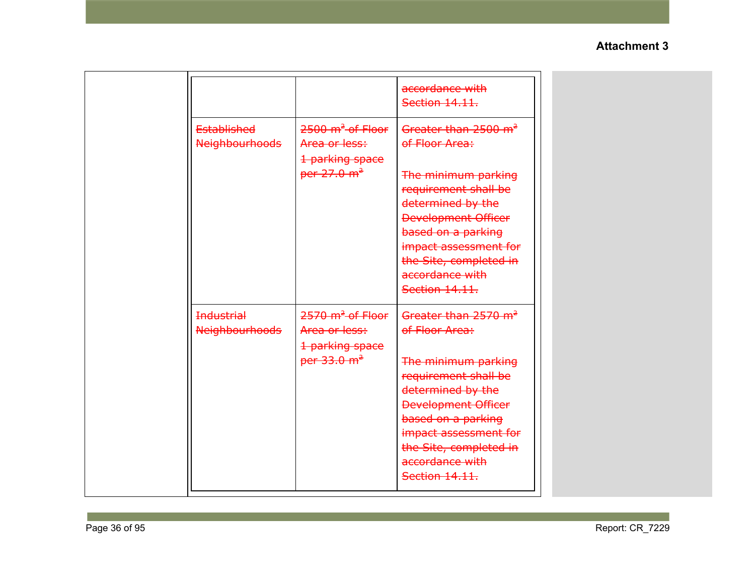|                                             |                                                                                            | accordance with<br>Section 14.11.                                                                                                                                                                                                                                  |
|---------------------------------------------|--------------------------------------------------------------------------------------------|--------------------------------------------------------------------------------------------------------------------------------------------------------------------------------------------------------------------------------------------------------------------|
| <b>Established</b><br><b>Neighbourhoods</b> | $2500 \text{ m}^2$ of Floor<br>Area or less:<br>1 parking space<br>per 27.0 m <sup>2</sup> | Greater than 2500 m <sup>2</sup><br>of Floor Area:<br>The minimum parking<br>requirement shall be<br>determined by the<br><b>Development Officer</b><br>based on a parking<br>impact assessment for<br>the Site, completed in<br>accordance with<br>Section 14.11. |
| <b>Industrial</b><br><b>Neighbourhoods</b>  | $2570 \text{ m}^2$ -of-Floor<br>Area or less:<br>1 parking space<br>per $33.0 \text{ m}^2$ | Greater than 2570 m <sup>2</sup><br>of Floor Area:<br>The minimum parking<br>requirement shall be<br>determined by the<br><b>Development Officer</b><br>based on a parking<br>impact assessment for<br>the Site, completed in<br>accordance with<br>Section 14.11. |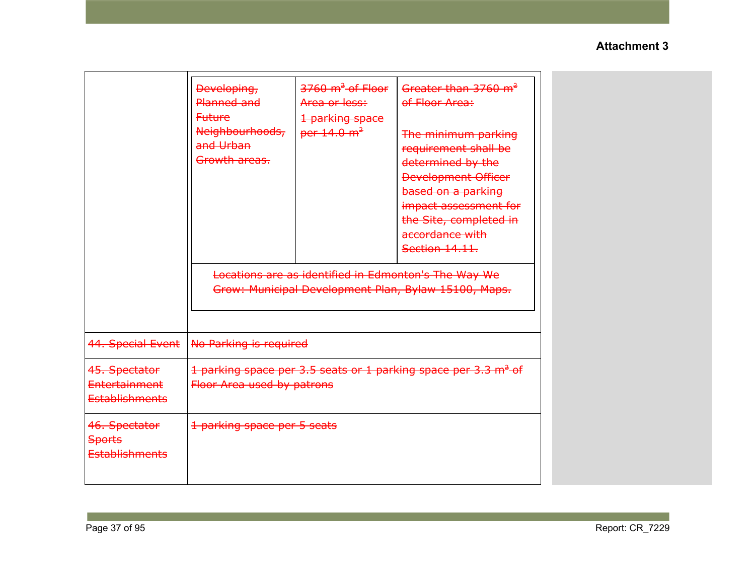|                                                                | Developing,<br>Planned and<br><b>Future</b><br>Neighbourhoods,<br>and Urban<br>Growth areas. | $3760 \text{ m}^2$ of Floor<br>Area or less:<br>1 parking space<br>per $14.0 \text{ m}^2$ | Greater than 3760 m <sup>2</sup><br>of Floor Area:<br>The minimum parking<br>requirement shall be<br>determined by the<br><b>Development Officer</b><br>based on a parking<br>impact assessment for<br>the Site, completed in<br>accordance with<br>Section 14.11. |
|----------------------------------------------------------------|----------------------------------------------------------------------------------------------|-------------------------------------------------------------------------------------------|--------------------------------------------------------------------------------------------------------------------------------------------------------------------------------------------------------------------------------------------------------------------|
|                                                                |                                                                                              |                                                                                           | Locations are as identified in Edmonton's The Way We<br>Grow: Municipal Development Plan, Bylaw 15100, Maps.                                                                                                                                                       |
| 44. Special Event                                              | No Parking is required                                                                       |                                                                                           |                                                                                                                                                                                                                                                                    |
| 45. Spectator<br><b>Entertainment</b><br><b>Establishments</b> | Floor Area used by patrons                                                                   |                                                                                           | 1 parking space per 3.5 seats or 1 parking space per 3.3 m <sup>2</sup> of                                                                                                                                                                                         |
| 46. Spectator<br><b>Sports</b><br><b>Establishments</b>        | 1 parking space per 5 seats                                                                  |                                                                                           |                                                                                                                                                                                                                                                                    |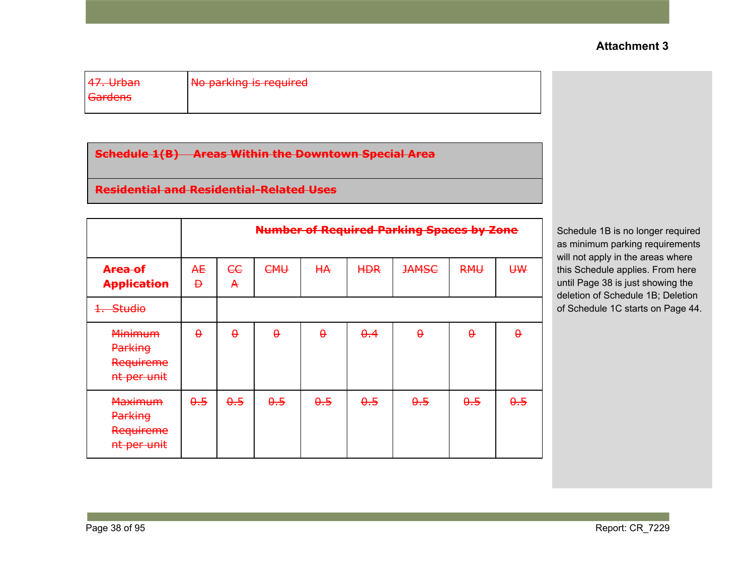| $17$ llrhan<br><del>47. urban</del> | No parking is required |  |
|-------------------------------------|------------------------|--|
| <del>Gardens</del>                  |                        |  |

**Schedule 1(B) Areas Within the Downtown Special Area**

# **Residential and Residential-Related Uses**

|                                                       | <b>Number of Required Parking Spaces by Zone</b> |          |          |           |             |              |            |          |
|-------------------------------------------------------|--------------------------------------------------|----------|----------|-----------|-------------|--------------|------------|----------|
| <del>Area of</del><br><b>Application</b>              | Æ<br>Ð                                           | ee<br>A  | CHH      | <b>HA</b> | <b>HDR</b>  | <b>JAMSC</b> | <b>RMU</b> | U₩       |
| <del>Studio</del>                                     |                                                  |          |          |           |             |              |            |          |
| <b>Minimum</b><br>Parking<br>Requireme<br>nt per unit | $\theta$                                         | $\theta$ | $\theta$ | $\theta$  | $\theta$ .4 | $\theta$     | $\theta$   | $\theta$ |
| <b>Maximum</b><br>Parking<br>Requireme<br>nt per unit | $\theta.5$                                       | 0.5      | 0.5      | 0.5       | $\theta.5$  | 0.5          | $\theta.5$ | 0.5      |

Schedule 1B is no longer required as minimum parking requirements will not apply in the areas where this Schedule applies. From here until Page 38 is just showing the deletion of Schedule 1B; Deletion of Schedule 1C starts on Page 44.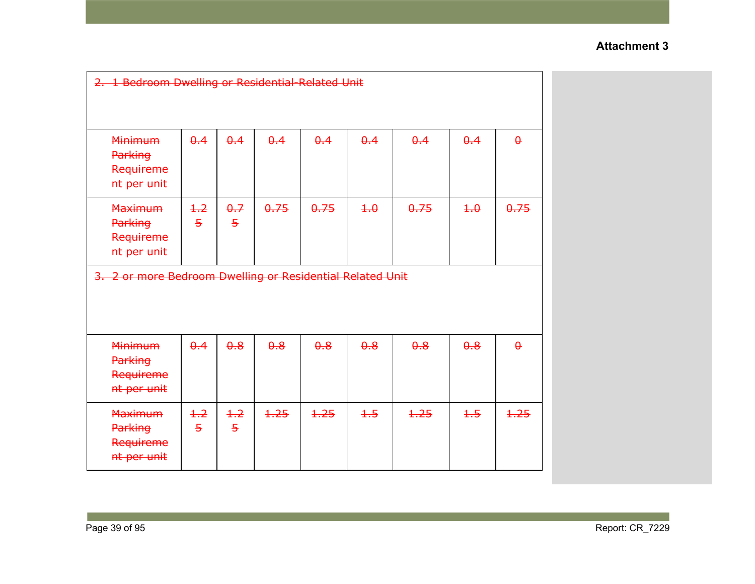| 2. 1 Bedroom Dwelling or Residential Related Unit            |                        |                        |      |      |             |      |            |          |
|--------------------------------------------------------------|------------------------|------------------------|------|------|-------------|------|------------|----------|
| <b>Minimum</b><br>Parking<br>Requireme<br>nt per unit        | $\theta$ .4            | $\theta$ .4            | 0.4  | 0.4  | $\theta$ .4 | 0.4  | 0.4        | $\theta$ |
| <b>Maximum</b><br><b>Parking</b><br>Requireme<br>nt per unit | $+2$<br>$\overline{5}$ | 0.7<br>$\overline{5}$  | 0.75 | 0.75 | 4.0         | 0.75 | $+ \theta$ | 0.75     |
| 3. 2 or more Bedroom Dwelling or Residential Related Unit    |                        |                        |      |      |             |      |            |          |
| <b>Minimum</b><br>Parking<br>Requireme<br>nt per unit        | $\theta$ .4            | $\theta$ .8            | 0.8  | 0.8  | $\theta$ .8 | 0.8  | 0.8        | $\theta$ |
| <b>Maximum</b><br><b>Parking</b><br>Requireme<br>nt per unit | $+2$<br>$\overline{5}$ | $+2$<br>$\overline{5}$ | 1,25 | 1,25 | $+5$        | 1.25 | $+5$       | 1.25     |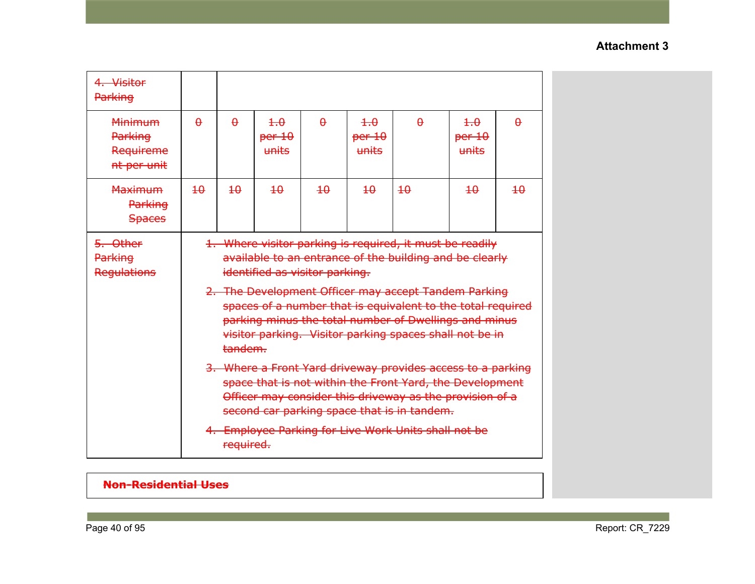| 4. Visitor<br>Parking                             |                                                                                                                                                                                                                                                                                                                                                                                                             |                 |                        |                 |                                            |                 |                                      |                 |
|---------------------------------------------------|-------------------------------------------------------------------------------------------------------------------------------------------------------------------------------------------------------------------------------------------------------------------------------------------------------------------------------------------------------------------------------------------------------------|-----------------|------------------------|-----------------|--------------------------------------------|-----------------|--------------------------------------|-----------------|
| Minimum<br>Parking<br>Requireme<br>nt per unit    | $\theta$                                                                                                                                                                                                                                                                                                                                                                                                    | $\theta$        | 4.0<br>per 10<br>units | $\theta$        | $\overline{4.0}$<br>per 10<br><b>units</b> | $\theta$        | $+.\theta$<br>per 10<br><b>Hnits</b> | $\theta$        |
| <b>Maximum</b><br><b>Parking</b><br><b>Spaces</b> | $\overline{40}$                                                                                                                                                                                                                                                                                                                                                                                             | $\overline{40}$ | $\overline{40}$        | $\overline{40}$ | $\overline{40}$                            | $\overline{40}$ | $\overline{40}$                      | $\overline{40}$ |
| 5. Other<br><b>Parking</b><br><b>Regulations</b>  | 1. Where visitor parking is required, it must be readily<br>available to an entrance of the building and be clearly<br>identified as visitor parking.<br>2. The Development Officer may accept Tandem Parking<br>spaces of a number that is equivalent to the total required<br>parking minus the total number of Dwellings and minus<br>visitor parking. Visitor parking spaces shall not be in<br>tandem. |                 |                        |                 |                                            |                 |                                      |                 |
|                                                   | 3. Where a Front Yard driveway provides access to a parking<br>space that is not within the Front Yard, the Development<br>Officer may consider this driveway as the provision of a<br>second car parking space that is in tandem.<br>4. Employee Parking for Live Work Units shall not be<br>required.                                                                                                     |                 |                        |                 |                                            |                 |                                      |                 |

# **Non-Residential Uses**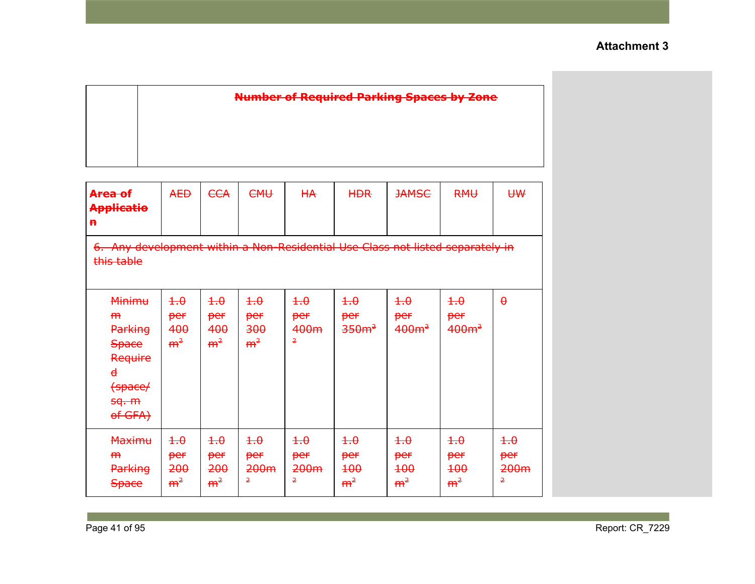| <b>Number of Required Parking Spaces by Zone</b> |
|--------------------------------------------------|
|                                                  |
|                                                  |
|                                                  |

| Area of<br><b>Applicatio</b><br>$\mathbf{h}$                                                                                    | <b>AED</b>                                       | <b>ECA</b>                                 | <b>CMU</b>                                 | <b>HA</b>                                                  | <b>HDR</b>                                                   | <b>JAMSC</b>                                                      | <b>RMU</b>                                        | U₩                                                         |
|---------------------------------------------------------------------------------------------------------------------------------|--------------------------------------------------|--------------------------------------------|--------------------------------------------|------------------------------------------------------------|--------------------------------------------------------------|-------------------------------------------------------------------|---------------------------------------------------|------------------------------------------------------------|
| 6. Any development within a Non-Residential Use Class not listed separately in<br>this table                                    |                                                  |                                            |                                            |                                                            |                                                              |                                                                   |                                                   |                                                            |
| <b>Minimu</b><br>H <sub>H</sub><br>Parking<br><b>Space</b><br>Require<br>$\overline{\mathbf{d}}$<br>(space/<br>sq. m<br>of GFA) | $+ \theta$<br>per<br>400<br>m <sup>2</sup>       | $+.\theta$<br>per<br>400<br>m <sup>2</sup> | $+.\theta$<br>per<br>300<br>m <sup>2</sup> | $+ \theta$<br>per<br>400m<br>2                             | $+ \theta$<br>per<br>350m <sup>2</sup>                       | $\overline{4.0}$<br>per<br>$400m^2$                               | $+ \theta$<br>per<br>400m <sup>2</sup>            | $\theta$                                                   |
| <b>Maximu</b><br>H <sub>H</sub><br>Parking<br><b>Space</b>                                                                      | $\overline{4.0}$<br>per<br>200<br>m <sup>2</sup> | $+.\theta$<br>per<br>200<br>m <sup>2</sup> | $+.\theta$<br>per<br>200 <sub>m</sub><br>2 | $\overline{+}\cdot \theta$<br>per<br>200 <sub>m</sub><br>2 | $\overline{+}\cdot \theta$<br>per<br>$+00$<br>m <sup>2</sup> | $\overline{+}\cdot \theta$<br>per<br><b>100</b><br>m <sup>2</sup> | $+ \theta$<br>per<br><b>100</b><br>m <sup>2</sup> | $\overline{+}\cdot \theta$<br>per<br>200 <sub>m</sub><br>2 |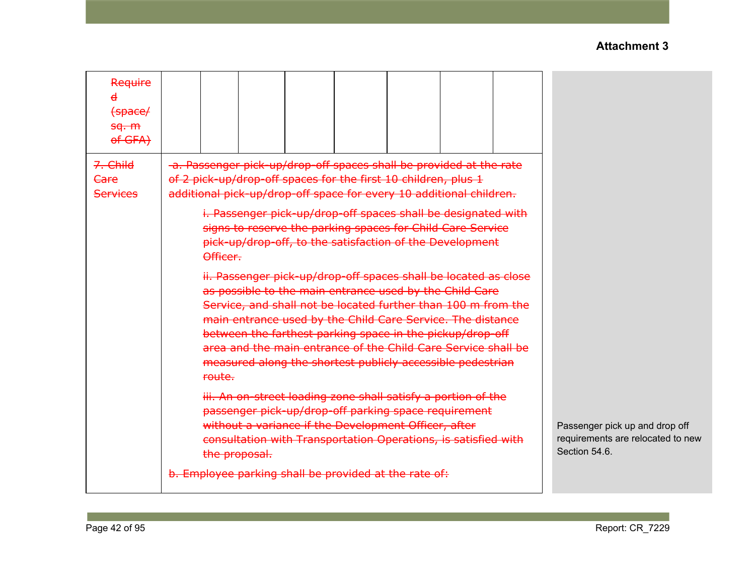| Require<br>$\mathbf{d}$<br>$f$ space/<br><del>sq. m</del><br>of GFA) |                                                                                                                                                                                                                                                                                                                                                                                                                                                                                                                                                                                                                                                                                                                                                                                                                                                                                        |                                                                                      |
|----------------------------------------------------------------------|----------------------------------------------------------------------------------------------------------------------------------------------------------------------------------------------------------------------------------------------------------------------------------------------------------------------------------------------------------------------------------------------------------------------------------------------------------------------------------------------------------------------------------------------------------------------------------------------------------------------------------------------------------------------------------------------------------------------------------------------------------------------------------------------------------------------------------------------------------------------------------------|--------------------------------------------------------------------------------------|
| 7. Child<br><del>Care</del><br><b>Services</b>                       | -a. Passenger pick-up/drop-off spaces shall be provided at the rate<br>of 2 pick-up/drop-off spaces for the first 10 children, plus 1<br>additional pick-up/drop-off space for every 10 additional children.<br>i. Passenger pick-up/drop-off spaces shall be designated with<br>signs to reserve the parking spaces for Child Care Service<br>pick-up/drop-off, to the satisfaction of the Development<br>Officer.<br>ii. Passenger pick-up/drop-off spaces shall be located as close<br>as possible to the main entrance used by the Child Care<br>Service, and shall not be located further than 100 m from the<br>main entrance used by the Child Care Service. The distance<br>between the farthest parking space in the pickup/drop-off<br>area and the main entrance of the Child Care Service shall be<br>measured along the shortest publicly accessible pedestrian<br>route. |                                                                                      |
|                                                                      | iii. An on-street loading zone shall satisfy a portion of the<br>passenger pick-up/drop-off parking space requirement<br>without a variance if the Development Officer, after<br>consultation with Transportation Operations, is satisfied with<br>the proposal.<br>b. Employee parking shall be provided at the rate of:                                                                                                                                                                                                                                                                                                                                                                                                                                                                                                                                                              | Passenger pick up and drop off<br>requirements are relocated to new<br>Section 54.6. |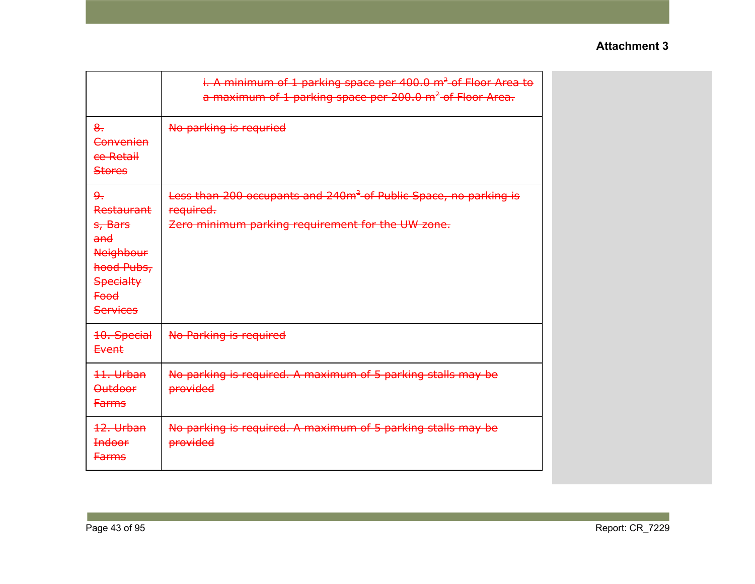|                                                                                                                                   | i. A minimum of 1 parking space per 400.0 m <sup>2</sup> of Floor Area to<br>a maximum of 1 parking space per 200.0 m <sup>2</sup> of Floor Area. |
|-----------------------------------------------------------------------------------------------------------------------------------|---------------------------------------------------------------------------------------------------------------------------------------------------|
| $8-$<br>Convenien<br>ce Retail<br><b>Stores</b>                                                                                   | No parking is requried                                                                                                                            |
| جو<br><b>Restaurant</b><br>s, Bars<br>and<br><b>Neighbour</b><br>hood Pubs,<br><b>Specialty</b><br><b>Food</b><br><b>Services</b> | Less than 200 occupants and 240m <sup>2</sup> of Public Space, no parking is<br>required.<br>Zero minimum parking requirement for the UW zone.    |
| 10. Special<br>Event                                                                                                              | No Parking is required                                                                                                                            |
| 11. Urban<br><b>Outdoor</b><br><b>Farms</b>                                                                                       | No parking is required. A maximum of 5 parking stalls may be<br><b>provided</b>                                                                   |
| 12. Urban<br><b>Indoor</b><br><b>Farms</b>                                                                                        | No parking is required. A maximum of 5 parking stalls may be<br><b>provided</b>                                                                   |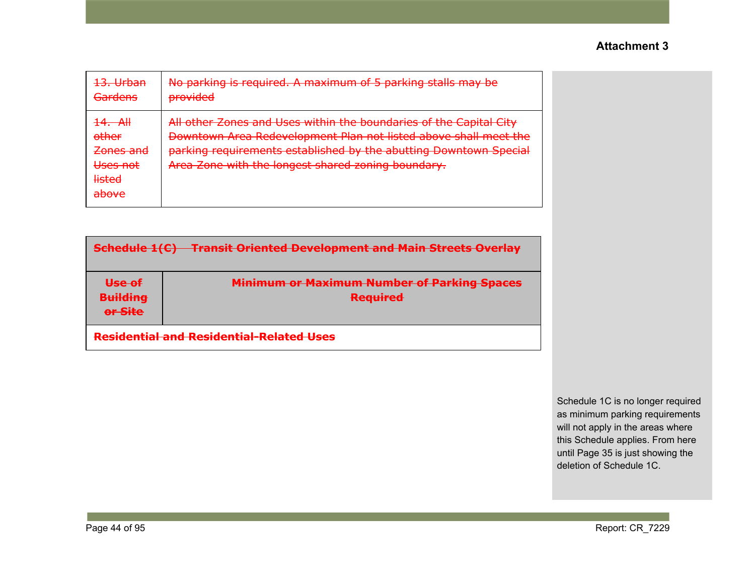| 13. Urban                                                                                                         | No parking is required. A maximum of 5 parking stalls may be                                                                                                                                                                                                      |
|-------------------------------------------------------------------------------------------------------------------|-------------------------------------------------------------------------------------------------------------------------------------------------------------------------------------------------------------------------------------------------------------------|
| <b>Gardens</b>                                                                                                    | <b>provided</b>                                                                                                                                                                                                                                                   |
| $\frac{14}{1}$ AH<br><del>other</del><br>Zones and<br><del>Uses not</del><br><del>listed</del><br>مييمطم<br>avvve | All other Zones and Uses within the boundaries of the Capital City<br>Downtown Area Redevelopment Plan not listed above shall meet the<br>parking requirements established by the abutting Downtown Special<br>Area Zone with the longest shared zoning boundary. |

| <b>Schedule 1(C) Transit Oriented Development and Main Streets Overlay</b> |                                                                       |  |  |  |  |
|----------------------------------------------------------------------------|-----------------------------------------------------------------------|--|--|--|--|
| Use of<br><b>Building</b><br>or Site                                       | <b>Minimum or Maximum Number of Parking Spaces</b><br><b>Required</b> |  |  |  |  |
| <b>Residential and Residential-Related Uses</b>                            |                                                                       |  |  |  |  |

Schedule 1C is no longer required as minimum parking requirements will not apply in the areas where this Schedule applies. From here until Page 35 is just showing the deletion of Schedule 1C.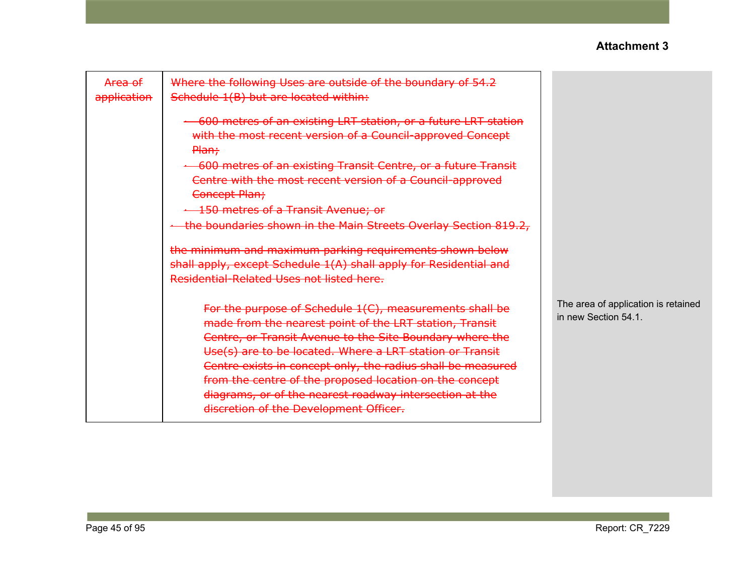| <del>Area of</del><br>application | Where the following Uses are outside of the boundary of 54.2<br>Schedule 1(B) but are located within:                                                                                                                                                                                                                                                                                                                                                                     |                                                             |
|-----------------------------------|---------------------------------------------------------------------------------------------------------------------------------------------------------------------------------------------------------------------------------------------------------------------------------------------------------------------------------------------------------------------------------------------------------------------------------------------------------------------------|-------------------------------------------------------------|
|                                   | 600 metres of an existing LRT station, or a future LRT station<br>with the most recent version of a Council-approved Concept<br>Plan;                                                                                                                                                                                                                                                                                                                                     |                                                             |
|                                   | 600 metres of an existing Transit Centre, or a future Transit                                                                                                                                                                                                                                                                                                                                                                                                             |                                                             |
|                                   | Centre with the most recent version of a Council-approved<br>Concept Plan;                                                                                                                                                                                                                                                                                                                                                                                                |                                                             |
|                                   | + 150 metres of a Transit Avenue; or                                                                                                                                                                                                                                                                                                                                                                                                                                      |                                                             |
|                                   | the boundaries shown in the Main Streets Overlay Section 819.2,                                                                                                                                                                                                                                                                                                                                                                                                           |                                                             |
|                                   | the minimum and maximum parking requirements shown below<br>shall apply, except Schedule 1(A) shall apply for Residential and<br>Residential-Related Uses not listed here.                                                                                                                                                                                                                                                                                                |                                                             |
|                                   | For the purpose of Schedule 1(C), measurements shall be<br>made from the nearest point of the LRT station, Transit<br>Centre, or Transit Avenue to the Site Boundary where the<br>Use(s) are to be located. Where a LRT station or Transit<br>Centre exists in concept only, the radius shall be measured<br>from the centre of the proposed location on the concept<br>diagrams, or of the nearest roadway intersection at the<br>discretion of the Development Officer. | The area of application is retained<br>in new Section 54.1. |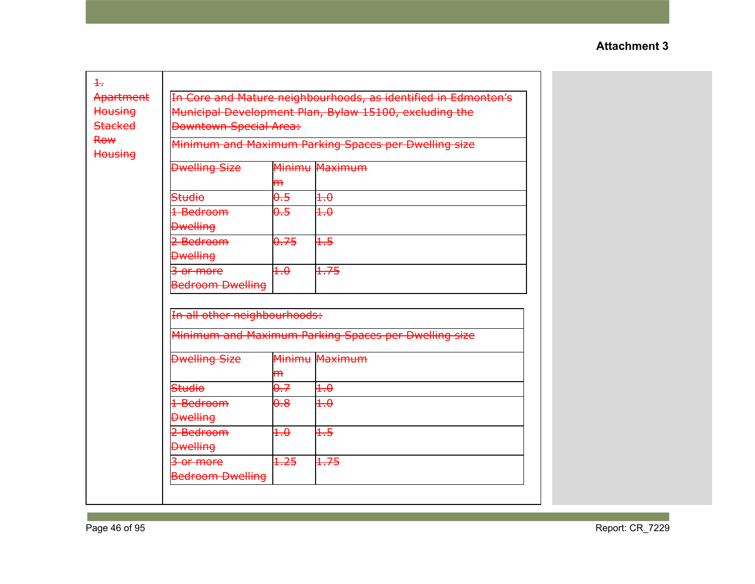| In Core and Mature neighbourhoods, as identified in Edmonton's     |                       |                               |  |  |  |
|--------------------------------------------------------------------|-----------------------|-------------------------------|--|--|--|
| Municipal Development Plan, Bylaw 15100, excluding the             |                       |                               |  |  |  |
| <b>Housing</b><br><b>Stacked</b>                                   |                       |                               |  |  |  |
| <b>Row</b><br>Minimum and Maximum Parking Spaces per Dwelling size |                       |                               |  |  |  |
|                                                                    |                       |                               |  |  |  |
| <b>Dwelling Size</b>                                               |                       | Minimu Maximum                |  |  |  |
|                                                                    | <del>m</del>          |                               |  |  |  |
| <b>Studio</b>                                                      | 0.5                   | $+.\theta$                    |  |  |  |
| 1 Bedroom                                                          | $0.5^{\circ}$         | $+.\theta$                    |  |  |  |
| <b>Dwelling</b>                                                    |                       |                               |  |  |  |
| 2 Bedroom                                                          | 0.75                  | $+5$                          |  |  |  |
| <b>Dwelling</b>                                                    |                       |                               |  |  |  |
| 3 or more                                                          | $+.\theta$            | 1.75                          |  |  |  |
| <b>Bedroom Dwelling</b>                                            |                       |                               |  |  |  |
|                                                                    |                       |                               |  |  |  |
| In all other neighbourhoods:                                       |                       |                               |  |  |  |
| Minimum and Maximum Parking Spaces per Dwelling size               |                       |                               |  |  |  |
|                                                                    |                       |                               |  |  |  |
| <b>Dwelling Size</b>                                               |                       | Minimu Maximum                |  |  |  |
|                                                                    | <del>m</del>          |                               |  |  |  |
| Studio                                                             | 0.7                   | $+.\theta$                    |  |  |  |
| 1 Bedroom                                                          | $\overline{\theta}$ . | $+.\theta$                    |  |  |  |
| <b>Dwelling</b>                                                    |                       |                               |  |  |  |
| 2 Bedroom                                                          | $+.\theta$            | $+5$                          |  |  |  |
| <b>Dwelling</b>                                                    |                       |                               |  |  |  |
| 3 or more                                                          | 1.25                  | 1.75                          |  |  |  |
| <b>Bedroom Dwelling</b>                                            |                       |                               |  |  |  |
|                                                                    |                       | <b>Downtown Special Area:</b> |  |  |  |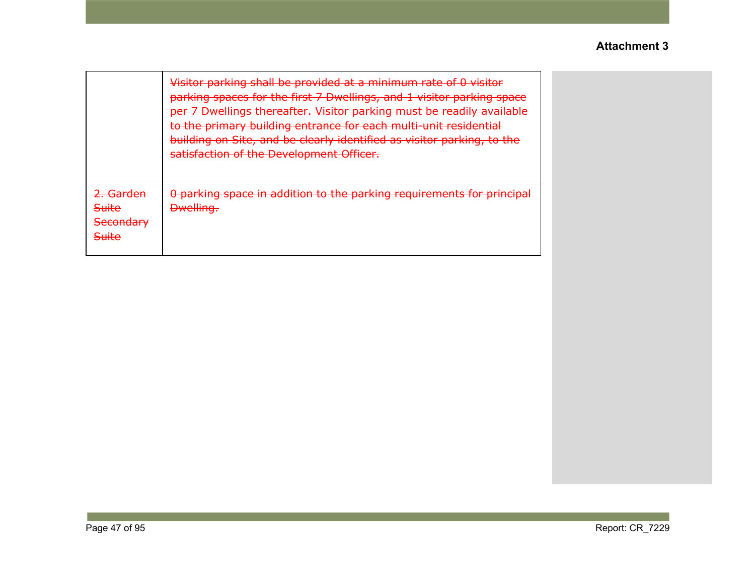|                                                                                                   | Visitor parking shall be provided at a minimum rate of 0 visitor<br>parking coaces for the first 7 Dwellings, and 1 visitor parking space<br><u>parking spaces for the mst 7 Dwellings, and I visitor parking space</u><br>per 7 Dwellings thereafter. Visitor parking must be readily available<br>to the primary building entrance for each multi-unit residential<br>building on Site, and be clearly identified as visitor parking, to the<br>caticfaction of the Development Officer<br><del>satisfaction or the Development Omcer.</del> |
|---------------------------------------------------------------------------------------------------|------------------------------------------------------------------------------------------------------------------------------------------------------------------------------------------------------------------------------------------------------------------------------------------------------------------------------------------------------------------------------------------------------------------------------------------------------------------------------------------------------------------------------------------------|
| ) Cardon<br><u>चता पद्मा</u><br><b>Suite</b><br>Cocondary<br><del>Jecondary</del><br><b>Suite</b> | 0 parking space in addition to the parking requirements for principal<br><b>Dwelling.</b>                                                                                                                                                                                                                                                                                                                                                                                                                                                      |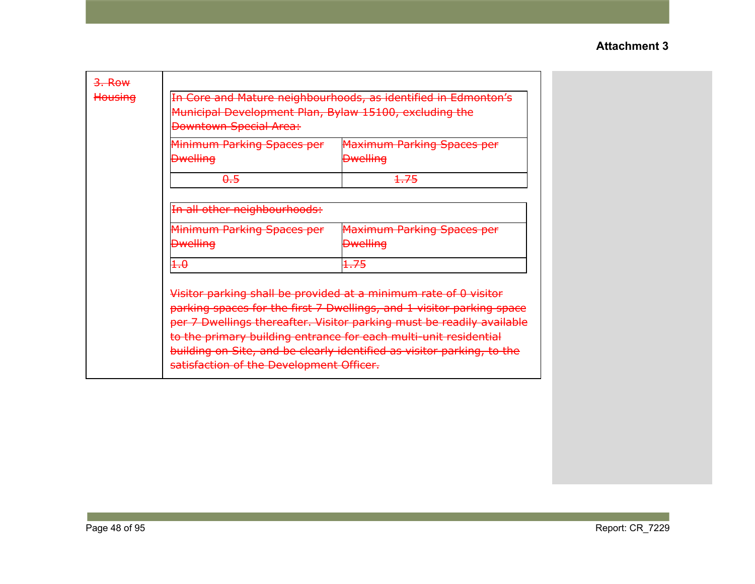| <del>3. Row</del><br>Housing | In Core and Mature neighbourhoods, as identified in Edmonton's<br>Municipal Development Plan, Bylaw 15100, excluding the<br><b>Downtown Special Area:</b>                                                                                                                                                                                                                                                    |                                                      |  |
|------------------------------|--------------------------------------------------------------------------------------------------------------------------------------------------------------------------------------------------------------------------------------------------------------------------------------------------------------------------------------------------------------------------------------------------------------|------------------------------------------------------|--|
|                              | Minimum Parking Spaces per<br><b>Dwelling</b>                                                                                                                                                                                                                                                                                                                                                                | <b>Maximum Parking Spaces per</b><br><b>Dwelling</b> |  |
|                              |                                                                                                                                                                                                                                                                                                                                                                                                              |                                                      |  |
|                              | $\theta.5$                                                                                                                                                                                                                                                                                                                                                                                                   | 1.75                                                 |  |
|                              | In all other neighbourhoods:                                                                                                                                                                                                                                                                                                                                                                                 |                                                      |  |
|                              | Minimum Parking Spaces per<br><b>Dwelling</b>                                                                                                                                                                                                                                                                                                                                                                | <b>Maximum Parking Spaces per</b><br><b>Dwelling</b> |  |
|                              | $+.\theta$                                                                                                                                                                                                                                                                                                                                                                                                   | 1.75                                                 |  |
|                              | Visitor parking shall be provided at a minimum rate of 0 visitor<br>parking spaces for the first 7 Dwellings, and 1 visitor parking space<br>per 7 Dwellings thereafter. Visitor parking must be readily available<br>to the primary building entrance for each multi-unit residential<br>building on Site, and be clearly identified as visitor parking, to the<br>satisfaction of the Development Officer. |                                                      |  |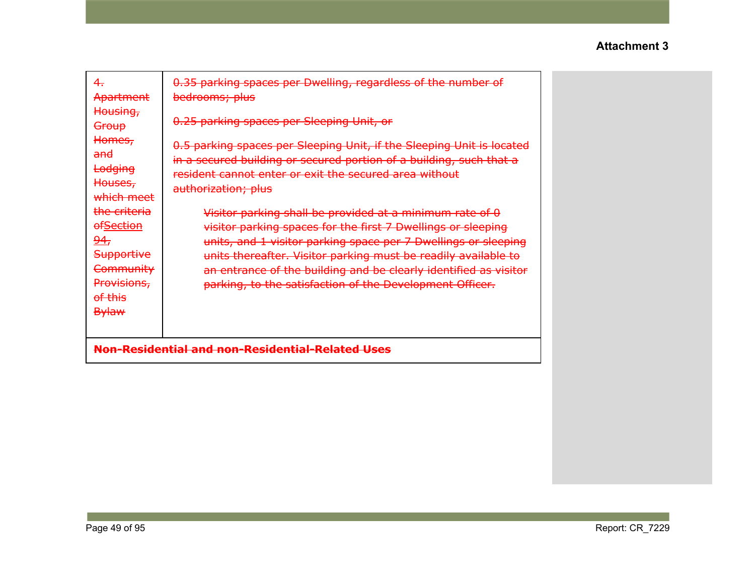| 4.<br>Apartment                                                                                                                          | 0.35 parking spaces per Dwelling, regardless of the number of<br>bedrooms; plus                                                                                                                                                                                                                                                                                                                                     |  |
|------------------------------------------------------------------------------------------------------------------------------------------|---------------------------------------------------------------------------------------------------------------------------------------------------------------------------------------------------------------------------------------------------------------------------------------------------------------------------------------------------------------------------------------------------------------------|--|
| Housing,<br><del>Group</del><br>Homes,<br><del>and</del><br>Lodging<br>Houses,                                                           | 0.25 parking spaces per Sleeping Unit, or<br>0.5 parking spaces per Sleeping Unit, if the Sleeping Unit is located<br>in a secured building or secured portion of a building, such that a<br>resident cannot enter or exit the secured area without                                                                                                                                                                 |  |
| which meet<br>the criteria<br><b>ofSection</b><br><u>94,</u><br><b>Supportive</b><br>Community<br>Provisions,<br>of this<br><b>Bylaw</b> | authorization; plus<br>Visitor parking shall be provided at a minimum rate of 0<br>visitor parking spaces for the first 7 Dwellings or sleeping<br>units, and 1 visitor parking space per 7 Dwellings or sleeping<br>units thereafter. Visitor parking must be readily available to<br>an entrance of the building and be clearly identified as visitor<br>parking, to the satisfaction of the Development Officer. |  |
|                                                                                                                                          | Non-Residential and non-Residential-Related Uses                                                                                                                                                                                                                                                                                                                                                                    |  |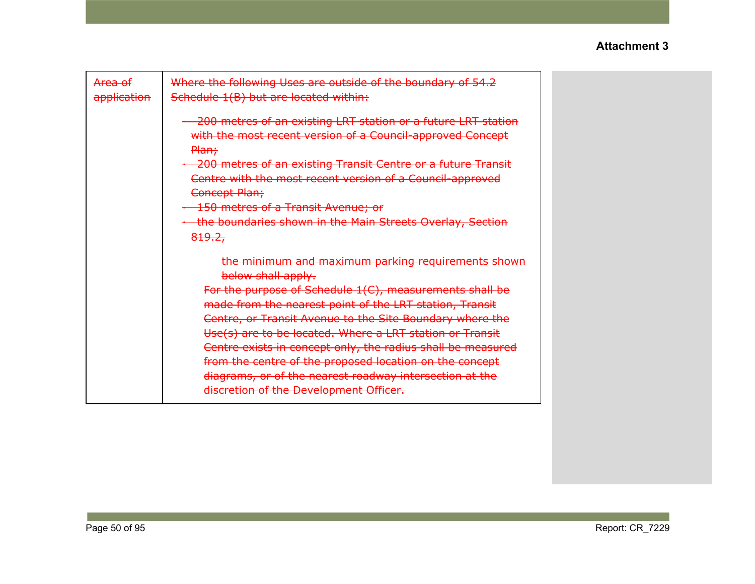| <del>Area of</del><br>application | Where the following Uses are outside of the boundary of 54.2<br>Schedule 1(B) but are located within:                                                                                                                                                                                                                                                                                                                                                                                                                                                 |  |
|-----------------------------------|-------------------------------------------------------------------------------------------------------------------------------------------------------------------------------------------------------------------------------------------------------------------------------------------------------------------------------------------------------------------------------------------------------------------------------------------------------------------------------------------------------------------------------------------------------|--|
|                                   | -200 metres of an existing LRT station or a future LRT station<br>with the most recent version of a Council-approved Concept<br>Plan;<br>200 metres of an existing Transit Centre or a future Transit<br>Centre with the most recent version of a Council-approved<br>Concept Plan;<br><b>150 metres of a Transit Avenue; or</b><br>+ the boundaries shown in the Main Streets Overlay, Section<br>819.2,                                                                                                                                             |  |
|                                   | the minimum and maximum parking requirements shown<br>below shall apply.<br>For the purpose of Schedule 1(C), measurements shall be<br>made from the nearest point of the LRT station, Transit<br>Centre, or Transit Avenue to the Site Boundary where the<br>Use(s) are to be located. Where a LRT station or Transit<br>Centre exists in concept only, the radius shall be measured<br>from the centre of the proposed location on the concept<br>diagrams, or of the nearest roadway intersection at the<br>discretion of the Development Officer. |  |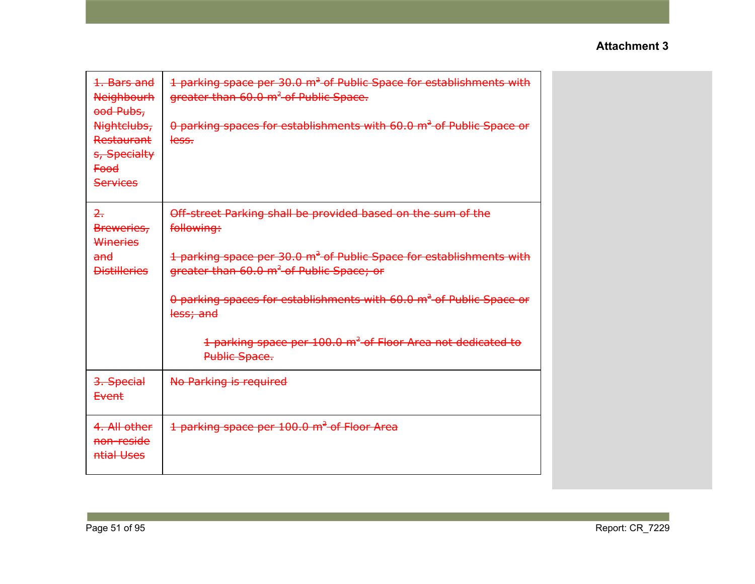| 1. Bars and<br><b>Neighbourh</b><br>ood Pubs,<br>Nightclubs,<br>Restaurant<br>s, Specialty<br><del>Food</del><br>Services | 1 parking space per 30.0 m <sup>2</sup> of Public Space for establishments with<br>greater than 60.0 m <sup>2</sup> of Public Space.<br>0 parking spaces for establishments with 60.0 m <sup>2</sup> of Public Space or<br>less. |
|---------------------------------------------------------------------------------------------------------------------------|----------------------------------------------------------------------------------------------------------------------------------------------------------------------------------------------------------------------------------|
| $\overline{2}$ .<br>Breweries,<br>Wineries<br><del>and</del><br><b>Distilleries</b>                                       | Off-street Parking shall be provided based on the sum of the<br>following:<br>1 parking space per 30.0 m <sup>2</sup> of Public Space for establishments with<br>greater than 60.0 m <sup>2</sup> of Public Space; or            |
|                                                                                                                           | 0 parking spaces for establishments with 60.0 m <sup>2</sup> of Public Space or<br>less; and<br>1 parking space per 100.0 m <sup>2</sup> of Floor Area not dedicated to                                                          |
|                                                                                                                           | Public Space.                                                                                                                                                                                                                    |
| 3. Special<br>Event                                                                                                       | No Parking is required                                                                                                                                                                                                           |
| 4. All other<br>non-reside<br>ntial Uses                                                                                  | 1 parking space per 100.0 m <sup>2</sup> of Floor Area                                                                                                                                                                           |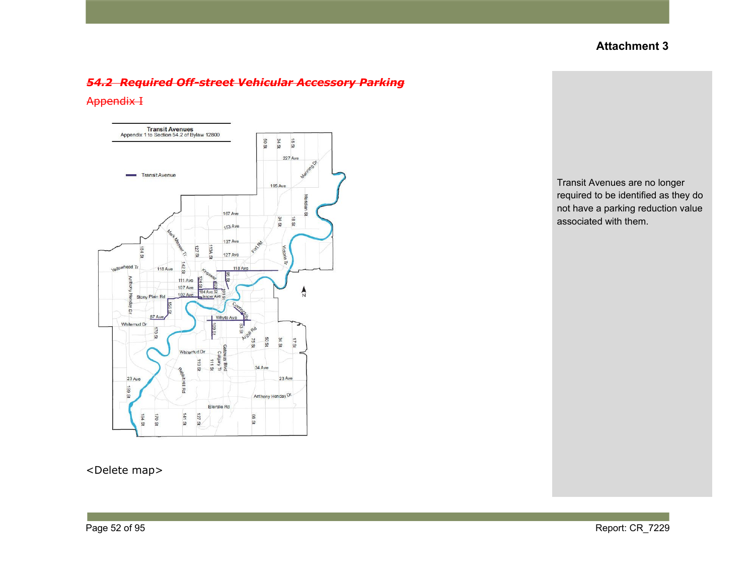### *54.2 Required Off-street Vehicular Accessory Parking*

#### Appendix I



<Delete map>

Transit Avenues are no longer required to be identified as they do not have a parking reduction value associated with them.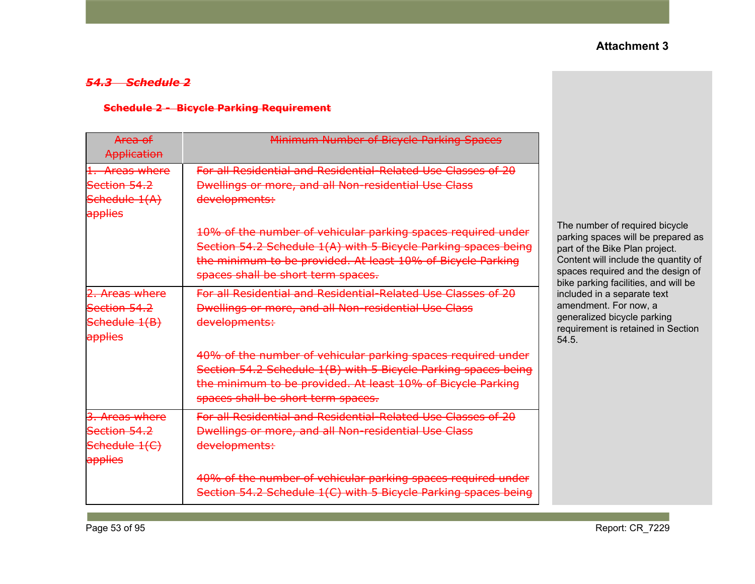# *54.3 Schedule 2*

### **Schedule 2 - Bicycle Parking Requirement**

| Area of<br>Application                                     | Minimum Number of Bicycle Parking Spaces                                                                                                                                                                                            |                                                                                                                                                                                                                             |
|------------------------------------------------------------|-------------------------------------------------------------------------------------------------------------------------------------------------------------------------------------------------------------------------------------|-----------------------------------------------------------------------------------------------------------------------------------------------------------------------------------------------------------------------------|
| 1. Areas where<br>Section 54.2<br>Schedule 1(A)<br>applies | For all Residential and Residential-Related Use Classes of 20<br>Dwellings or more, and all Non-residential Use Class<br>developments:                                                                                              |                                                                                                                                                                                                                             |
|                                                            | 10% of the number of vehicular parking spaces required under<br>Section 54.2 Schedule 1(A) with 5 Bicycle Parking spaces being<br>the minimum to be provided. At least 10% of Bicycle Parking<br>spaces shall be short term spaces. | The number of required bicycle<br>parking spaces will be prepared as<br>part of the Bike Plan project.<br>Content will include the quantity of<br>spaces required and the design of<br>bike parking facilities, and will be |
| 2. Areas where<br>Section 54.2<br>Schedule 1(B)<br>applies | For all Residential and Residential-Related Use Classes of 20<br>Dwellings or more, and all Non-residential Use Class<br>developments:                                                                                              | included in a separate text<br>amendment. For now, a<br>generalized bicycle parking<br>requirement is retained in Section<br>54.5.                                                                                          |
|                                                            | 40% of the number of vehicular parking spaces required under<br>Section 54.2 Schedule 1(B) with 5 Bicycle Parking spaces being<br>the minimum to be provided. At least 10% of Bicycle Parking<br>spaces shall be short term spaces. |                                                                                                                                                                                                                             |
| 3. Areas where<br>Section 54.2<br>Schedule 1(C)<br>applies | For all Residential and Residential-Related Use Classes of 20<br>Dwellings or more, and all Non-residential Use Class<br>developments:                                                                                              |                                                                                                                                                                                                                             |
|                                                            | 40% of the number of vehicular parking spaces required under<br>Section 54.2 Schedule 1(C) with 5 Bicycle Parking spaces being                                                                                                      |                                                                                                                                                                                                                             |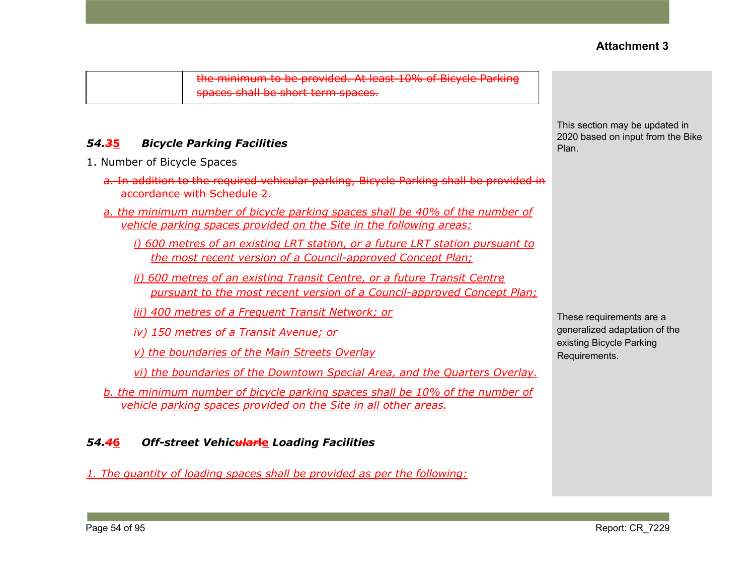the minimum to be provided. At least 10% of Bicycle Parking spaces shall be short term spaces.

# *54.3***5** *Bicycle Parking Facilities*

- 1. Number of Bicycle Spaces
	- a. In addition to the required vehicular parking, Bicycle Parking shall be provided in accordance with Schedule 2.
	- *a. the minimum number of bicycle parking spaces shall be 40% of the number of vehicle parking spaces provided on the Site in the following areas:*
		- *i) 600 metres of an existing LRT station, or a future LRT station pursuant to the most recent version of a Council-approved Concept Plan;*
		- *ii) 600 metres of an existing Transit Centre, or a future Transit Centre pursuant to the most recent version of a Council-approved Concept Plan;*

*iii) 400 metres of a Frequent Transit Network; or*

*iv) 150 metres of a Transit Avenue; or*

*v) the boundaries of the Main Streets Overlay*

*vi) the boundaries of the Downtown Special Area, and the Quarters Overlay.*

*b. the minimum number of bicycle parking spaces shall be 10% of the number of vehicle parking spaces provided on the Site in all other areas.*

# *54.4***6** *Off-street Vehicular***le** *Loading Facilities*

*1. The quantity of loading spaces shall be provided as per the following:*

This section may be updated in 2020 based on input from the Bike Plan.

These requirements are a generalized adaptation of the existing Bicycle Parking Requirements.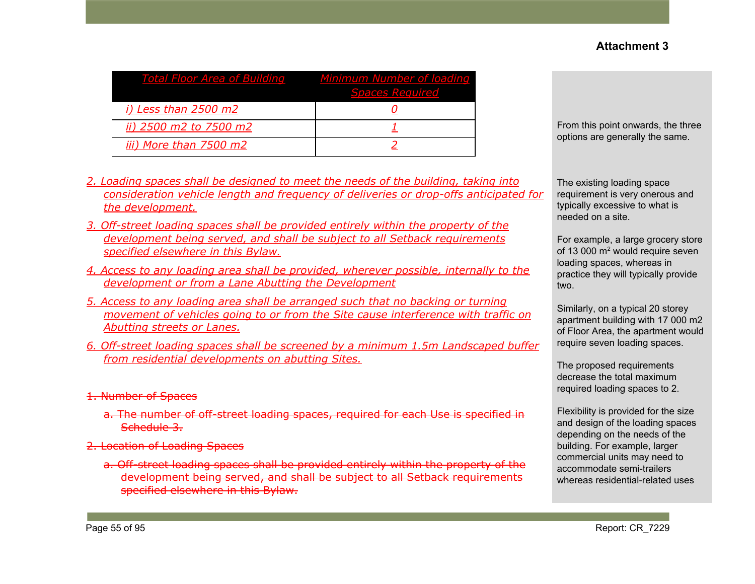| <b>Total Floor Area of Building</b> | Minimum Number of loading<br><b>Spaces Required</b> |
|-------------------------------------|-----------------------------------------------------|
| <i>i)</i> Less than 2500 m2         |                                                     |
| ii) 2500 m2 to 7500 m2              |                                                     |
| iii) More than 7500 m2              |                                                     |

From this point onwards, the three options are generally the same.

- *2. Loading spaces shall be designed to meet the needs of the building, taking into consideration vehicle length and frequency of deliveries or drop-offs anticipated for the development.*
- *3. Off-street loading spaces shall be provided entirely within the property of the development being served, and shall be subject to all Setback requirements specified elsewhere in this Bylaw.*
- *4. Access to any loading area shall be provided, wherever possible, internally to the development or from a Lane Abutting the Development*
- *5. Access to any loading area shall be arranged such that no backing or turning movement of vehicles going to or from the Site cause interference with traffic on Abutting streets or Lanes.*
- *6. Off-street loading spaces shall be screened by a minimum 1.5m Landscaped buffer from residential developments on abutting Sites.*
- 1. Number of Spaces
	- a. The number of off-street loading spaces, required for each Use is specified in Schedule 3.
- 2. Location of Loading Spaces
	- a. Off-street loading spaces shall be provided entirely within the property of the development being served, and shall be subject to all Setback requirements specified elsewhere in this Bylaw.

The existing loading space requirement is very onerous and typically excessive to what is needed on a site.

For example, a large grocery store of 13 000 m<sup>2</sup> would require seven loading spaces, whereas in practice they will typically provide two.

Similarly, on a typical 20 storey apartment building with 17 000 m2 of Floor Area, the apartment would require seven loading spaces.

The proposed requirements decrease the total maximum required loading spaces to 2.

Flexibility is provided for the size and design of the loading spaces depending on the needs of the building. For example, larger commercial units may need to accommodate semi-trailers whereas residential-related uses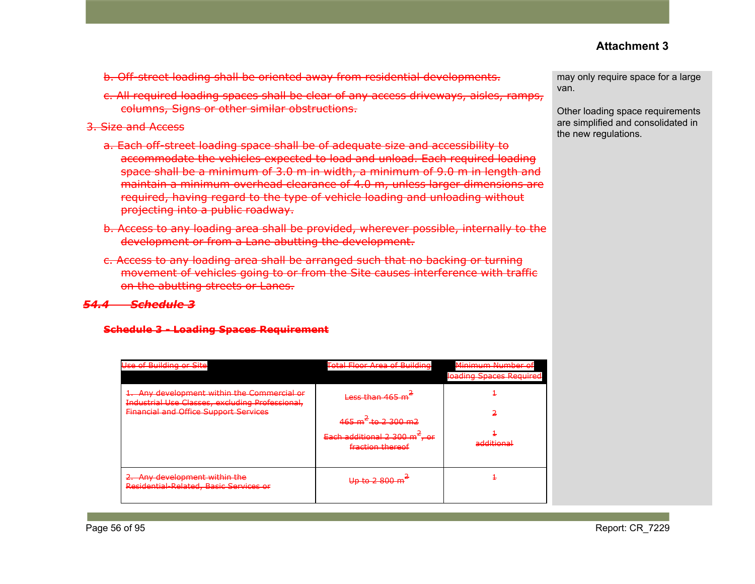- b. Off-street loading shall be oriented away from residential developments.
- c. All required loading spaces shall be clear of any access driveways, aisles, ramps, columns, Signs or other similar obstructions.

### 3. Size and Access

- a. Each off-street loading space shall be of adequate size and accessibility to accommodate the vehicles expected to load and unload. Each required loading space shall be a minimum of 3.0 m in width, a minimum of 9.0 m in length and maintain a minimum overhead clearance of 4.0 m, unless larger dimensions are required, having regard to the type of vehicle loading and unloading without projecting into a public roadway.
- b. Access to any loading area shall be provided, wherever possible, internally to the development or from a Lane abutting the development.
- c. Access to any loading area shall be arranged such that no backing or turning movement of vehicles going to or from the Site causes interference with traffic on the abutting streets or Lanes.

# *54.4 Schedule 3*

#### **Schedule 3 - Loading Spaces Requirement**

| <b>Use of Building or Site</b>                                                                                                                 | Total Floor Area of Building                                                                          | Minimum Number of<br>loading Spaces Required |
|------------------------------------------------------------------------------------------------------------------------------------------------|-------------------------------------------------------------------------------------------------------|----------------------------------------------|
| 1. Any development within the Commercial or<br>Industrial Use Classes, excluding Professional,<br><b>Financial and Office Support Services</b> | Less than 465<br>$465 \text{ m}^2$ to 2 300 m2<br>Each additional 2 300 $m2$ , or<br>fraction thereof | additional                                   |
| 2. Any development within the<br>Residential-Related, Basic Services or                                                                        | $\ln \ln 2$ $\Omega$<br><del>oo w 2 ooo n</del>                                                       |                                              |

may only require space for a large van.

Other loading space requirements are simplified and consolidated in the new regulations.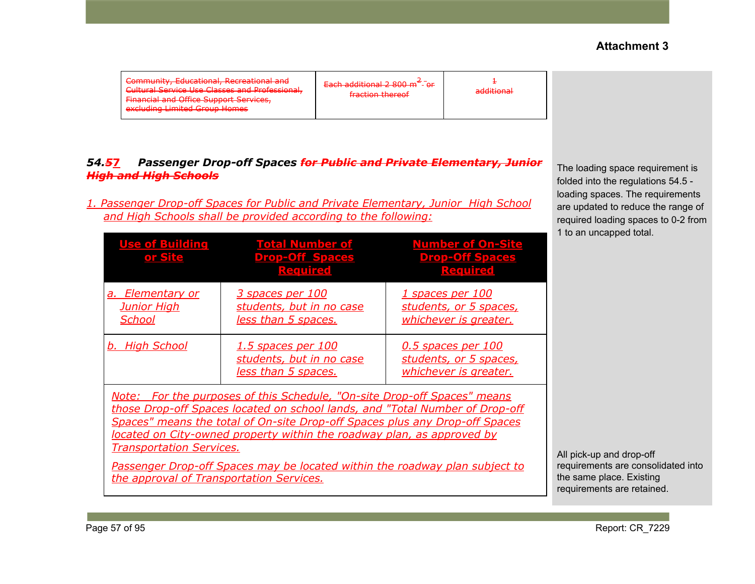| Community, Educational, Recreational and<br>Cultural Service Llee Classes and Professional<br>editeral service bac classes and rivies when<br><b>Einancial and Office Sunnort Services</b><br><del>rmanda and Omce support services,</del><br>aveluding Limited Group Homes<br><del>excluding Elimited oroup nomes</del> | Each additional 2 800 $m^2$ - or<br>fraction thoroof<br><b>BERTHAM BERTH AT A STATE</b> | <b>additional</b><br>a <del>uunomar</del> |
|--------------------------------------------------------------------------------------------------------------------------------------------------------------------------------------------------------------------------------------------------------------------------------------------------------------------------|-----------------------------------------------------------------------------------------|-------------------------------------------|
|--------------------------------------------------------------------------------------------------------------------------------------------------------------------------------------------------------------------------------------------------------------------------------------------------------------------------|-----------------------------------------------------------------------------------------|-------------------------------------------|

## *54.5***7** *Passenger Drop-off Spaces for Public and Private Elementary, Junior High and High Schools*

*1. Passenger Drop-off Spaces for Public and Private Elementary, Junior High School and High Schools shall be provided according to the following:*

| <b>Use of Building</b><br>or Site                                                                                                                                                                                                                                                                                                                                | <b>Total Number of</b><br><b>Drop-Off Spaces</b><br><b>Required</b>          | <b>Number of On-Site</b><br><b>Drop-Off Spaces</b><br><b>Required</b> |          |  |
|------------------------------------------------------------------------------------------------------------------------------------------------------------------------------------------------------------------------------------------------------------------------------------------------------------------------------------------------------------------|------------------------------------------------------------------------------|-----------------------------------------------------------------------|----------|--|
| <u>a. Elementary or</u><br><b>Junior High</b><br>School                                                                                                                                                                                                                                                                                                          | 3 spaces per 100<br>students, but in no case<br>less than 5 spaces.          | 1 spaces per 100<br>students, or 5 spaces,<br>whichever is greater.   |          |  |
| b. High School                                                                                                                                                                                                                                                                                                                                                   | <u>1.5 spaces per 100</u><br>students, but in no case<br>less than 5 spaces. | 0.5 spaces per 100<br>students, or 5 spaces,<br>whichever is greater. |          |  |
| <u>Note: For the purposes of this Schedule, "On-site Drop-off Spaces" means</u><br>those Drop-off Spaces located on school lands, and "Total Number of Drop-off<br>Spaces" means the total of On-site Drop-off Spaces plus any Drop-off Spaces<br>located on City-owned property within the roadway plan, as approved by<br><b>Transportation Services.</b><br>A |                                                                              |                                                                       |          |  |
| Passenger Drop-off Spaces may be located within the roadway plan subject to<br>the approval of Transportation Services.                                                                                                                                                                                                                                          |                                                                              |                                                                       | re<br>tł |  |

The loading space requirement is folded into the regulations 54.5 loading spaces. The requirements are updated to reduce the range of required loading spaces to 0-2 from 1 to an uncapped total.

All pick-up and drop-off equirements are consolidated into ne same place. Existing requirements are retained.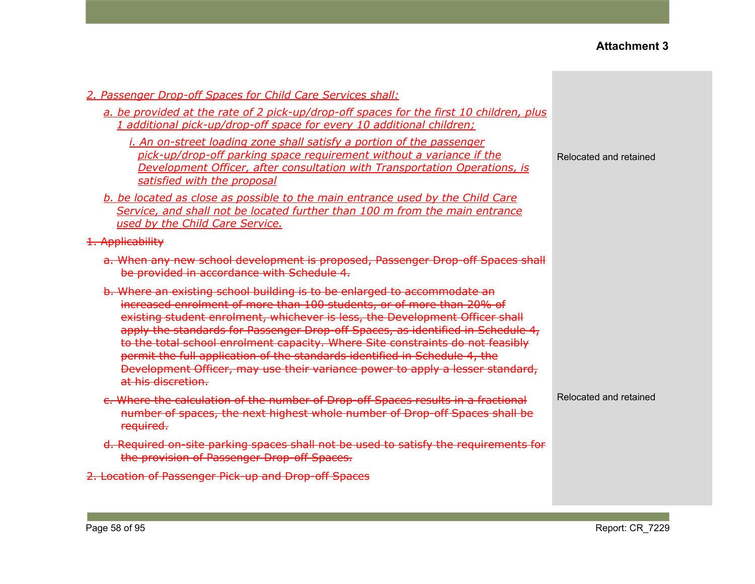| 2. Passenger Drop-off Spaces for Child Care Services shall:                                                                                                                                                                                                                                                                                                                                                                                                                                                                                                                                 |                        |
|---------------------------------------------------------------------------------------------------------------------------------------------------------------------------------------------------------------------------------------------------------------------------------------------------------------------------------------------------------------------------------------------------------------------------------------------------------------------------------------------------------------------------------------------------------------------------------------------|------------------------|
| a. be provided at the rate of 2 pick-up/drop-off spaces for the first 10 children, plus<br>1 additional pick-up/drop-off space for every 10 additional children;                                                                                                                                                                                                                                                                                                                                                                                                                            |                        |
| <i>i. An on-street loading zone shall satisfy a portion of the passenger</i><br>pick-up/drop-off parking space requirement without a variance if the<br>Development Officer, after consultation with Transportation Operations, is<br>satisfied with the proposal                                                                                                                                                                                                                                                                                                                           | Relocated and retained |
| b. be located as close as possible to the main entrance used by the Child Care<br>Service, and shall not be located further than 100 m from the main entrance<br>used by the Child Care Service.                                                                                                                                                                                                                                                                                                                                                                                            |                        |
| 1. Applicability                                                                                                                                                                                                                                                                                                                                                                                                                                                                                                                                                                            |                        |
| a. When any new school development is proposed, Passenger Drop-off Spaces shall<br>be provided in accordance with Schedule 4.                                                                                                                                                                                                                                                                                                                                                                                                                                                               |                        |
| b. Where an existing school building is to be enlarged to accommodate an<br>increased enrolment of more than 100 students, or of more than 20% of<br>existing student enrolment, whichever is less, the Development Officer shall<br>apply the standards for Passenger Drop-off Spaces, as identified in Schedule 4,<br>to the total school enrolment capacity. Where Site constraints do not feasibly<br>permit the full application of the standards identified in Schedule 4, the<br>Development Officer, may use their variance power to apply a lesser standard,<br>at his discretion. |                        |
| c. Where the calculation of the number of Drop-off Spaces results in a fractional<br>number of spaces, the next highest whole number of Drop-off Spaces shall be<br>required.                                                                                                                                                                                                                                                                                                                                                                                                               | Relocated and retained |
| d. Required on site parking spaces shall not be used to satisfy the requirements for<br>the provision of Passenger Drop-off Spaces.                                                                                                                                                                                                                                                                                                                                                                                                                                                         |                        |
| 2. Location of Passenger Pick-up and Drop-off Spaces                                                                                                                                                                                                                                                                                                                                                                                                                                                                                                                                        |                        |
|                                                                                                                                                                                                                                                                                                                                                                                                                                                                                                                                                                                             |                        |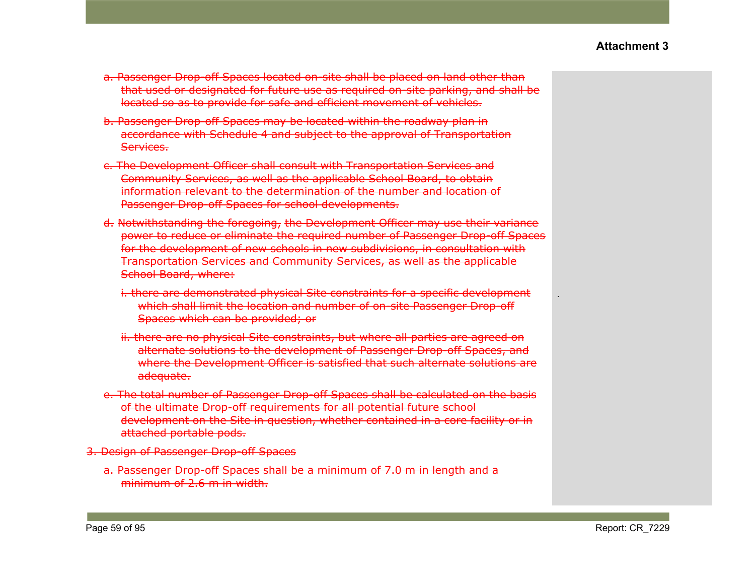- a. Passenger Drop-off Spaces located on-site shall be placed on land other than that used or designated for future use as required on-site parking, and shall be located so as to provide for safe and efficient movement of vehicles.
- b. Passenger Drop-off Spaces may be located within the roadway plan in accordance with Schedule 4 and subject to the approval of Transportation Services.
- c. The Development Officer shall consult with Transportation Services and Community Services, as well as the applicable School Board, to obtain information relevant to the determination of the number and location of Passenger Drop-off Spaces for school developments.
- d. Notwithstanding the foregoing, the Development Officer may use their variance power to reduce or eliminate the required number of Passenger Drop-off Spaces for the development of new schools in new subdivisions, in consultation with Transportation Services and Community Services, as well as the applicable School Board, where:
	- i. there are demonstrated physical Site constraints for a specific development which shall limit the location and number of on-site Passenger Drop-off Spaces which can be provided; or
	- ii. there are no physical Site constraints, but where all parties are agreed on alternate solutions to the development of Passenger Drop-off Spaces, and where the Development Officer is satisfied that such alternate solutions are adequate.
- e. The total number of Passenger Drop-off Spaces shall be calculated on the basis of the ultimate Drop-off requirements for all potential future school development on the Site in question, whether contained in a core facility or in attached portable pods.
- 3. Design of Passenger Drop-off Spaces
	- a. Passenger Drop-off Spaces shall be a minimum of 7.0 m in length and a minimum of 2.6 m in width.

.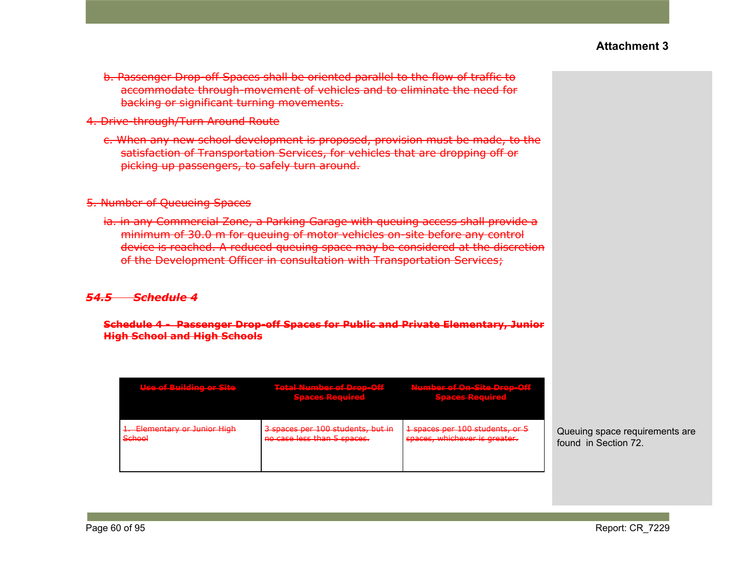- b. Passenger Drop-off Spaces shall be oriented parallel to the flow of traffic to accommodate through-movement of vehicles and to eliminate the need for backing or significant turning movements.
- 4. Drive-through/Turn Around Route
	- c. When any new school development is proposed, provision must be made, to the satisfaction of Transportation Services, for vehicles that are dropping off or picking up passengers, to safely turn around.

#### 5. Number of Queueing Spaces

ia. in any Commercial Zone, a Parking Garage with queuing access shall provide a minimum of 30.0 m for queuing of motor vehicles on-site before any control device is reached. A reduced queuing space may be considered at the discretion of the Development Officer in consultation with Transportation Services;

#### *54.5 Schedule 4*

**Schedule 4 - Passenger Drop-off Spaces for Public and Private Elementary, Junior High School and High Schools**

| <u>Hee of Puilding or Site</u><br><u>terna in tradicione numerica</u> | <b>Total Number of Drop-Off Mumber of On-Site Drop-Off</b><br><b>Spaces Pequired</b><br><b>MARKET MARKET KALLERY</b> | <b>Speces Pequired</b><br><b>EXISTENT ANNOUNCE</b>               |
|-----------------------------------------------------------------------|----------------------------------------------------------------------------------------------------------------------|------------------------------------------------------------------|
| 1. Elementary or Junior High<br>School<br><del>ochool</del>           | 3 spaces per 100 students, but in<br>no case less than 5 spaces.                                                     | 1 spaces per 100 students, or 5<br>spaces, whichever is greater. |

Queuing space requirements are found in Section 72.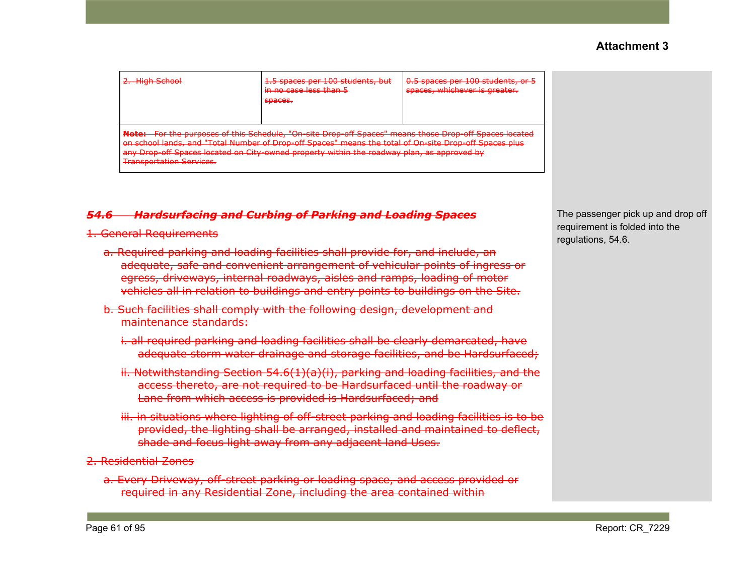| High School<br><b>THEFT CATHER</b>                                                                                                                                                                                                                                                                                                                                                   | 1.5 spaces per 100 students, but<br><del>in no case less than 5</del><br>chacoc.<br><del>opacco.</del> | 0.5 spaces per 100 students, or 5<br>spaces, whichever is greater. |  |  |
|--------------------------------------------------------------------------------------------------------------------------------------------------------------------------------------------------------------------------------------------------------------------------------------------------------------------------------------------------------------------------------------|--------------------------------------------------------------------------------------------------------|--------------------------------------------------------------------|--|--|
| Note: For the purposes of this Schedule, "On-site Drop-off Spaces" means those Drop-off Spaces located<br>school lands, and "Total Number of Drop-off Spaces" means the total of On-site Drop-off Spaces plus<br>any Drop-off Spaces located on City-owned property within the roadway plan, as approved by<br><b>Trancnortation Services</b><br><del>mansvortativn 361 vites.</del> |                                                                                                        |                                                                    |  |  |

# *54.6 Hardsurfacing and Curbing of Parking and Loading Spaces*

#### 1. General Requirements

- a. Required parking and loading facilities shall provide for, and include, an adequate, safe and convenient arrangement of vehicular points of ingress or egress, driveways, internal roadways, aisles and ramps, loading of motor vehicles all in relation to buildings and entry points to buildings on the Site.
- b. Such facilities shall comply with the following design, development and maintenance standards:
	- i. all required parking and loading facilities shall be clearly demarcated, have adequate storm water drainage and storage facilities, and be Hardsurfaced;
	- ii. Notwithstanding Section 54.6(1)(a)(i), parking and loading facilities, and the access thereto, are not required to be Hardsurfaced until the roadway or Lane from which access is provided is Hardsurfaced; and
	- iii. in situations where lighting of off-street parking and loading facilities is to be provided, the lighting shall be arranged, installed and maintained to deflect, shade and focus light away from any adjacent land Uses.
- 2. Residential Zones
	- a. Every Driveway, off-street parking or loading space, and access provided or required in any Residential Zone, including the area contained within

The passenger pick up and drop off requirement is folded into the regulations, 54.6.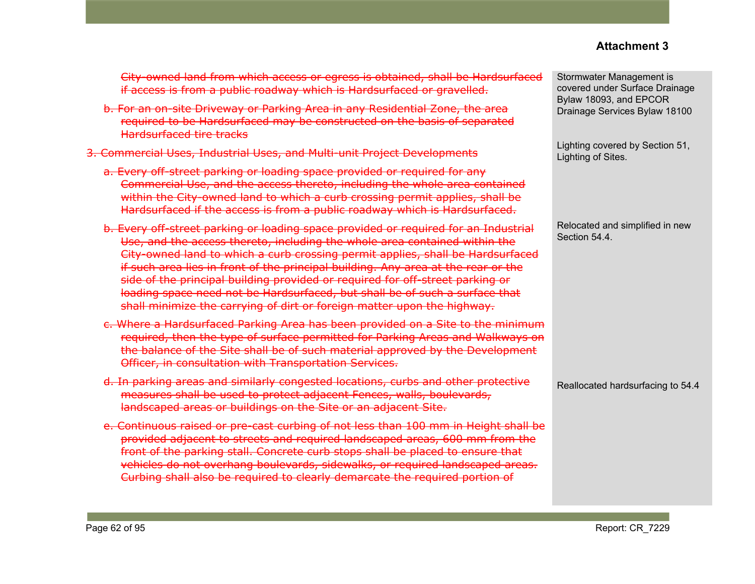City-owned land from which access or egress is obtained, shall be Hardsurfaced if access is from a public roadway which is Hardsurfaced or gravelled.

- b. For an on-site Driveway or Parking Area in any Residential Zone, the area required to be Hardsurfaced may be constructed on the basis of separated Hardsurfaced tire tracks
- 3. Commercial Uses, Industrial Uses, and Multi-unit Project Developments
	- a. Every off-street parking or loading space provided or required for any Commercial Use, and the access thereto, including the whole area contained within the City-owned land to which a curb crossing permit applies, shall be Hardsurfaced if the access is from a public roadway which is Hardsurfaced.
	- b. Every off-street parking or loading space provided or required for an Industrial Use, and the access thereto, including the whole area contained within the City-owned land to which a curb crossing permit applies, shall be Hardsurfaced if such area lies in front of the principal building. Any area at the rear or the side of the principal building provided or required for off-street parking or loading space need not be Hardsurfaced, but shall be of such a surface that shall minimize the carrying of dirt or foreign matter upon the highway.
	- c. Where a Hardsurfaced Parking Area has been provided on a Site to the minimum required, then the type of surface permitted for Parking Areas and Walkways on the balance of the Site shall be of such material approved by the Development Officer, in consultation with Transportation Services.
	- d. In parking areas and similarly congested locations, curbs and other protective measures shall be used to protect adjacent Fences, walls, boulevards, landscaped areas or buildings on the Site or an adjacent Site.
	- e. Continuous raised or pre-cast curbing of not less than 100 mm in Height shall be provided adjacent to streets and required landscaped areas, 600 mm from the front of the parking stall. Concrete curb stops shall be placed to ensure that vehicles do not overhang boulevards, sidewalks, or required landscaped areas. Curbing shall also be required to clearly demarcate the required portion of

Stormwater Management is covered under Surface Drainage Bylaw 18093, and EPCOR Drainage Services Bylaw 18100

Lighting covered by Section 51, Lighting of Sites.

Relocated and simplified in new Section 54.4.

Reallocated hardsurfacing to 54.4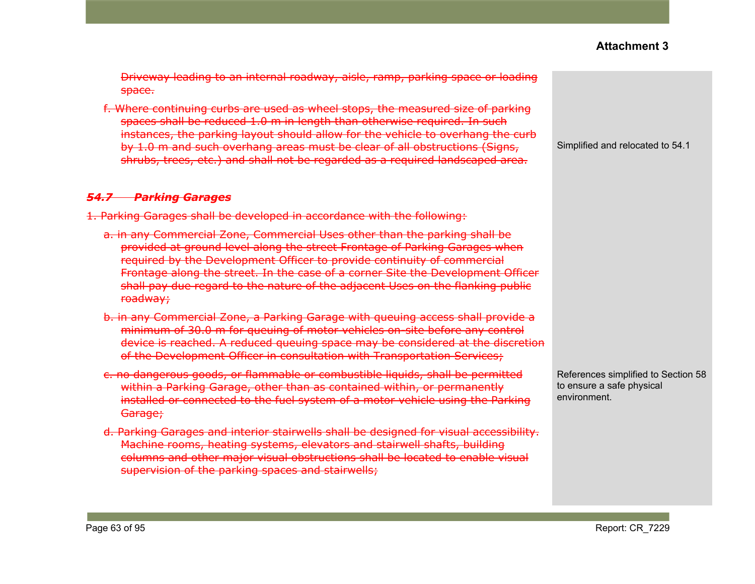Driveway leading to an internal roadway, aisle, ramp, parking space or loading space.

f. Where continuing curbs are used as wheel stops, the measured size of parking spaces shall be reduced 1.0 m in length than otherwise required. In such instances, the parking layout should allow for the vehicle to overhang the curb by 1.0 m and such overhang areas must be clear of all obstructions (Signs, shrubs, trees, etc.) and shall not be regarded as a required landscaped area.

#### *54.7 Parking Garages*

1. Parking Garages shall be developed in accordance with the following:

- a. in any Commercial Zone, Commercial Uses other than the parking shall be provided at ground level along the street Frontage of Parking Garages when required by the Development Officer to provide continuity of commercial Frontage along the street. In the case of a corner Site the Development Officer shall pay due regard to the nature of the adjacent Uses on the flanking public roadway;
- b. in any Commercial Zone, a Parking Garage with queuing access shall provide a minimum of 30.0 m for queuing of motor vehicles on-site before any control device is reached. A reduced queuing space may be considered at the discretion of the Development Officer in consultation with Transportation Services;
- c. no dangerous goods, or flammable or combustible liquids, shall be permitted within a Parking Garage, other than as contained within, or permanently installed or connected to the fuel system of a motor vehicle using the Parking <del>Garage;</del>
- d. Parking Garages and interior stairwells shall be designed for visual accessibility. Machine rooms, heating systems, elevators and stairwell shafts, building columns and other major visual obstructions shall be located to enable visual supervision of the parking spaces and stairwells;

Simplified and relocated to 54.1

References simplified to Section 58 to ensure a safe physical environment.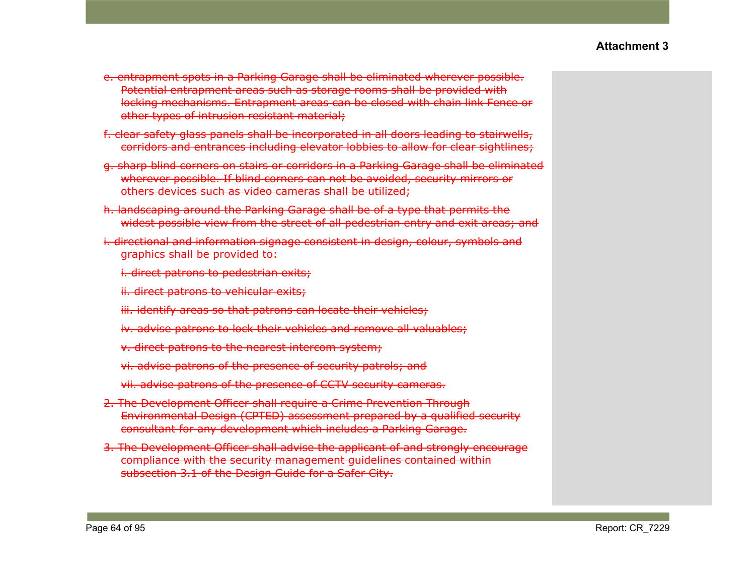- e. entrapment spots in a Parking Garage shall be eliminated wherever possible. Potential entrapment areas such as storage rooms shall be provided with locking mechanisms. Entrapment areas can be closed with chain link Fence or other types of intrusion resistant material;
- f. clear safety glass panels shall be incorporated in all doors leading to stairwells, corridors and entrances including elevator lobbies to allow for clear sightlines;
- g. sharp blind corners on stairs or corridors in a Parking Garage shall be eliminated wherever possible. If blind corners can not be avoided, security mirrors or others devices such as video cameras shall be utilized;
- h. landscaping around the Parking Garage shall be of a type that permits the widest possible view from the street of all pedestrian entry and exit areas; and
- i. directional and information signage consistent in design, colour, symbols and graphics shall be provided to:
	- i. direct patrons to pedestrian exits;
	- ii. direct patrons to vehicular exits;
	- iii. identify areas so that patrons can locate their vehicles;
	- iv. advise patrons to lock their vehicles and remove all valuables;
	- v. direct patrons to the nearest intercom system;
	- vi. advise patrons of the presence of security patrols; and
	- vii. advise patrons of the presence of CCTV security cameras.
- 2. The Development Officer shall require a Crime Prevention Through Environmental Design (CPTED) assessment prepared by a qualified security consultant for any development which includes a Parking Garage.
- 3. The Development Officer shall advise the applicant of and strongly encourage compliance with the security management guidelines contained within subsection 3.1 of the Design Guide for a Safer City.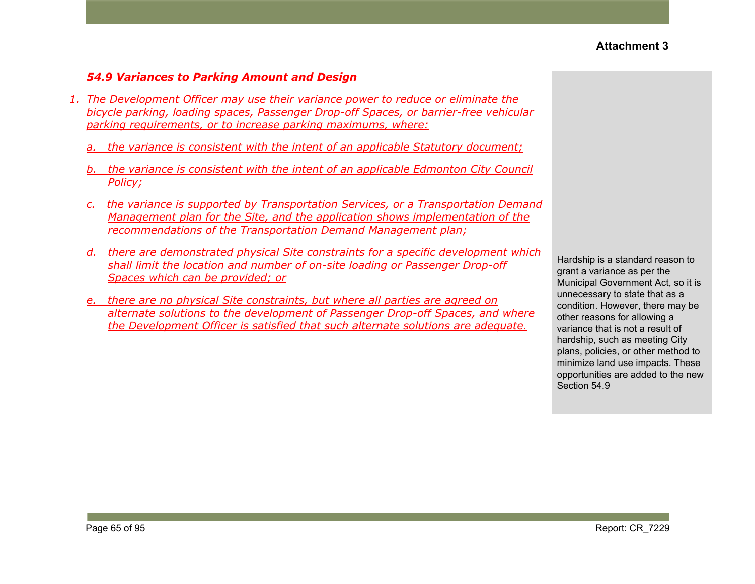#### *54.9 Variances to Parking Amount and Design*

- *1. The Development Officer may use their variance power to reduce or eliminate the bicycle parking, loading spaces, Passenger Drop-off Spaces, or barrier-free vehicular parking requirements, or to increase parking maximums, where:*
	- *a. the variance is consistent with the intent of an applicable Statutory document;*
	- *b. the variance is consistent with the intent of an applicable Edmonton City Council Policy;*
	- *c. the variance is supported by Transportation Services, or a Transportation Demand Management plan for the Site, and the application shows implementation of the recommendations of the Transportation Demand Management plan;*
	- *d. there are demonstrated physical Site constraints for a specific development which shall limit the location and number of on-site loading or Passenger Drop-off Spaces which can be provided; or*
	- *e. there are no physical Site constraints, but where all parties are agreed on alternate solutions to the development of Passenger Drop-off Spaces, and where the Development Officer is satisfied that such alternate solutions are adequate.*

Hardship is a standard reason to grant a variance as per the Municipal Government Act, so it is unnecessary to state that as a condition. However, there may be other reasons for allowing a variance that is not a result of hardship, such as meeting City plans, policies, or other method to minimize land use impacts. These opportunities are added to the new Section 54.9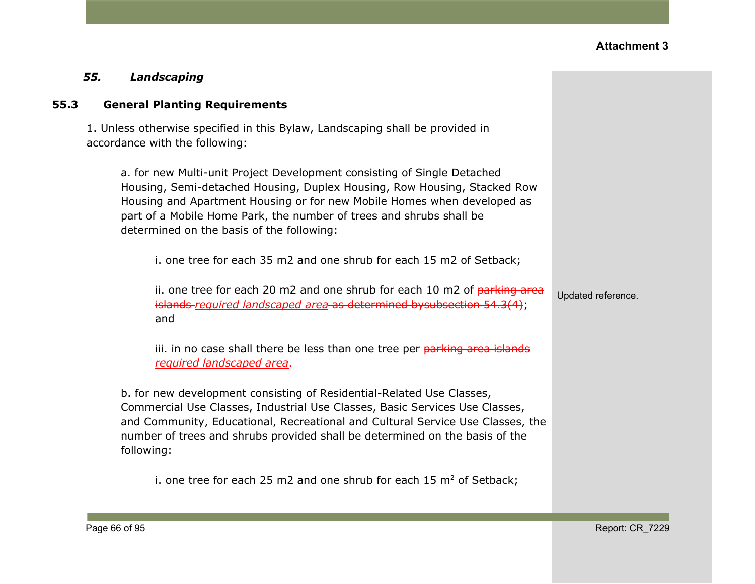#### *55. Landscaping*

#### **55.3 General Planting Requirements**

1. Unless otherwise specified in this Bylaw, Landscaping shall be provided in accordance with the following:

a. for new Multi-unit Project Development consisting of Single Detached Housing, Semi-detached Housing, Duplex Housing, Row Housing, Stacked Row Housing and Apartment Housing or for new Mobile Homes when developed as part of a Mobile Home Park, the number of trees and shrubs shall be determined on the basis of the following:

i. one tree for each 35 m2 and one shrub for each 15 m2 of Setback;

ii. one tree for each 20 m2 and one shrub for each 10 m2 of  $parking$  area islands *required landscaped area* as determined bysubsection 54.3(4); and

iii. in no case shall there be less than one tree per parking area islands *required landscaped area*.

b. for new development consisting of Residential-Related Use Classes, Commercial Use Classes, Industrial Use Classes, Basic Services Use Classes, and Community, Educational, Recreational and Cultural Service Use Classes, the number of trees and shrubs provided shall be determined on the basis of the following:

i. one tree for each 25 m2 and one shrub for each 15  $m<sup>2</sup>$  of Setback;

Updated reference.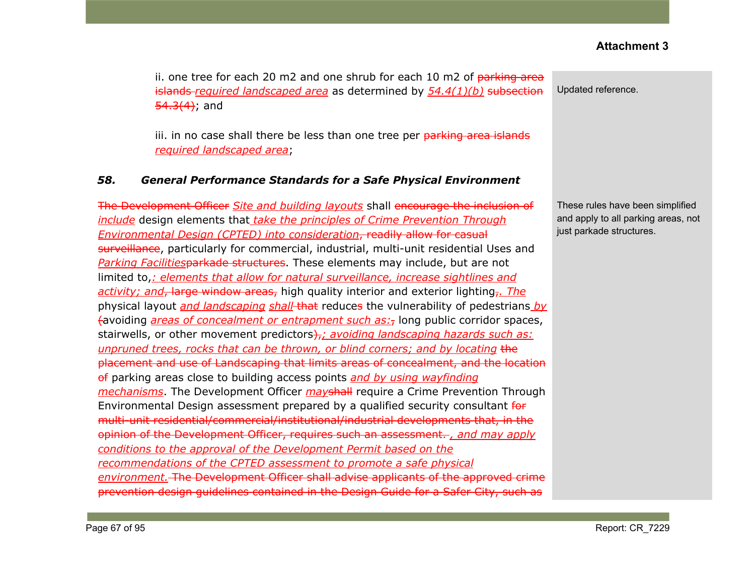ii. one tree for each 20 m2 and one shrub for each 10 m2 of  $\frac{1}{10}$  parking area islands *required landscaped area* as determined by *54.4(1)(b)* subsection  $54.3(4)$ ; and

iii. in no case shall there be less than one tree per parking area islands *required landscaped area*;

#### *58. General Performance Standards for a Safe Physical Environment*

The Development Officer *Site and building layouts* shall encourage the inclusion of *include* design elements that *take the principles of Crime Prevention Through Environmental Design (CPTED) into consideration*, readily allow for casual surveillance, particularly for commercial, industrial, multi-unit residential Uses and *Parking Facilities*parkade structures. These elements may include, but are not limited to,*: elements that allow for natural surveillance, increase sightlines and activity; and*, large window areas, high quality interior and exterior lighting,*. The* physical layout *and landscaping shall* that reduces the vulnerability of pedestrians *by* (avoiding *areas of concealment or entrapment such as:*, long public corridor spaces, stairwells, or other movement predictors<del>),</del>; *avoiding landscaping hazards such as: unpruned trees, rocks that can be thrown, or blind corners; and by locating* the placement and use of Landscaping that limits areas of concealment, and the location of parking areas close to building access points *and by using wayfinding mechanisms*. The Development Officer *may*shall require a Crime Prevention Through Environmental Design assessment prepared by a qualified security consultant for multi-unit residential/commercial/institutional/industrial developments that, in the opinion of the Development Officer, requires such an assessment. *, and may apply conditions to the approval of the Development Permit based on the recommendations of the CPTED assessment to promote a safe physical environment.* The Development Officer shall advise applicants of the approved crime prevention design guidelines contained in the Design Guide for a Safer City, such as

Updated reference.

These rules have been simplified and apply to all parking areas, not just parkade structures.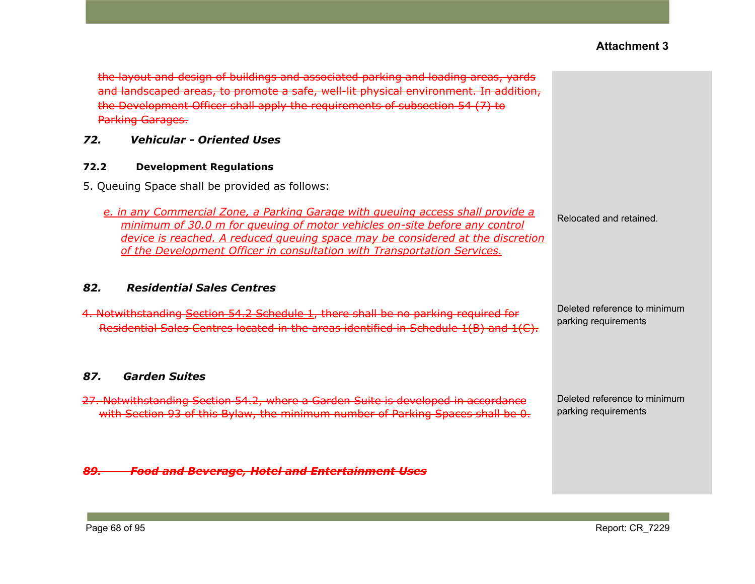| the layout and design of buildings and associated parking and loading areas, yards<br>and landscaped areas, to promote a safe, well-lit physical environment. In addition,<br>the Development Officer shall apply the requirements of subsection 54 (7) to<br><b>Parking Garages.</b>                                       |                                                      |
|-----------------------------------------------------------------------------------------------------------------------------------------------------------------------------------------------------------------------------------------------------------------------------------------------------------------------------|------------------------------------------------------|
| <b>Vehicular - Oriented Uses</b><br>72.                                                                                                                                                                                                                                                                                     |                                                      |
| <b>Development Regulations</b><br>72.2                                                                                                                                                                                                                                                                                      |                                                      |
| 5. Queuing Space shall be provided as follows:                                                                                                                                                                                                                                                                              |                                                      |
| e. in any Commercial Zone, a Parking Garage with queuing access shall provide a<br>minimum of 30.0 m for queuing of motor vehicles on-site before any control<br>device is reached. A reduced queuing space may be considered at the discretion<br>of the Development Officer in consultation with Transportation Services. | Relocated and retained.                              |
| 82.<br><b>Residential Sales Centres</b>                                                                                                                                                                                                                                                                                     |                                                      |
| 4. Notwithstanding Section 54.2 Schedule 1, there shall be no parking required for<br>Residential Sales Centres located in the areas identified in Schedule 1(B) and 1(C).                                                                                                                                                  | Deleted reference to minimum<br>parking requirements |
| <b>Garden Suites</b><br>87.                                                                                                                                                                                                                                                                                                 |                                                      |
| 27. Notwithstanding Section 54.2, where a Garden Suite is developed in accordance<br>with Section 93 of this Bylaw, the minimum number of Parking Spaces shall be 0.                                                                                                                                                        | Deleted reference to minimum<br>parking requirements |
| <b>Food and Beverage, Hotel and Entertainment Uses</b><br>89.                                                                                                                                                                                                                                                               |                                                      |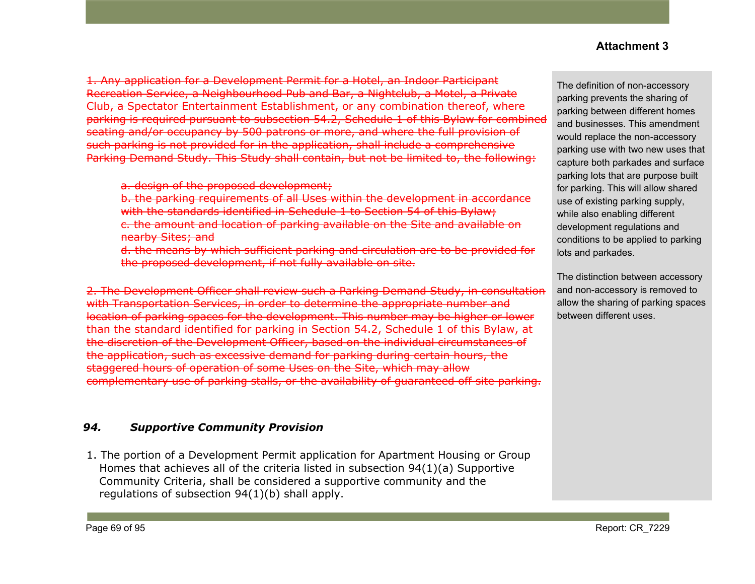1. Any application for a Development Permit for a Hotel, an Indoor Participant Recreation Service, a Neighbourhood Pub and Bar, a Nightclub, a Motel, a Private Club, a Spectator Entertainment Establishment, or any combination thereof, where parking is required pursuant to subsection 54.2, [Schedule](https://webdocs.edmonton.ca/InfraPlan/zoningbylaw/ZoningBylaw/Part1/Development/54_2_Schedule_1.htm) 1 of this Bylaw for combined seating and/or occupancy by 500 patrons or more, and where the full provision of such parking is not provided for in the application, shall include a comprehensive Parking Demand Study. This Study shall contain, but not be limited to, the following:

a. design of the proposed development:

b. the parking requirements of all Uses within the development in accordance with the standards identified in Schedule 1 to Section 54 of this Bylaw; c. the amount and location of parking available on the Site and available on nearby Sites; and

d. the means by which sufficient parking and circulation are to be provided for the proposed development, if not fully available on site.

2. The Development Officer shall review such a Parking Demand Study, in consultation with Transportation Services, in order to determine the appropriate number and location of parking spaces for the development. This number may be higher or lower than the standard identified for parking in Section 54.2, [Schedule](https://webdocs.edmonton.ca/InfraPlan/zoningbylaw/ZoningBylaw/Part1/Development/54_2_Schedule_1.htm) 1 of this Bylaw, at the discretion of the Development Officer, based on the individual circumstances of the application, such as excessive demand for parking during certain hours, the staggered hours of operation of some Uses on the Site, which may allow complementary use of parking stalls, or the availability of guaranteed off site parking.

# *94. Supportive Community Provision*

1. The portion of a Development Permit application for Apartment Housing or Group Homes that achieves all of the criteria listed in subsection 94(1)(a) Supportive Community Criteria, shall be considered a supportive community and the regulations of subsection 94(1)(b) shall apply.

The definition of non-accessory parking prevents the sharing of parking between different homes and businesses. This amendment would replace the non-accessory parking use with two new uses that capture both parkades and surface parking lots that are purpose built for parking. This will allow shared use of existing parking supply, while also enabling different development regulations and conditions to be applied to parking lots and parkades.

The distinction between accessory and non-accessory is removed to allow the sharing of parking spaces between different uses.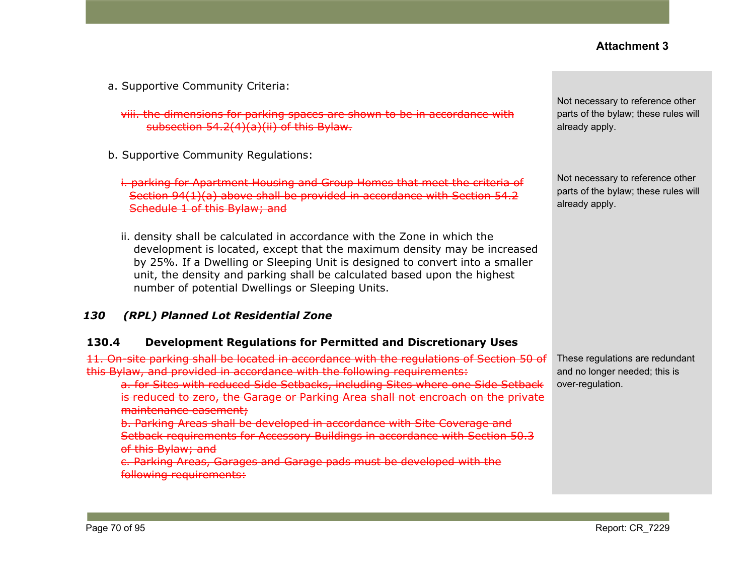a. Supportive Community Criteria:

viii. the dimensions for parking spaces are shown to be in accordance with subsection 54.2(4)(a)(ii) of this Bylaw.

- b. Supportive Community Regulations:
	- i. parking for Apartment Housing and Group Homes that meet the criteria of Section 94(1)(a) above shall be provided in accordance with [Section](https://webdocs.edmonton.ca/InfraPlan/zoningbylaw/ZoningBylaw/Part1/Development/54_2_Schedule_1.htm) 54.2 [Schedule](https://webdocs.edmonton.ca/InfraPlan/zoningbylaw/ZoningBylaw/Part1/Development/54_2_Schedule_1.htm) 1 of this Bylaw; and
	- ii. density shall be calculated in accordance with the Zone in which the development is located, except that the maximum density may be increased by 25%. If a Dwelling or Sleeping Unit is designed to convert into a smaller unit, the density and parking shall be calculated based upon the highest number of potential Dwellings or Sleeping Units.

#### *130 (RPL) Planned Lot Residential Zone*

#### **130.4 Development Regulations for Permitted and Discretionary Uses**

11. On-site parking shall be located in accordance with the regulations of [Section](https://webdocs.edmonton.ca/InfraPlan/zoningbylaw/ZoningBylaw/Part1/Development/50__Accessory_Uses_and_Buildings.htm) 50 of this Bylaw, and provided in accordance with the following requirements:

a. for Sites with reduced Side Setbacks, including Sites where one Side Setback is reduced to zero, the Garage or Parking Area shall not encroach on the private maintenance easement;

b. Parking Areas shall be developed in accordance with Site Coverage and Setback requirements for Accessory Buildings in accordance with Section 50.3 of this Bylaw; and

c. Parking Areas, Garages and Garage pads must be developed with the following requirements:

Not necessary to reference other parts of the bylaw; these rules will already apply.

Not necessary to reference other parts of the bylaw; these rules will already apply.

These regulations are redundant and no longer needed; this is over-regulation.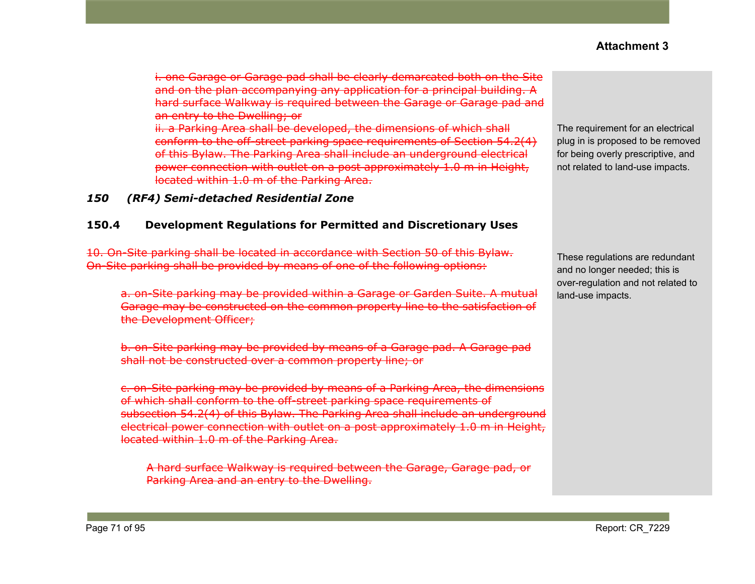i. one Garage or Garage pad shall be clearly demarcated both on the Site and on the plan accompanying any application for a principal building. A hard surface Walkway is required between the Garage or Garage pad and an entry to the Dwelling; or ii. a Parking Area shall be developed, the dimensions of which shall conform to the off-street parking space requirements of Section 54.2(4) of this Bylaw. The Parking Area shall include an underground electrical

power connection with outlet on a post approximately 1.0 m in Height, located within 1.0 m of the Parking Area.

#### *150 (RF4) Semi-detached Residential Zone*

#### **150.4 Development Regulations for Permitted and Discretionary Uses**

10. On-Site parking shall be located in accordance with Section 50 of this Bylaw. On-Site parking shall be provided by means of one of the following options:

a. on-Site parking may be provided within a Garage or Garden Suite. A mutual Garage may be constructed on the common property line to the satisfaction of the Development Officer;

b. on-Site parking may be provided by means of a Garage pad. A Garage pad shall not be constructed over a common property line; or

c. on-Site parking may be provided by means of a Parking Area, the dimensions of which shall conform to the off-street parking space requirements of subsection 54.2(4) of this Bylaw. The Parking Area shall include an underground electrical power connection with outlet on a post approximately 1.0 m in Height, located within 1.0 m of the Parking Area.

A hard surface Walkway is required between the Garage, Garage pad, or Parking Area and an entry to the Dwelling.

The requirement for an electrical plug in is proposed to be removed for being overly prescriptive, and not related to land-use impacts.

These regulations are redundant and no longer needed; this is over-regulation and not related to land-use impacts.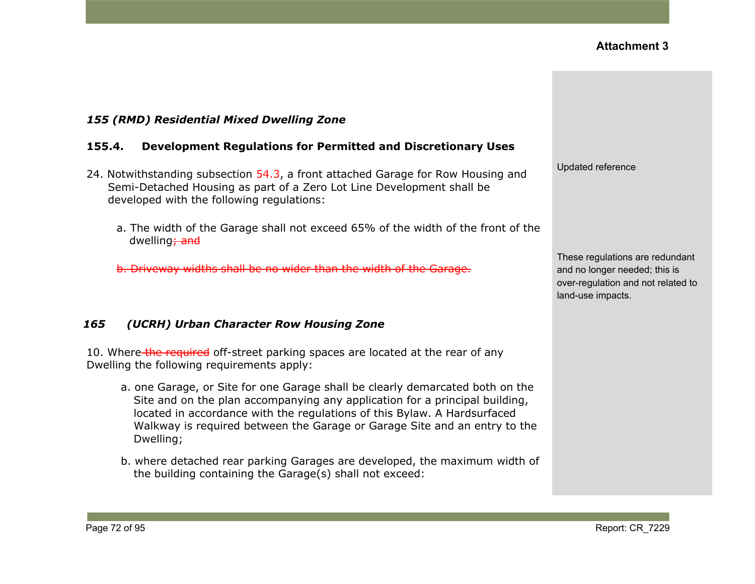

### *155 (RMD) Residential Mixed Dwelling Zone*

#### **155.4. Development Regulations for Permitted and Discretionary Uses**

- 24. Notwithstanding subsection 54.3, a front attached Garage for Row Housing and Semi-Detached Housing as part of a Zero Lot Line Development shall be developed with the following regulations:
	- a. The width of the Garage shall not exceed 65% of the width of the front of the dwelling<sub>; and</sub>

b. Driveway widths shall be no wider than the width of the Garage.

# *165 (UCRH) Urban Character Row Housing Zone*

10. Where the required off-street parking spaces are located at the rear of any Dwelling the following requirements apply:

- a. one Garage, or Site for one Garage shall be clearly demarcated both on the Site and on the plan accompanying any application for a principal building, located in accordance with the regulations of this Bylaw. A Hardsurfaced Walkway is required between the Garage or Garage Site and an entry to the Dwelling;
- b. where detached rear parking Garages are developed, the maximum width of the building containing the Garage(s) shall not exceed: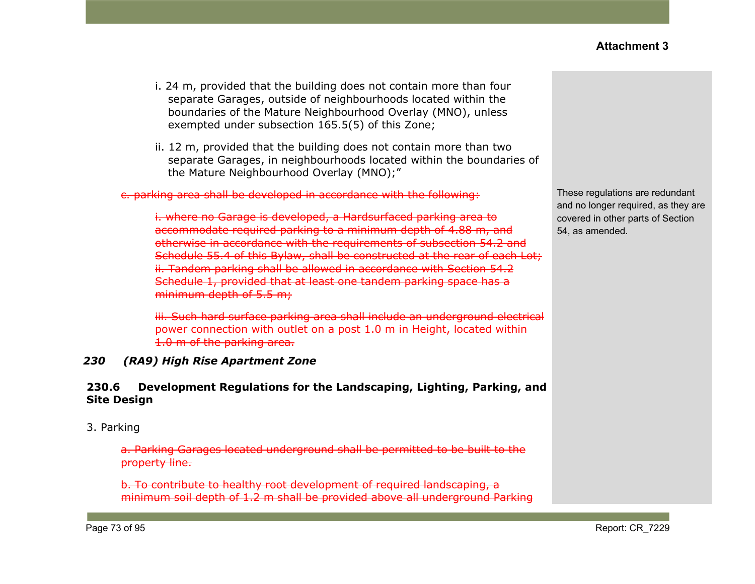- i. 24 m, provided that the building does not contain more than four separate Garages, outside of neighbourhoods located within the boundaries of the Mature Neighbourhood Overlay (MNO), unless exempted under subsection 165.5(5) of this Zone;
- ii. 12 m, provided that the building does not contain more than two separate Garages, in neighbourhoods located within the boundaries of the Mature Neighbourhood Overlay (MNO);"

#### c. parking area shall be developed in accordance with the following:

i. where no Garage is developed, a Hardsurfaced parking area to accommodate required parking to a minimum depth of 4.88 m, and otherwise in accordance with the requirements of subsection 54.2 and Schedule 55.4 of this Bylaw, shall be constructed at the rear of each Lot; ii. Tandem parking shall be allowed in accordance with Section 54.2 Schedule 1, provided that at least one tandem parking space has a minimum depth of 5.5 m;

iii. Such hard surface parking area shall include an underground electrical power connection with outlet on a post 1.0 m in Height, located within 1.0 m of the parking area.

#### *230 (RA9) High Rise Apartment Zone*

#### **230.6 Development Regulations for the Landscaping, Lighting, Parking, and Site Design**

#### 3. Parking

a. Parking Garages located underground shall be permitted to be built to the property line.

b. To contribute to healthy root development of required landscaping, a minimum soil depth of 1.2 m shall be provided above all underground Parking These regulations are redundant and no longer required, as they are covered in other parts of Section 54, as amended.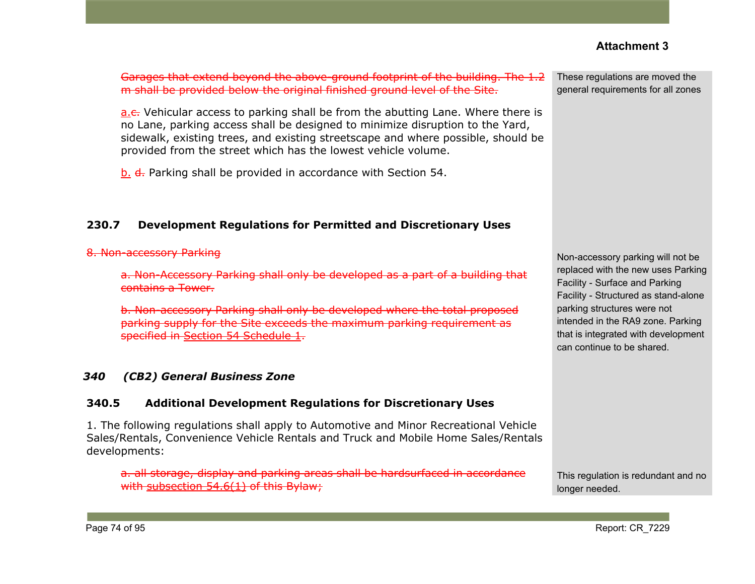Garages that extend beyond the above-ground footprint of the building. The 1.2 m shall be provided below the original finished ground level of the Site.

a.e. Vehicular access to parking shall be from the abutting Lane. Where there is no Lane, parking access shall be designed to minimize disruption to the Yard, sidewalk, existing trees, and existing streetscape and where possible, should be provided from the street which has the lowest vehicle volume.

b. d. Parking shall be provided in accordance with Section 54.

#### **230.7 Development Regulations for Permitted and Discretionary Uses**

#### 8. Non-accessory Parking

a. Non-Accessory Parking shall only be developed as a part of a building that contains a Tower.

b. Non-accessory Parking shall only be developed where the total proposed parking supply for the Site exceeds the maximum parking requirement as specified in Section 54 [Schedule](https://webdocs.edmonton.ca/InfraPlan/zoningbylaw/ZoningBylaw/Part1/Development/54__Parking__Loading_and_Passenger_Drop-off.htm) 1.

#### *340 (CB2) General Business Zone*

#### **340.5 Additional Development Regulations for Discretionary Uses**

1. The following regulations shall apply to Automotive and Minor Recreational Vehicle Sales/Rentals, Convenience Vehicle Rentals and Truck and Mobile Home Sales/Rentals developments:

a. all storage, display and parking areas shall be hardsurfaced in accordance with [subsection](https://webdocs.edmonton.ca/InfraPlan/zoningbylaw/ZoningBylaw/Part1/Development/54_6_Hardsurfacing_and_Curbing_of_Parking_and_Loading_Spaces.htm) 54.6(1) of this Bylaw;

These regulations are moved the general requirements for all zones

Non-accessory parking will not be replaced with the new uses Parking Facility - Surface and Parking Facility - Structured as stand-alone parking structures were not intended in the RA9 zone. Parking that is integrated with development can continue to be shared.

This regulation is redundant and no longer needed.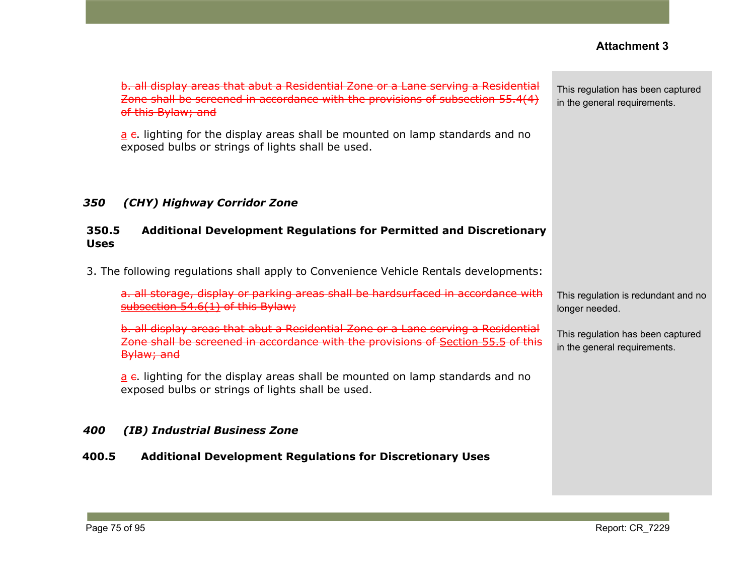This regulation has been captured

| d in accordance with the provisions of subsection 55.4(4)                                                                 | in the general requirements.                                     |
|---------------------------------------------------------------------------------------------------------------------------|------------------------------------------------------------------|
| splay areas shall be mounted on lamp standards and no<br>gs of lights shall be used.                                      |                                                                  |
| ridor Zone                                                                                                                |                                                                  |
| opment Regulations for Permitted and Discretionary                                                                        |                                                                  |
| shall apply to Convenience Vehicle Rentals developments:                                                                  |                                                                  |
| or parking areas shall be hardsurfaced in accordance with<br>this Bylaw;                                                  | This regulation is redundant and<br>longer needed.               |
| It abut a Residential Zone or a Lane serving a Residential<br>d in accordance with the provisions of Section 55.5 of this | This regulation has been capture<br>in the general requirements. |
| splay areas shall be mounted on lamp standards and no<br>gs of lights shall be used.                                      |                                                                  |
| iness Zone                                                                                                                |                                                                  |
|                                                                                                                           |                                                                  |

#### b. all display areas that abut a Residential Zone or a Lane serving a Residential Zone shall be screened of this Bylaw; and

 $a \epsilon$ . lighting for the dis exposed bulbs or string

### *350 (CHY) Highway Coridor*

#### **350.5 Additional Development Regulations for Permitted and Discretionary Uses**

3. The following regulations s

a. all storage, display [subsection](https://webdocs.edmonton.ca/InfraPlan/zoningbylaw/ZoningBylaw/Part1/Development/54_6_Hardsurfacing_and_Curbing_of_Parking_and_Loading_Spaces.htm)  $54.6(1)$  of this

b. all display areas tha Zone shall be screened Bylaw; and

 $a \epsilon$ . lighting for the dis exposed bulbs or string

#### *400 (IB) Industrial Busi*

#### **400.5 Additional Development Regulations for Discretionary Uses**

This regulation is redundant and no

This regulation has been captured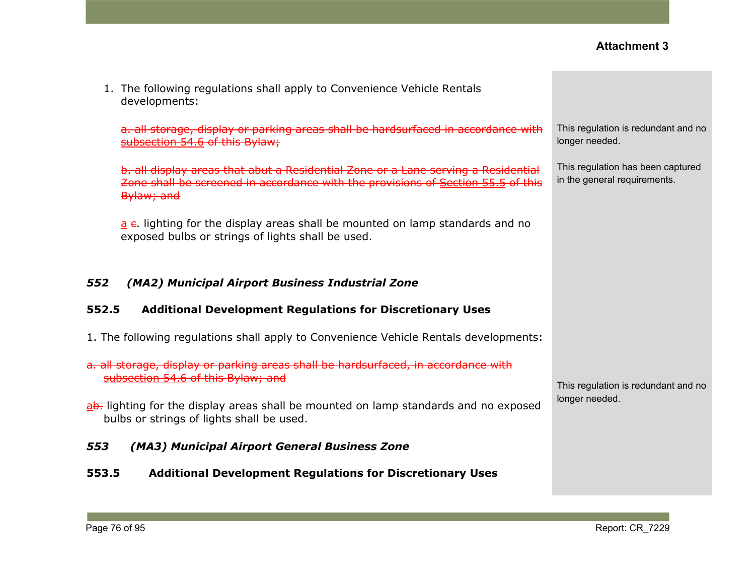| 1. The following regulations shall apply to Convenience Vehicle Rentals<br>developments:                                                                                            |                                                                   |
|-------------------------------------------------------------------------------------------------------------------------------------------------------------------------------------|-------------------------------------------------------------------|
| a. all storage, display or parking areas shall be hardsurfaced in accordance with<br>subsection 54.6 of this Bylaw;                                                                 | This regulation is redundant and no<br>longer needed.             |
| b. all display areas that abut a Residential Zone or a Lane serving a Residential<br>Zone shall be screened in accordance with the provisions of Section 55.5 of this<br>Bylaw; and | This regulation has been captured<br>in the general requirements. |
| a e. lighting for the display areas shall be mounted on lamp standards and no<br>exposed bulbs or strings of lights shall be used.                                                  |                                                                   |
| 552<br>(MA2) Municipal Airport Business Industrial Zone                                                                                                                             |                                                                   |
| 552.5<br><b>Additional Development Regulations for Discretionary Uses</b>                                                                                                           |                                                                   |
| 1. The following regulations shall apply to Convenience Vehicle Rentals developments:                                                                                               |                                                                   |
| a. all storage, display or parking areas shall be hardsurfaced, in accordance with<br>subsection 54.6 of this Bylaw; and                                                            | This regulation is redundant and no                               |
| ab. lighting for the display areas shall be mounted on lamp standards and no exposed<br>bulbs or strings of lights shall be used.                                                   | longer needed.                                                    |
| 553<br>(MA3) Municipal Airport General Business Zone                                                                                                                                |                                                                   |
| <b>Additional Development Regulations for Discretionary Uses</b><br>553.5                                                                                                           |                                                                   |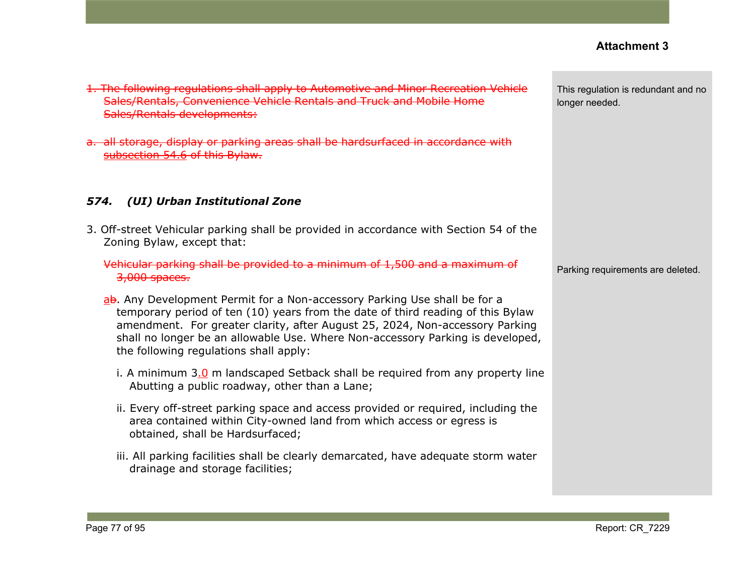| 1. The following regulations shall apply to Automotive and Minor Recreation Vehicle<br>Sales/Rentals, Convenience Vehicle Rentals and Truck and Mobile Home<br>Sales/Rentals developments:                                                                                                                                                                               | This regulation is redundant and no<br>longer needed. |
|--------------------------------------------------------------------------------------------------------------------------------------------------------------------------------------------------------------------------------------------------------------------------------------------------------------------------------------------------------------------------|-------------------------------------------------------|
| a. all storage, display or parking areas shall be hardsurfaced in accordance with<br>subsection 54.6 of this Bylaw.                                                                                                                                                                                                                                                      |                                                       |
| (UI) Urban Institutional Zone<br>574.                                                                                                                                                                                                                                                                                                                                    |                                                       |
| 3. Off-street Vehicular parking shall be provided in accordance with Section 54 of the<br>Zoning Bylaw, except that:                                                                                                                                                                                                                                                     |                                                       |
| Vehicular parking shall be provided to a minimum of 1,500 and a maximum of<br>3,000 spaces.                                                                                                                                                                                                                                                                              | Parking requirements are deleted.                     |
| ab. Any Development Permit for a Non-accessory Parking Use shall be for a<br>temporary period of ten (10) years from the date of third reading of this Bylaw<br>amendment. For greater clarity, after August 25, 2024, Non-accessory Parking<br>shall no longer be an allowable Use. Where Non-accessory Parking is developed,<br>the following regulations shall apply: |                                                       |
| i. A minimum 3.0 m landscaped Setback shall be required from any property line<br>Abutting a public roadway, other than a Lane;                                                                                                                                                                                                                                          |                                                       |
| ii. Every off-street parking space and access provided or required, including the<br>area contained within City-owned land from which access or egress is<br>obtained, shall be Hardsurfaced;                                                                                                                                                                            |                                                       |
| iii. All parking facilities shall be clearly demarcated, have adequate storm water<br>drainage and storage facilities;                                                                                                                                                                                                                                                   |                                                       |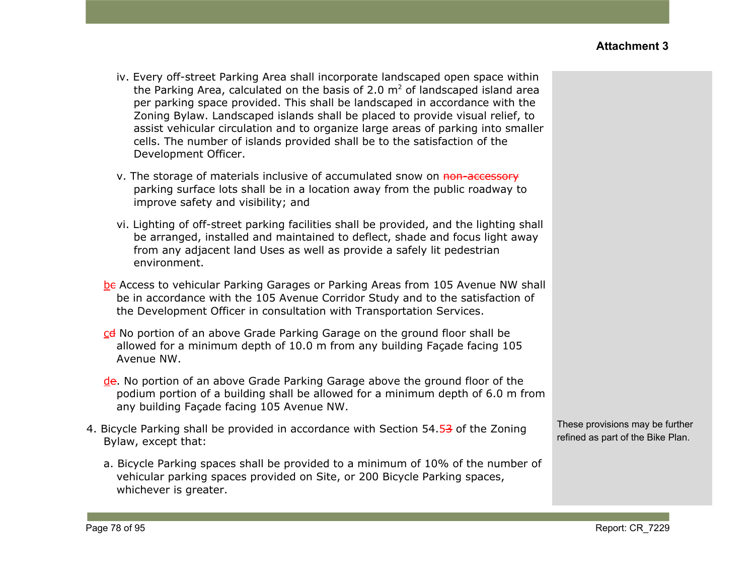- iv. Every off-street Parking Area shall incorporate landscaped open space within the Parking Area, calculated on the basis of 2.0  $m<sup>2</sup>$  of landscaped island area per parking space provided. This shall be landscaped in accordance with the Zoning Bylaw. Landscaped islands shall be placed to provide visual relief, to assist vehicular circulation and to organize large areas of parking into smaller cells. The number of islands provided shall be to the satisfaction of the Development Officer.
- v. The storage of materials inclusive of accumulated snow on non-accessory parking surface lots shall be in a location away from the public roadway to improve safety and visibility; and
- vi. Lighting of off-street parking facilities shall be provided, and the lighting shall be arranged, installed and maintained to deflect, shade and focus light away from any adjacent land Uses as well as provide a safely lit pedestrian environment.
- bc Access to vehicular Parking Garages or Parking Areas from 105 Avenue NW shall be in accordance with the 105 Avenue Corridor Study and to the satisfaction of the Development Officer in consultation with Transportation Services.
- cd No portion of an above Grade Parking Garage on the ground floor shall be allowed for a minimum depth of 10.0 m from any building Façade facing 105 Avenue NW.
- de. No portion of an above Grade Parking Garage above the ground floor of the podium portion of a building shall be allowed for a minimum depth of 6.0 m from any building Façade facing 105 Avenue NW.
- 4. Bicycle Parking shall be provided in accordance with Section 54.53 of the Zoning Bylaw, except that:
	- a. Bicycle Parking spaces shall be provided to a minimum of 10% of the number of vehicular parking spaces provided on Site, or 200 Bicycle Parking spaces, whichever is greater.

These provisions may be further refined as part of the Bike Plan.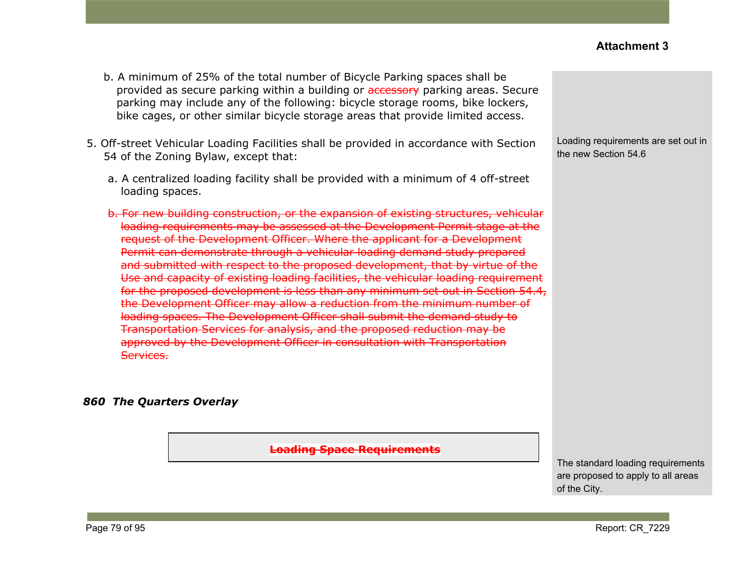- b. A minimum of 25% of the total number of Bicycle Parking spaces shall be provided as secure parking within a building or accessory parking areas. Secure parking may include any of the following: bicycle storage rooms, bike lockers, bike cages, or other similar bicycle storage areas that provide limited access.
- 5. Off-street Vehicular Loading Facilities shall be provided in accordance with Section 54 of the Zoning Bylaw, except that:
	- a. A centralized loading facility shall be provided with a minimum of 4 off-street loading spaces.
	- b. For new building construction, or the expansion of existing structures, vehicular loading requirements may be assessed at the Development Permit stage at the request of the Development Officer. Where the applicant for a Development Permit can demonstrate through a vehicular loading demand study prepared and submitted with respect to the proposed development, that by virtue of the Use and capacity of existing loading facilities, the vehicular loading requirement for the proposed development is less than any minimum set out in Section 54.4, the Development Officer may allow a reduction from the minimum number of loading spaces. The Development Officer shall submit the demand study to Transportation Services for analysis, and the proposed reduction may be approved by the Development Officer in consultation with Transportation Services.

#### *860 The Quarters Overlay*

**Loading Space Requirements**

Loading requirements are set out in the new Section 54.6

The standard loading requirements are proposed to apply to all areas of the City.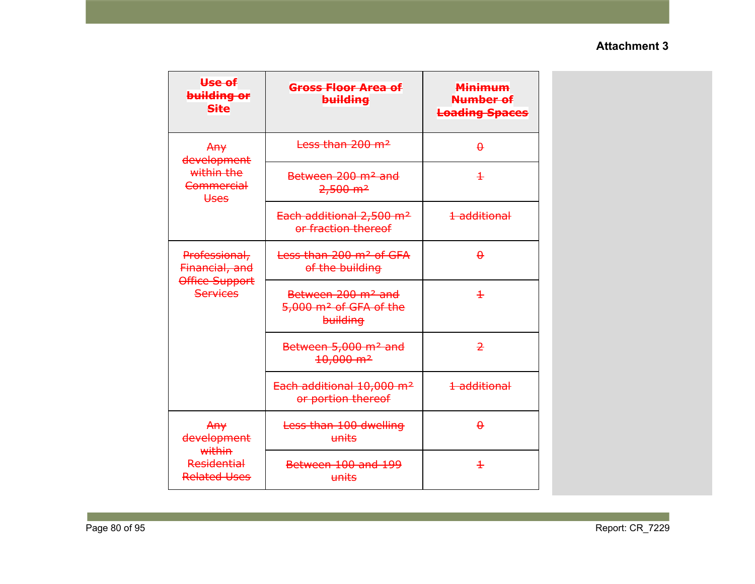| <del>Use of</del><br>building or<br><b>Site</b>                      | Gross Floor Area of<br>building                                                  | <b>Minimum</b><br>Number of<br><b>Loading Spaces</b> |
|----------------------------------------------------------------------|----------------------------------------------------------------------------------|------------------------------------------------------|
| Any<br>development                                                   | Less than 200 m <sup>2</sup>                                                     | $\theta$                                             |
| within the<br><b>Commercial</b><br><b>Uses</b>                       | Between 200 m <sup>2</sup> and<br>$2,500 \text{ m}^2$                            | $\pm$                                                |
|                                                                      | Each additional 2,500 m <sup>2</sup><br>or fraction thereof                      | 1 additional                                         |
| Professional,<br>Financial, and<br>Office Support<br><b>Services</b> | Less than 200 m <sup>2</sup> of GFA<br>of the building                           | $\theta$                                             |
|                                                                      | Between 200 m <sup>2</sup> and<br>5,000 m <sup>2</sup> of GFA of the<br>building | $\pm$                                                |
|                                                                      | Between 5,000 m <sup>2</sup> and<br>$10,000 \text{ m}^2$                         | $\overline{2}$                                       |
|                                                                      | Each additional 10,000 m <sup>2</sup><br>or portion thereof                      | 1 additional                                         |
| Any<br>development<br>within                                         | Less than 100 dwelling<br>units                                                  | $\theta$                                             |
| <b>Residential</b><br><b>Related Uses</b>                            | Between 100 and 199<br>units                                                     | $\pm$                                                |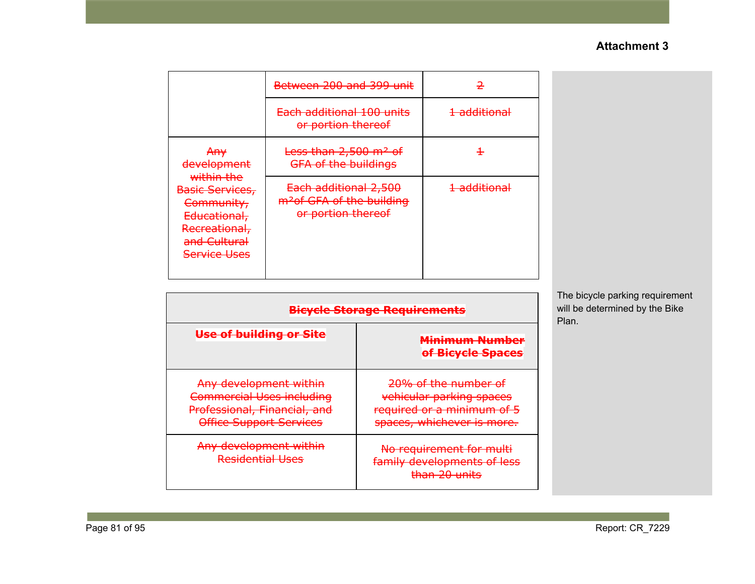|                                                                                                                     | Between 200 and 399 unit                                                             |                         |
|---------------------------------------------------------------------------------------------------------------------|--------------------------------------------------------------------------------------|-------------------------|
|                                                                                                                     | Each additional 100 units<br>or portion thereof                                      | <del>1 additional</del> |
| <del>An∨</del><br>development                                                                                       | <del>Less than 2,500 m<sup>2</sup> of</del><br><b>GFA of the buildings</b>           | ╉                       |
| within the<br>Basic Services,<br>Community,<br>Educational,<br>Recreational,<br>and Cultural<br><b>Service Uses</b> | Each additional 2,500<br>m <sup>2</sup> of GFA of the building<br>or portion thereof | <del>1 additional</del> |

| <del>Bicycle Storage Requirements</del>                                                                                      |                                                                                                              |  |
|------------------------------------------------------------------------------------------------------------------------------|--------------------------------------------------------------------------------------------------------------|--|
| Use of building or Site                                                                                                      | <del>Minimum Number</del><br>of Bicycle Spaces                                                               |  |
| Any development within<br><b>Commercial Uses including</b><br>Professional, Financial, and<br><b>Office Support Services</b> | 20% of the number of<br>vehicular parking spaces<br>required or a minimum of 5<br>spaces, whichever is more. |  |
| Any development within<br><b>Residential Uses</b>                                                                            | No requirement for multi<br>family developments of less<br><del>than 20 units</del>                          |  |

The bicycle parking requirement will be determined by the Bike Plan.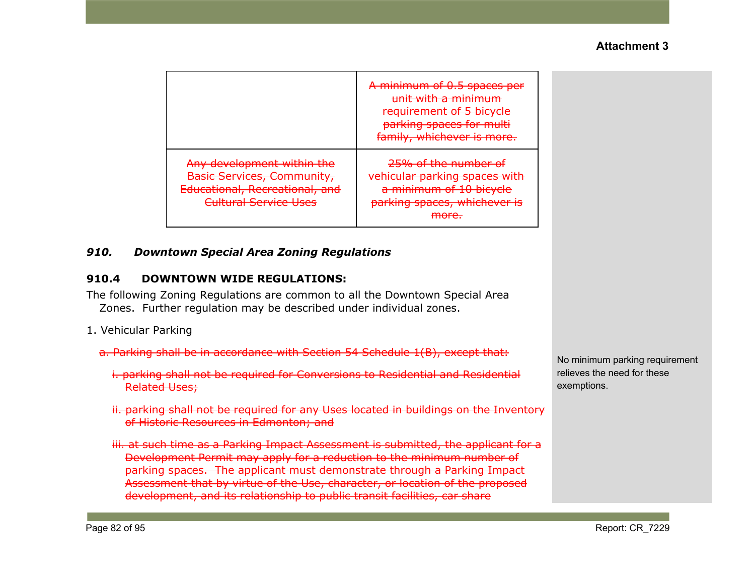|                                                                                                                                   | A minimum of 0.5 spaces per<br>unit with a minimum<br>requirement of 5 bicycle<br>parking spaces for multi<br>family, whichever is more. |
|-----------------------------------------------------------------------------------------------------------------------------------|------------------------------------------------------------------------------------------------------------------------------------------|
| Any development within the<br><b>Basic Services, Community,</b><br>Educational, Recreational, and<br><b>Cultural Service Uses</b> | 25% of the number of<br>vehicular parking spaces with<br>a minimum of 10 bicycle<br>parking spaces, whichever is<br><del>more.</del>     |

#### *910. Downtown Special Area Zoning Regulations*

#### **910.4 DOWNTOWN WIDE REGULATIONS:**

The following Zoning Regulations are common to all the Downtown Special Area Zones. Further regulation may be described under individual zones.

- 1. Vehicular Parking
	- a. Parking shall be in accordance with Section 54 Schedule 1(B), except that:
		- i. parking shall not be required for Conversions to Residential and Residential Related Uses;
		- ii. parking shall not be required for any Uses located in buildings on the Inventory of Historic Resources in Edmonton; and
		- iii. at such time as a Parking Impact Assessment is submitted, the applicant for a Development Permit may apply for a reduction to the minimum number of parking spaces. The applicant must demonstrate through a Parking Impact Assessment that by virtue of the Use, character, or location of the proposed development, and its relationship to public transit facilities, car share

No minimum parking requirement relieves the need for these exemptions.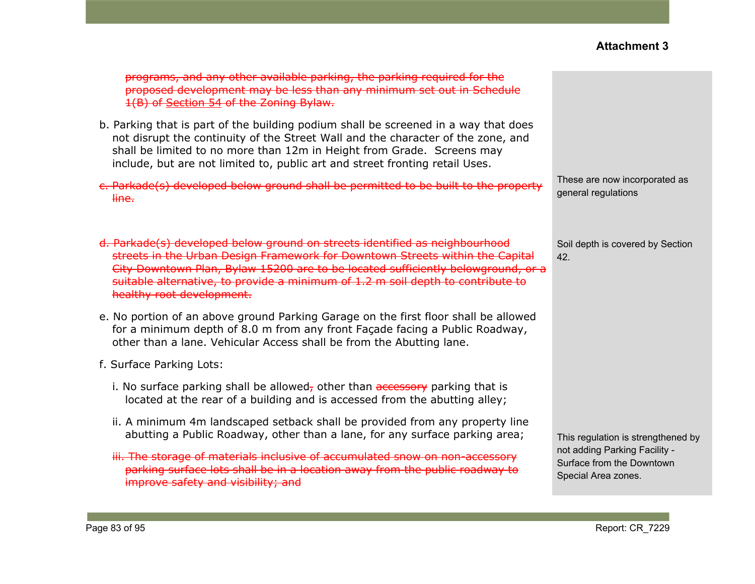| programs, and any other available parking, the parking required for the<br>proposed development may be less than any minimum set out in Schedule<br>1(B) of Section 54 of the Zoning Bylaw.                                                                                                                                                                      |                                                                                                                         |
|------------------------------------------------------------------------------------------------------------------------------------------------------------------------------------------------------------------------------------------------------------------------------------------------------------------------------------------------------------------|-------------------------------------------------------------------------------------------------------------------------|
| b. Parking that is part of the building podium shall be screened in a way that does<br>not disrupt the continuity of the Street Wall and the character of the zone, and<br>shall be limited to no more than 12m in Height from Grade. Screens may<br>include, but are not limited to, public art and street fronting retail Uses.                                |                                                                                                                         |
| c. Parkade(s) developed below ground shall be permitted to be built to the property<br>line.                                                                                                                                                                                                                                                                     | These are now incorporated as<br>general regulations                                                                    |
| d. Parkade(s) developed below ground on streets identified as neighbourhood<br>streets in the Urban Design Framework for Downtown Streets within the Capital<br>City Downtown Plan, Bylaw 15200 are to be located sufficiently belowground, or a<br>suitable alternative, to provide a minimum of 1.2 m soil depth to contribute to<br>healthy root development. | Soil depth is covered by Section<br>42.                                                                                 |
| e. No portion of an above ground Parking Garage on the first floor shall be allowed<br>for a minimum depth of 8.0 m from any front Façade facing a Public Roadway,<br>other than a lane. Vehicular Access shall be from the Abutting lane.                                                                                                                       |                                                                                                                         |
| f. Surface Parking Lots:                                                                                                                                                                                                                                                                                                                                         |                                                                                                                         |
| i. No surface parking shall be allowed, other than accessory parking that is<br>located at the rear of a building and is accessed from the abutting alley;                                                                                                                                                                                                       |                                                                                                                         |
| ii. A minimum 4m landscaped setback shall be provided from any property line<br>abutting a Public Roadway, other than a lane, for any surface parking area;<br>iii. The storage of materials inclusive of accumulated snow on non-accessory<br>parking surface lots shall be in a location away from the public roadway to<br>improve safety and visibility; and | This regulation is strengthened by<br>not adding Parking Facility -<br>Surface from the Downtown<br>Special Area zones. |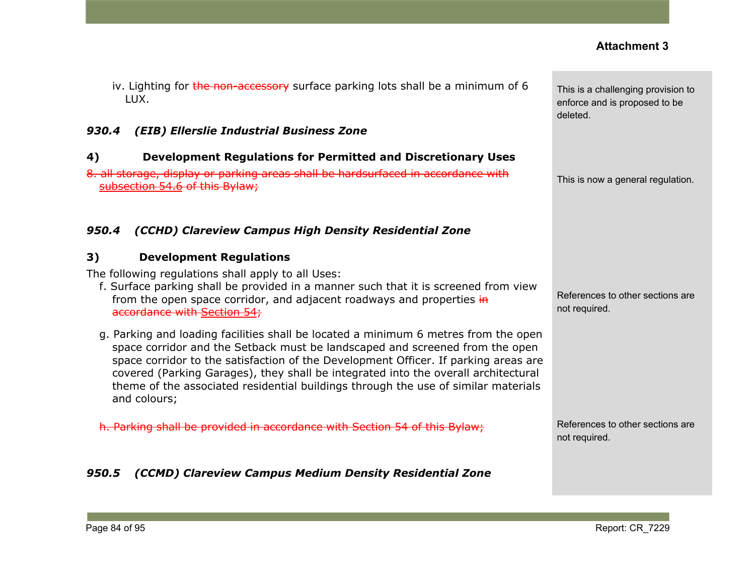**Contract** 

| iv. Lighting for the non-accessory surface parking lots shall be a minimum of 6<br>LUX.                                                                                                                                                                                                                                                                                                                                                                | This is a challenging provision to<br>enforce and is proposed to be<br>deleted. |
|--------------------------------------------------------------------------------------------------------------------------------------------------------------------------------------------------------------------------------------------------------------------------------------------------------------------------------------------------------------------------------------------------------------------------------------------------------|---------------------------------------------------------------------------------|
| 930.4<br>(EIB) Ellerslie Industrial Business Zone                                                                                                                                                                                                                                                                                                                                                                                                      |                                                                                 |
| 4)<br><b>Development Regulations for Permitted and Discretionary Uses</b>                                                                                                                                                                                                                                                                                                                                                                              |                                                                                 |
| 8. all storage, display or parking areas shall be hardsurfaced in accordance with<br>subsection 54.6 of this Bylaw;                                                                                                                                                                                                                                                                                                                                    | This is now a general regulation.                                               |
| (CCHD) Clareview Campus High Density Residential Zone<br>950.4                                                                                                                                                                                                                                                                                                                                                                                         |                                                                                 |
| 3)<br><b>Development Regulations</b>                                                                                                                                                                                                                                                                                                                                                                                                                   |                                                                                 |
| The following regulations shall apply to all Uses:<br>f. Surface parking shall be provided in a manner such that it is screened from view<br>from the open space corridor, and adjacent roadways and properties in<br>accordance with Section 54;                                                                                                                                                                                                      | References to other sections are<br>not required.                               |
| g. Parking and loading facilities shall be located a minimum 6 metres from the open<br>space corridor and the Setback must be landscaped and screened from the open<br>space corridor to the satisfaction of the Development Officer. If parking areas are<br>covered (Parking Garages), they shall be integrated into the overall architectural<br>theme of the associated residential buildings through the use of similar materials<br>and colours; |                                                                                 |
| h. Parking shall be provided in accordance with Section 54 of this Bylaw:                                                                                                                                                                                                                                                                                                                                                                              | References to other sections are<br>not required.                               |
| 950.5<br>(CCMD) Clareview Campus Medium Density Residential Zone                                                                                                                                                                                                                                                                                                                                                                                       |                                                                                 |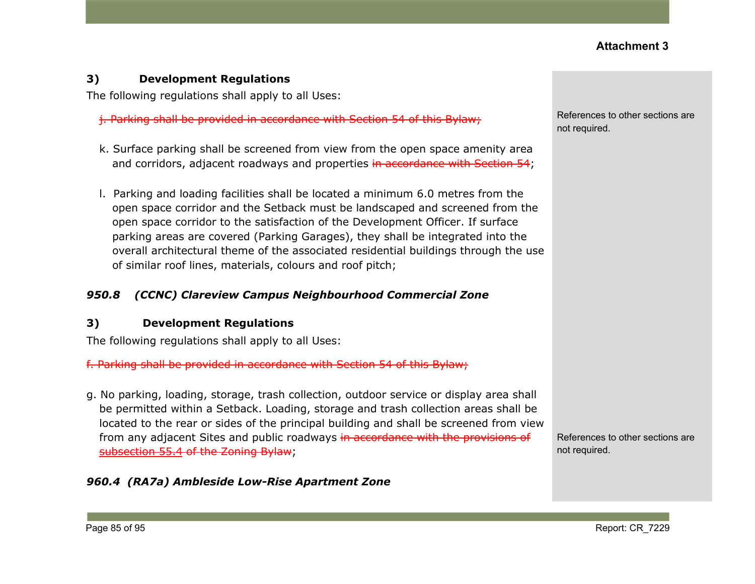#### **3) Development Regulations**

The following regulations shall apply to all Uses:

j. Parking shall be provided in accordance with [Section](https://webdocs.edmonton.ca/InfraPlan/zoningbylaw/ZoningBylaw/Part1/Development/54__Parking__Loading_and_Passenger_Drop-off.htm) 54 of this Bylaw;

- k. Surface parking shall be screened from view from the open space amenity area and corridors, adjacent roadways and properties in accordance with Section 54;
- l. Parking and loading facilities shall be located a minimum 6.0 metres from the open space corridor and the Setback must be landscaped and screened from the open space corridor to the satisfaction of the Development Officer. If surface parking areas are covered (Parking Garages), they shall be integrated into the overall architectural theme of the associated residential buildings through the use of similar roof lines, materials, colours and roof pitch;

#### *950.8 (CCNC) Clareview Campus Neighbourhood Commercial Zone*

#### **3) Development Regulations**

The following regulations shall apply to all Uses:

f. Parking shall be provided in accordance with Section 54 of this Bylaw;

g. No parking, loading, storage, trash collection, outdoor service or display area shall be permitted within a Setback. Loading, storage and trash collection areas shall be located to the rear or sides of the principal building and shall be screened from view from any adjacent Sites and public roadways in accordance with the provisions of [subsection](https://webdocs.edmonton.ca/InfraPlan/zoningbylaw/ZoningBylaw/Part1/Development/55__Landscaping.htm) 55.4 of the Zoning Bylaw;

References to other sections are not required.

#### *960.4 (RA7a) Ambleside Low-Rise Apartment Zone*

References to other sections are not required.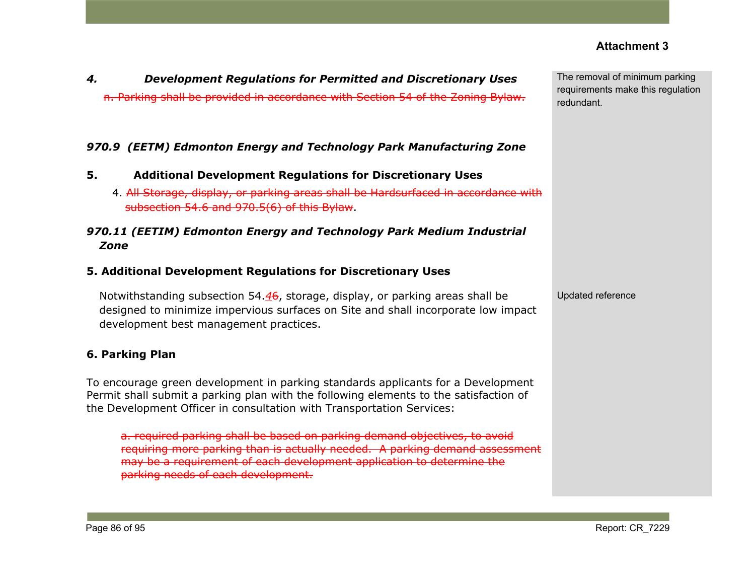| parking needs of each development. |                 |
|------------------------------------|-----------------|
|                                    |                 |
| Page 86 of 95                      | Report: CR 7229 |

requiring more parking than is actually needed. A parking demand assessment

*4. Development Regulations for Permitted and Discretionary Uses*

*970.9 (EETM) Edmonton Energy and Technology Park Manufacturing Zone*

*970.11 (EETIM) Edmonton Energy and Technology Park Medium Industrial*

Notwithstanding subsection 54.*4*6, storage, display, or parking areas shall be

designed to minimize impervious surfaces on Site and shall incorporate low impact

To encourage green development in parking standards applicants for a Development Permit shall submit a parking plan with the following elements to the satisfaction of

a. required parking shall be based on parking demand objectives, to avoid

may be a requirement of each development application to determine the

4. All Storage, display, or parking areas shall be Hardsurfaced in accordance with

**5. Additional Development Regulations for Discretionary Uses**

**5. Additional Development Regulations for Discretionary Uses**

the Development Officer in consultation with Transportation Services:

subsection 54.6 and 970.5(6) of this Bylaw.

development best management practices.

n. Parking shall be provided in accordance with Section 54 of the Zoning Bylaw.

The removal of minimum parking requirements make this regulation redundant.

Updated reference

*Zone*

**6. Parking Plan**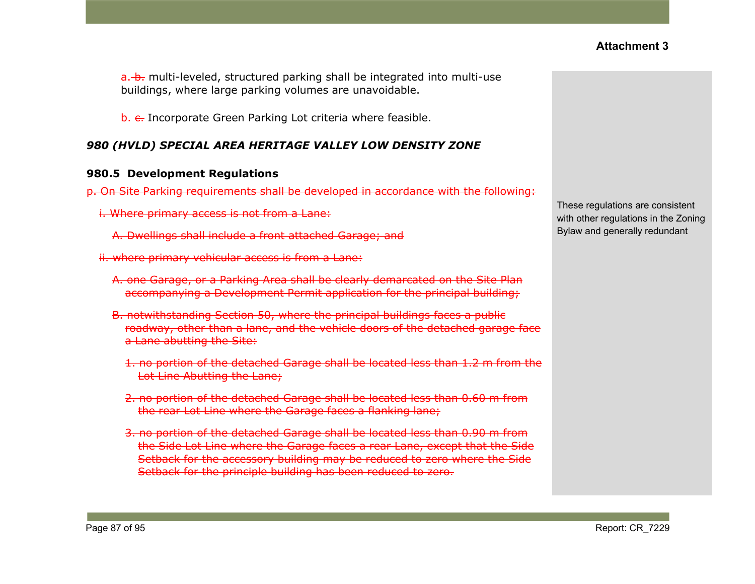a. b. multi-leveled, structured parking shall be integrated into multi-use buildings, where large parking volumes are unavoidable.

b. e. Incorporate Green Parking Lot criteria where feasible.

### *980 (HVLD) SPECIAL AREA HERITAGE VALLEY LOW DENSITY ZONE*

#### **980.5 Development Regulations**

- p. On Site Parking requirements shall be developed in accordance with the following:
	- i. Where primary access is not from a Lane:
		- A. Dwellings shall include a front attached Garage; and
	- ii. where primary vehicular access is from a Lane:
		- A. one Garage, or a Parking Area shall be clearly demarcated on the Site Plan accompanying a Development Permit application for the principal building;
		- B. notwithstanding Section 50, where the principal buildings faces a public roadway, other than a lane, and the vehicle doors of the detached garage face a Lane abutting the Site:
			- 1. no portion of the detached Garage shall be located less than 1.2 m from the Lot Line Abutting the Lane;
			- 2. no portion of the detached Garage shall be located less than 0.60 m from the rear Lot Line where the Garage faces a flanking lane;
			- 3. no portion of the detached Garage shall be located less than 0.90 m from the Side Lot Line where the Garage faces a rear Lane, except that the Side Setback for the accessory building may be reduced to zero where the Side Setback for the principle building has been reduced to zero.

These regulations are consistent with other regulations in the Zoning Bylaw and generally redundant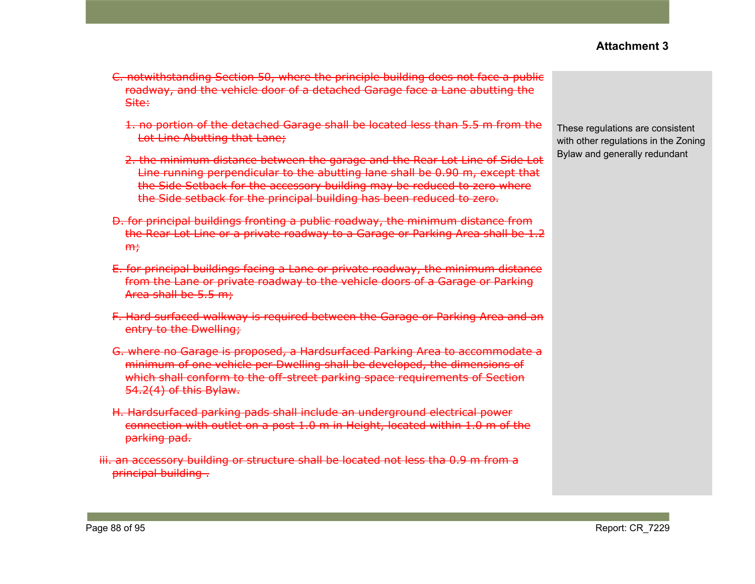- 1. no portion of the detached Garage shall be located less than 5.5 m from the Lot Line Abutting that Lane;
- 2. the minimum distance between the garage and the Rear Lot Line of Side Lot Line running perpendicular to the abutting lane shall be 0.90 m, except that the Side Setback for the accessory building may be reduced to zero where the Side setback for the principal building has been reduced to zero.
- D. for principal buildings fronting a public roadway, the minimum distance from the Rear Lot Line or a private roadway to a Garage or Parking Area shall be 1.2  $m<sub>r</sub>$
- E. for principal buildings facing a Lane or private roadway, the minimum distance from the Lane or private roadway to the vehicle doors of a Garage or Parking Area shall be 5.5 m;
- F. Hard surfaced walkway is required between the Garage or Parking Area and an entry to the Dwelling;
- G. where no Garage is proposed, a Hardsurfaced Parking Area to accommodate a minimum of one vehicle per Dwelling shall be developed, the dimensions of which shall conform to the off-street parking space requirements of Section 54.2(4) of this Bylaw.
- H. Hardsurfaced parking pads shall include an underground electrical power connection with outlet on a post 1.0 m in Height, located within 1.0 m of the parking pad.
- iii. an accessory building or structure shall be located not less tha 0.9 m from a principal building .

These regulations are consistent with other regulations in the Zoning Bylaw and generally redundant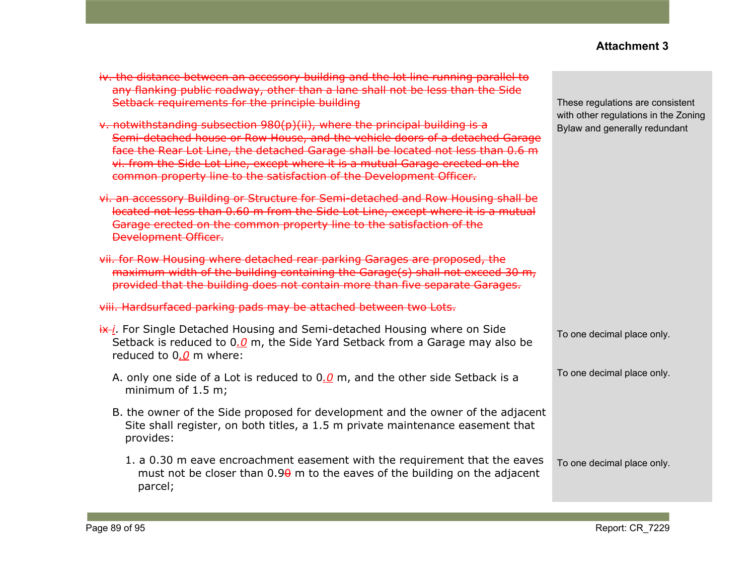| iv. the distance between an accessory building and the lot line running parallel to<br>any flanking public roadway, other than a lane shall not be less than the Side<br>Setback requirements for the principle building                                                                                                                                                                                 | These regulations are consistent                                      |
|----------------------------------------------------------------------------------------------------------------------------------------------------------------------------------------------------------------------------------------------------------------------------------------------------------------------------------------------------------------------------------------------------------|-----------------------------------------------------------------------|
| v. notwithstanding subsection 980(p)(ii), where the principal building is a<br>Semi-detached house or Row House, and the vehicle doors of a detached Garage<br>face the Rear Lot Line, the detached Garage shall be located not less than 0.6 m<br>vi. from the Side Lot Line, except where it is a mutual Garage erected on the<br>common property line to the satisfaction of the Development Officer. | with other regulations in the Zoning<br>Bylaw and generally redundant |
| vi. an accessory Building or Structure for Semi-detached and Row Housing shall be<br>located not less than 0.60 m from the Side Lot Line, except where it is a mutual<br>Garage erected on the common property line to the satisfaction of the<br><b>Development Officer.</b>                                                                                                                            |                                                                       |
| vii. for Row Housing where detached rear parking Garages are proposed, the<br>maximum width of the building containing the Garage(s) shall not exceed 30 m,<br>provided that the building does not contain more than five separate Garages.                                                                                                                                                              |                                                                       |
| viii. Hardsurfaced parking pads may be attached between two Lots.                                                                                                                                                                                                                                                                                                                                        |                                                                       |
| $\frac{dx}{i}$ . For Single Detached Housing and Semi-detached Housing where on Side<br>Setback is reduced to 0.0 m, the Side Yard Setback from a Garage may also be<br>reduced to $0.0$ m where:                                                                                                                                                                                                        | To one decimal place only.                                            |
| A. only one side of a Lot is reduced to $0.0$ m, and the other side Setback is a<br>minimum of $1.5$ m;                                                                                                                                                                                                                                                                                                  | To one decimal place only.                                            |
| B. the owner of the Side proposed for development and the owner of the adjacent<br>Site shall register, on both titles, a 1.5 m private maintenance easement that<br>provides:                                                                                                                                                                                                                           |                                                                       |
| 1. a 0.30 m eave encroachment easement with the requirement that the eaves<br>must not be closer than $0.9\theta$ m to the eaves of the building on the adjacent<br>parcel;                                                                                                                                                                                                                              | To one decimal place only.                                            |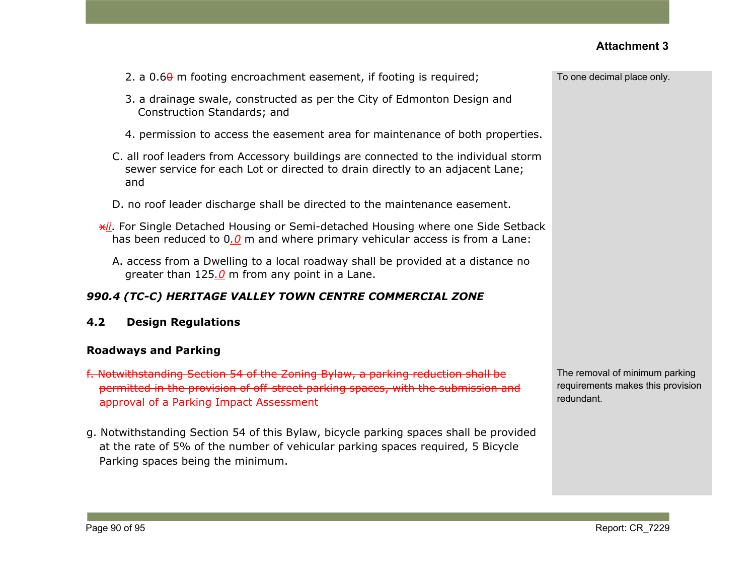| 2. a $0.6\theta$ m footing encroachment easement, if footing is required;                                                                                                                                      | To one decimal place only.                                                        |
|----------------------------------------------------------------------------------------------------------------------------------------------------------------------------------------------------------------|-----------------------------------------------------------------------------------|
| 3. a drainage swale, constructed as per the City of Edmonton Design and<br>Construction Standards; and                                                                                                         |                                                                                   |
| 4. permission to access the easement area for maintenance of both properties.                                                                                                                                  |                                                                                   |
| C. all roof leaders from Accessory buildings are connected to the individual storm<br>sewer service for each Lot or directed to drain directly to an adjacent Lane;<br>and                                     |                                                                                   |
| D. no roof leader discharge shall be directed to the maintenance easement.                                                                                                                                     |                                                                                   |
| <b>*il</b> . For Single Detached Housing or Semi-detached Housing where one Side Setback<br>has been reduced to $0.0$ m and where primary vehicular access is from a Lane:                                     |                                                                                   |
| A. access from a Dwelling to a local roadway shall be provided at a distance no<br>greater than $125.0$ m from any point in a Lane.                                                                            |                                                                                   |
| 990.4 (TC-C) HERITAGE VALLEY TOWN CENTRE COMMERCIAL ZONE                                                                                                                                                       |                                                                                   |
| <b>Design Regulations</b><br>4.2                                                                                                                                                                               |                                                                                   |
| <b>Roadways and Parking</b>                                                                                                                                                                                    |                                                                                   |
| f. Notwithstanding Section 54 of the Zoning Bylaw, a parking reduction shall be<br>permitted in the provision of off-street parking spaces, with the submission and<br>approval of a Parking Impact Assessment | The removal of minimum parking<br>requirements makes this provision<br>redundant. |
| g. Notwithstanding Section 54 of this Bylaw, bicycle parking spaces shall be provided<br>at the rate of 5% of the number of vehicular parking spaces required, 5 Bicycle                                       |                                                                                   |

Parking spaces being the minimum.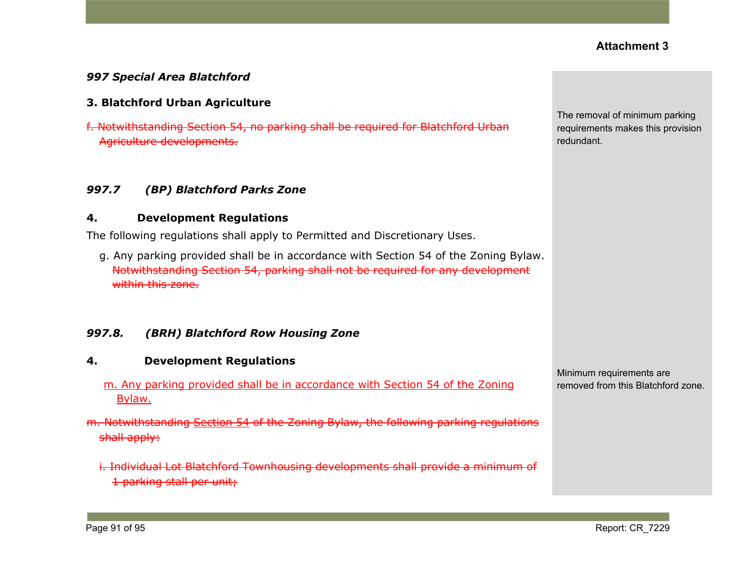#### *997 Special Area Blatchford*

#### **3. Blatchford Urban Agriculture**

f. Notwithstanding Section 54, no parking shall be required for Blatchford Urban Agriculture developments.

#### *997.7 (BP) Blatchford Parks Zone*

#### **4. Development Regulations**

The following regulations shall apply to Permitted and Discretionary Uses.

g. Any parking provided shall be in accordance with Section 54 of the Zoning Bylaw. Notwithstanding Section 54, parking shall not be required for any development within this zone.

#### *997.8. (BRH) Blatchford Row Housing Zone*

#### **4. Development Regulations**

- m. Any parking provided shall be in accordance with Section 54 of the Zoning Bylaw.
- m. Notwithstanding [Section](https://webdocs.edmonton.ca/InfraPlan/zoningbylaw/ZoningBylaw/Part1/Development/54__Parking__Loading_and_Passenger_Drop-off.htm) 54 of the Zoning Bylaw, the following parking regulations shall apply:
	- i. Individual Lot Blatchford Townhousing developments shall provide a minimum of 1 parking stall per unit;

The removal of minimum parking requirements makes this provision redundant.

Minimum requirements are removed from this Blatchford zone.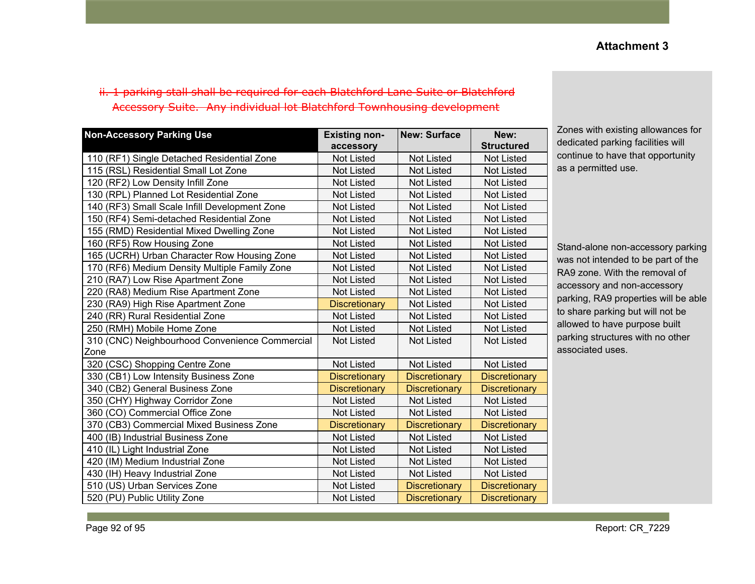### ii. 1 parking stall shall be required for each Blatchford Lane Suite or Blatchford Accessory Suite. Any individual lot Blatchford Townhousing development

| <b>Non-Accessory Parking Use</b>               | <b>Existing non-</b><br>accessory | <b>New: Surface</b>  | New:<br><b>Structured</b> |
|------------------------------------------------|-----------------------------------|----------------------|---------------------------|
| 110 (RF1) Single Detached Residential Zone     | <b>Not Listed</b>                 | <b>Not Listed</b>    | <b>Not Listed</b>         |
| 115 (RSL) Residential Small Lot Zone           | <b>Not Listed</b>                 | <b>Not Listed</b>    | <b>Not Listed</b>         |
| 120 (RF2) Low Density Infill Zone              | <b>Not Listed</b>                 | <b>Not Listed</b>    | <b>Not Listed</b>         |
| 130 (RPL) Planned Lot Residential Zone         | <b>Not Listed</b>                 | <b>Not Listed</b>    | Not Listed                |
| 140 (RF3) Small Scale Infill Development Zone  | <b>Not Listed</b>                 | <b>Not Listed</b>    | <b>Not Listed</b>         |
| 150 (RF4) Semi-detached Residential Zone       | <b>Not Listed</b>                 | <b>Not Listed</b>    | <b>Not Listed</b>         |
| 155 (RMD) Residential Mixed Dwelling Zone      | <b>Not Listed</b>                 | <b>Not Listed</b>    | <b>Not Listed</b>         |
| 160 (RF5) Row Housing Zone                     | <b>Not Listed</b>                 | <b>Not Listed</b>    | <b>Not Listed</b>         |
| 165 (UCRH) Urban Character Row Housing Zone    | <b>Not Listed</b>                 | <b>Not Listed</b>    | <b>Not Listed</b>         |
| 170 (RF6) Medium Density Multiple Family Zone  | <b>Not Listed</b>                 | <b>Not Listed</b>    | <b>Not Listed</b>         |
| 210 (RA7) Low Rise Apartment Zone              | <b>Not Listed</b>                 | <b>Not Listed</b>    | <b>Not Listed</b>         |
| 220 (RA8) Medium Rise Apartment Zone           | <b>Not Listed</b>                 | <b>Not Listed</b>    | <b>Not Listed</b>         |
| 230 (RA9) High Rise Apartment Zone             | <b>Discretionary</b>              | <b>Not Listed</b>    | <b>Not Listed</b>         |
| 240 (RR) Rural Residential Zone                | <b>Not Listed</b>                 | <b>Not Listed</b>    | <b>Not Listed</b>         |
| 250 (RMH) Mobile Home Zone                     | <b>Not Listed</b>                 | <b>Not Listed</b>    | <b>Not Listed</b>         |
| 310 (CNC) Neighbourhood Convenience Commercial | <b>Not Listed</b>                 | <b>Not Listed</b>    | <b>Not Listed</b>         |
| Zone                                           |                                   |                      |                           |
| 320 (CSC) Shopping Centre Zone                 | <b>Not Listed</b>                 | <b>Not Listed</b>    | <b>Not Listed</b>         |
| 330 (CB1) Low Intensity Business Zone          | <b>Discretionary</b>              | <b>Discretionary</b> | <b>Discretionary</b>      |
| 340 (CB2) General Business Zone                | <b>Discretionary</b>              | <b>Discretionary</b> | <b>Discretionary</b>      |
| 350 (CHY) Highway Corridor Zone                | <b>Not Listed</b>                 | <b>Not Listed</b>    | <b>Not Listed</b>         |
| 360 (CO) Commercial Office Zone                | <b>Not Listed</b>                 | <b>Not Listed</b>    | <b>Not Listed</b>         |
| 370 (CB3) Commercial Mixed Business Zone       | <b>Discretionary</b>              | <b>Discretionary</b> | <b>Discretionary</b>      |
| 400 (IB) Industrial Business Zone              | <b>Not Listed</b>                 | <b>Not Listed</b>    | <b>Not Listed</b>         |
| 410 (IL) Light Industrial Zone                 | <b>Not Listed</b>                 | <b>Not Listed</b>    | <b>Not Listed</b>         |
| 420 (IM) Medium Industrial Zone                | <b>Not Listed</b>                 | <b>Not Listed</b>    | <b>Not Listed</b>         |
| 430 (IH) Heavy Industrial Zone                 | <b>Not Listed</b>                 | <b>Not Listed</b>    | <b>Not Listed</b>         |
| 510 (US) Urban Services Zone                   | <b>Not Listed</b>                 | <b>Discretionary</b> | <b>Discretionary</b>      |
| 520 (PU) Public Utility Zone                   | <b>Not Listed</b>                 | <b>Discretionary</b> | <b>Discretionary</b>      |

Zones with existing allowances for dedicated parking facilities will continue to have that opportunity as a permitted use.

Stand-alone non-accessory parking was not intended to be part of the RA9 zone. With the removal of accessory and non-accessory parking, RA9 properties will be able to share parking but will not be allowed to have purpose built parking structures with no other associated uses.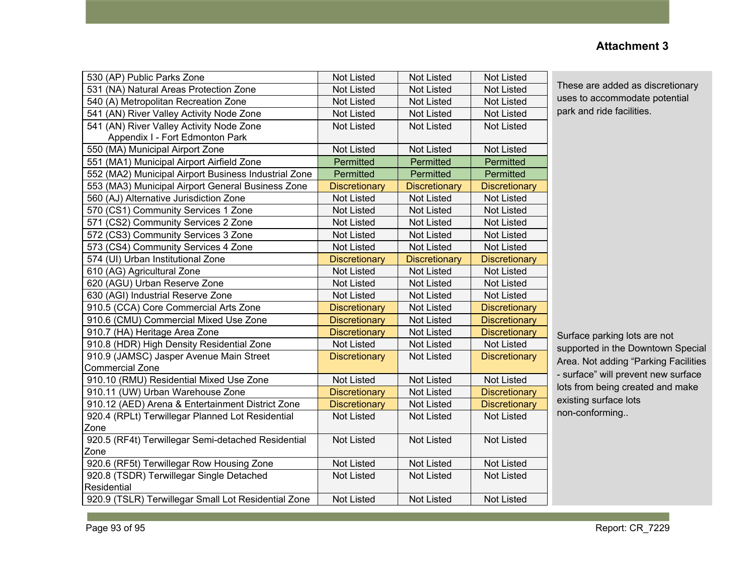#### 530 (AP) Public Parks Zone Not Listed Not Listed Not Listed Not Listed 531 (NA) Natural Areas Protection Zone Not Listed Not Listed Not Listed Not Listed 540 (A) Metropolitan Recreation Zone Not Listed Not Listed Not Listed Not Listed 541 (AN) River Valley Activity Node Zone Not Listed Not Listed Not Listed Not Listed 541 (AN) River Valley Activity Node Zone Appendix I - Fort Edmonton Park Not Listed | Not Listed | Not Listed 550 (MA) Municipal Airport Zone Not Not Listed Not Listed Not Listed Not Listed 551 (MA1) Municipal Airport Airfield Zone **Permitted** Permitted Permitted Permitted 552 (MA2) Municipal Airport Business Industrial Zone Permitted Permitted Permitted Permitted 553 (MA3) Municipal Airport General Business Zone | Discretionary | Discretionary | Discretionary 560 (AJ) Alternative Jurisdiction Zone Not Listed Not Listed Not Listed Not Listed 570 (CS1) Community Services 1 Zone | Not Listed | Not Listed | Not Listed 571 (CS2) Community Services 2 Zone Not Listed Not Listed Not Listed Not Listed 572 (CS3) Community Services 3 Zone Not Listed Not Listed Not Listed Not Listed 573 (CS4) Community Services 4 Zone Not Listed Not Listed Not Listed Not Listed 574 (UI) Urban Institutional Zone Discretionary | Discretionary | Discretionary | Discretionary 610 (AG) Agricultural Zone Not Listed Not Listed Not Listed 620 (AGU) Urban Reserve Zone Not Not Listed Not Listed Not Listed Not Listed 630 (AGI) Industrial Reserve Zone Not Listed Not Listed Not Listed Not Listed Not Listed 910.5 (CCA) Core Commercial Arts Zone **Discretionary Not Listed Discretionary** Not Listed Discretionary 910.6 (CMU) Commercial Mixed Use Zone Discretionary Not Listed Discretionary 910.7 (HA) Heritage Area Zone **Discretionary Not Listed Discretionary** Not Listed Discretionary 910.8 (HDR) High Density Residential Zone Not Listed Not Listed Not Listed Not Listed 910.9 (JAMSC) Jasper Avenue Main Street Commercial Zone Discretionary | Not Listed | Discretionary 910.10 (RMU) Residential Mixed Use Zone Not Listed Not Listed Not Listed Not Listed 910.11 (UW) Urban Warehouse Zone **Discretionary Not Listed** Discretionary 910.12 (AED) Arena & Entertainment District Zone **Discretionary Not Listed** Discretionary 920.4 (RPLt) Terwillegar Planned Lot Residential Zone Not Listed | Not Listed | Not Listed 920.5 (RF4t) Terwillegar Semi-detached Residential Zone Not Listed | Not Listed | Not Listed 920.6 (RF5t) Terwillegar Row Housing Zone Not Listed Not Listed Not Listed Not Listed 920.8 (TSDR) Terwillegar Single Detached **Residential** Not Listed | Not Listed | Not Listed 920.9 (TSLR) Terwillegar Small Lot Residential Zone Not Listed Not Listed Not Listed Not Listed

## **Attachment 3**

These are added as discretionary uses to accommodate potential park and ride facilities.

Surface parking lots are not supported in the Downtown Special Area. Not adding "Parking Facilities - surface" will prevent new surface lots from being created and make existing surface lots non-conforming..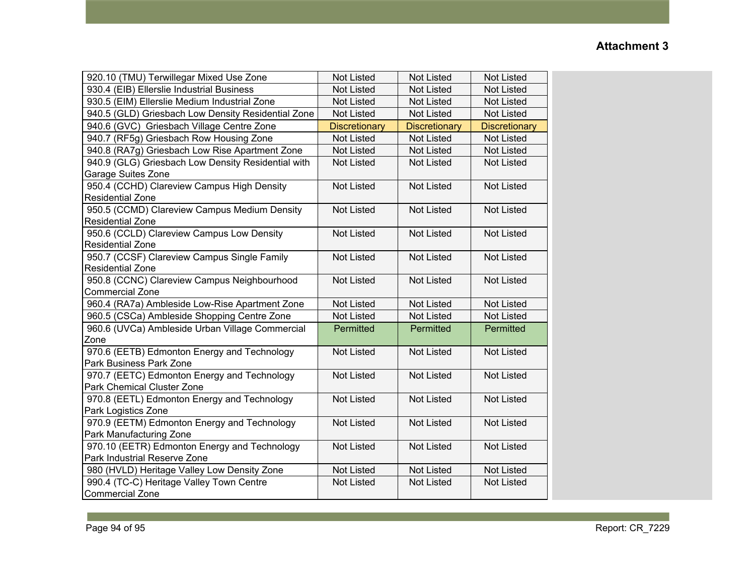| 920.10 (TMU) Terwillegar Mixed Use Zone                        | <b>Not Listed</b>    | <b>Not Listed</b>    | <b>Not Listed</b>    |
|----------------------------------------------------------------|----------------------|----------------------|----------------------|
| 930.4 (EIB) Ellerslie Industrial Business                      | <b>Not Listed</b>    | <b>Not Listed</b>    | <b>Not Listed</b>    |
| 930.5 (EIM) Ellerslie Medium Industrial Zone                   | <b>Not Listed</b>    | <b>Not Listed</b>    | <b>Not Listed</b>    |
| 940.5 (GLD) Griesbach Low Density Residential Zone             | <b>Not Listed</b>    | <b>Not Listed</b>    | <b>Not Listed</b>    |
| 940.6 (GVC) Griesbach Village Centre Zone                      | <b>Discretionary</b> | <b>Discretionary</b> | <b>Discretionary</b> |
| 940.7 (RF5g) Griesbach Row Housing Zone                        | <b>Not Listed</b>    | <b>Not Listed</b>    | <b>Not Listed</b>    |
| 940.8 (RA7g) Griesbach Low Rise Apartment Zone                 | <b>Not Listed</b>    | <b>Not Listed</b>    | <b>Not Listed</b>    |
| 940.9 (GLG) Griesbach Low Density Residential with             | <b>Not Listed</b>    | <b>Not Listed</b>    | <b>Not Listed</b>    |
| Garage Suites Zone                                             |                      |                      |                      |
| 950.4 (CCHD) Clareview Campus High Density                     | <b>Not Listed</b>    | <b>Not Listed</b>    | <b>Not Listed</b>    |
| <b>Residential Zone</b>                                        |                      |                      |                      |
| 950.5 (CCMD) Clareview Campus Medium Density                   | <b>Not Listed</b>    | <b>Not Listed</b>    | <b>Not Listed</b>    |
| <b>Residential Zone</b>                                        |                      |                      |                      |
| 950.6 (CCLD) Clareview Campus Low Density                      | <b>Not Listed</b>    | <b>Not Listed</b>    | <b>Not Listed</b>    |
| <b>Residential Zone</b>                                        |                      |                      |                      |
| 950.7 (CCSF) Clareview Campus Single Family                    | <b>Not Listed</b>    | <b>Not Listed</b>    | <b>Not Listed</b>    |
| <b>Residential Zone</b>                                        |                      |                      |                      |
| 950.8 (CCNC) Clareview Campus Neighbourhood<br>Commercial Zone | <b>Not Listed</b>    | <b>Not Listed</b>    | <b>Not Listed</b>    |
| 960.4 (RA7a) Ambleside Low-Rise Apartment Zone                 | <b>Not Listed</b>    | <b>Not Listed</b>    | <b>Not Listed</b>    |
| 960.5 (CSCa) Ambleside Shopping Centre Zone                    | <b>Not Listed</b>    | <b>Not Listed</b>    | <b>Not Listed</b>    |
| 960.6 (UVCa) Ambleside Urban Village Commercial                | Permitted            | Permitted            | Permitted            |
| Zone                                                           |                      |                      |                      |
| 970.6 (EETB) Edmonton Energy and Technology                    | <b>Not Listed</b>    | <b>Not Listed</b>    | <b>Not Listed</b>    |
| Park Business Park Zone                                        |                      |                      |                      |
| 970.7 (EETC) Edmonton Energy and Technology                    | <b>Not Listed</b>    | <b>Not Listed</b>    | <b>Not Listed</b>    |
| Park Chemical Cluster Zone                                     |                      |                      |                      |
| 970.8 (EETL) Edmonton Energy and Technology                    | <b>Not Listed</b>    | <b>Not Listed</b>    | <b>Not Listed</b>    |
| Park Logistics Zone                                            |                      |                      |                      |
| 970.9 (EETM) Edmonton Energy and Technology                    | <b>Not Listed</b>    | <b>Not Listed</b>    | <b>Not Listed</b>    |
| Park Manufacturing Zone                                        |                      |                      |                      |
| 970.10 (EETR) Edmonton Energy and Technology                   | <b>Not Listed</b>    | <b>Not Listed</b>    | <b>Not Listed</b>    |
| Park Industrial Reserve Zone                                   |                      |                      |                      |
| 980 (HVLD) Heritage Valley Low Density Zone                    | <b>Not Listed</b>    | <b>Not Listed</b>    | <b>Not Listed</b>    |
| 990.4 (TC-C) Heritage Valley Town Centre                       | <b>Not Listed</b>    | <b>Not Listed</b>    | <b>Not Listed</b>    |
| <b>Commercial Zone</b>                                         |                      |                      |                      |